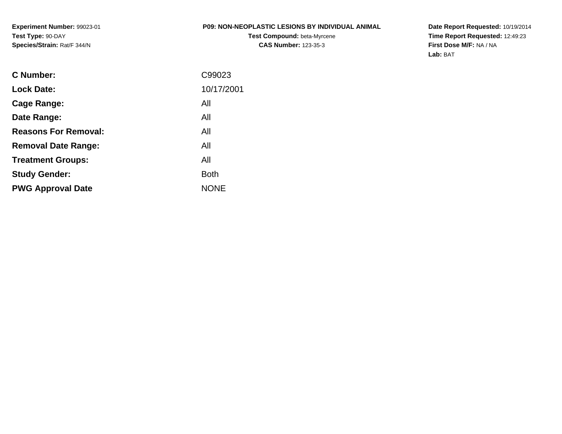**Experiment Number:** 99023-01**Test Type:** 90-DAY**Species/Strain:** Rat/F 344/N

#### **P09: NON-NEOPLASTIC LESIONS BY INDIVIDUAL ANIMAL**

**Test Compound:** beta-Myrcene**CAS Number:** 123-35-3

**Date Report Requested:** 10/19/2014 **Time Report Requested:** 12:49:23**First Dose M/F:** NA / NA**Lab:** BAT

| C99023      |
|-------------|
| 10/17/2001  |
| All         |
| All         |
| All         |
| All         |
| All         |
| <b>Both</b> |
| <b>NONE</b> |
|             |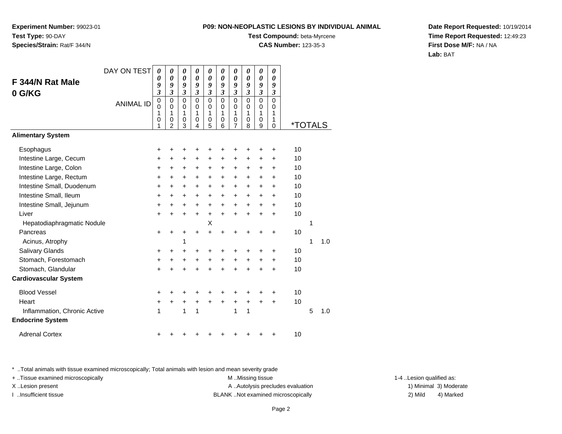**Experiment Number:** 99023-01**Test Type:** 90-DAY**Species/Strain:** Rat/F 344/N

## **Test Compound:** beta-Myrcene

**CAS Number:** 123-35-3

**Date Report Requested:** 10/19/2014**Time Report Requested:** 12:49:23**First Dose M/F:** NA / NA**Lab:** BAT

|                                                         | DAY ON TEST      | 0                                       | 0                                            | 0                               | 0                                      | 0                                         | 0                                                    | 0                                                                 | 0                                                    | 0                                         | $\boldsymbol{\theta}$                            |                       |   |     |
|---------------------------------------------------------|------------------|-----------------------------------------|----------------------------------------------|---------------------------------|----------------------------------------|-------------------------------------------|------------------------------------------------------|-------------------------------------------------------------------|------------------------------------------------------|-------------------------------------------|--------------------------------------------------|-----------------------|---|-----|
| F 344/N Rat Male                                        |                  | 0<br>9                                  | 0<br>9                                       | 0<br>9                          | $\boldsymbol{\theta}$<br>9             | 0<br>9                                    | $\boldsymbol{\theta}$<br>9                           | 0<br>9                                                            | 0<br>9                                               | 0<br>9                                    | $\boldsymbol{\theta}$<br>9                       |                       |   |     |
| 0 G/KG                                                  |                  | $\mathfrak{z}$                          | $\overline{\mathbf{3}}$                      | $\overline{\mathbf{3}}$         | $\overline{\mathbf{3}}$                | $\mathfrak{z}$                            | $\overline{3}$                                       | $\mathfrak{z}$                                                    | $\boldsymbol{\mathfrak{z}}$                          | $\overline{\mathbf{3}}$                   | $\mathfrak{z}$                                   |                       |   |     |
|                                                         | <b>ANIMAL ID</b> | $\pmb{0}$<br>$\mathbf 0$<br>1<br>0<br>1 | $\mathbf 0$<br>0<br>1<br>0<br>$\overline{2}$ | $\mathbf 0$<br>0<br>1<br>0<br>3 | $\mathbf 0$<br>$\Omega$<br>1<br>0<br>4 | $\mathbf 0$<br>$\mathbf 0$<br>1<br>0<br>5 | $\mathbf 0$<br>$\mathbf 0$<br>$\mathbf{1}$<br>0<br>6 | $\mathbf 0$<br>$\mathbf 0$<br>$\mathbf{1}$<br>0<br>$\overline{7}$ | $\mathbf 0$<br>$\mathbf 0$<br>$\mathbf{1}$<br>0<br>8 | $\mathbf 0$<br>$\mathbf 0$<br>1<br>0<br>9 | $\Omega$<br>$\mathbf 0$<br>1<br>1<br>$\mathbf 0$ | <i><b>*TOTALS</b></i> |   |     |
| <b>Alimentary System</b>                                |                  |                                         |                                              |                                 |                                        |                                           |                                                      |                                                                   |                                                      |                                           |                                                  |                       |   |     |
| Esophagus                                               |                  | +                                       | +                                            | ٠                               |                                        |                                           | ٠                                                    | ٠                                                                 | +                                                    | +                                         | +                                                | 10                    |   |     |
| Intestine Large, Cecum                                  |                  | +                                       | +                                            | +                               | +                                      | +                                         | +                                                    | +                                                                 | +                                                    | +                                         | +                                                | 10                    |   |     |
| Intestine Large, Colon                                  |                  | $\ddot{}$                               | +                                            | +                               | $\ddot{}$                              | $\ddot{}$                                 | $\ddot{}$                                            | +                                                                 | +                                                    | +                                         | $\ddot{}$                                        | 10                    |   |     |
| Intestine Large, Rectum                                 |                  | $\ddot{}$                               | $\ddot{}$                                    | $\ddot{}$                       | $\ddot{}$                              | $\ddot{}$                                 | $\ddot{}$                                            | $\ddot{}$                                                         | $\ddot{}$                                            | $\ddot{}$                                 | $\ddot{}$                                        | 10                    |   |     |
| Intestine Small, Duodenum                               |                  | $\ddot{}$                               | $\ddot{}$                                    | $\ddot{}$                       | $\ddot{}$                              | +                                         | $\ddot{}$                                            | $\ddot{}$                                                         | $\ddot{}$                                            | +                                         | $\ddot{}$                                        | 10                    |   |     |
| Intestine Small, Ileum                                  |                  | $\ddot{}$                               | $\ddot{}$                                    | +                               | $\ddot{}$                              | +                                         | $\ddot{}$                                            | $\ddot{}$                                                         | +                                                    | +                                         | $\ddot{}$                                        | 10                    |   |     |
| Intestine Small, Jejunum                                |                  | $\ddot{}$                               | $\ddot{}$                                    | $\ddot{}$                       | $\ddot{}$                              | +                                         | $\ddot{}$                                            | $\ddot{}$                                                         | +                                                    | +                                         | $\ddot{}$                                        | 10                    |   |     |
| Liver                                                   |                  | $\ddot{}$                               | $\ddot{}$                                    | $\ddot{}$                       | $\ddot{}$                              | $\ddot{}$                                 | $\ddot{}$                                            | $\ddot{}$                                                         | $\ddot{}$                                            | $\ddot{}$                                 | $\ddot{}$                                        | 10                    |   |     |
| Hepatodiaphragmatic Nodule                              |                  |                                         |                                              |                                 |                                        | X                                         |                                                      |                                                                   |                                                      |                                           |                                                  |                       | 1 |     |
| Pancreas                                                |                  | +                                       | $\ddot{}$                                    | +                               | $\ddot{}$                              | $\ddot{}$                                 | +                                                    | +                                                                 | +                                                    | +                                         | $\ddot{}$                                        | 10                    |   |     |
| Acinus, Atrophy                                         |                  |                                         |                                              | 1                               |                                        |                                           |                                                      |                                                                   |                                                      |                                           |                                                  |                       | 1 | 1.0 |
| Salivary Glands                                         |                  | +                                       | $\pm$                                        | +                               | +                                      | +                                         | +                                                    | +                                                                 | +                                                    | +                                         | +                                                | 10                    |   |     |
| Stomach, Forestomach                                    |                  | $\ddot{}$                               | $\ddot{}$                                    | +                               | $\ddot{}$                              | $\ddot{}$                                 | $\ddot{}$                                            | +                                                                 | +                                                    | +                                         | +                                                | 10                    |   |     |
| Stomach, Glandular                                      |                  | $\ddot{}$                               | $\ddot{}$                                    | $\ddot{}$                       | ÷                                      | $\ddot{}$                                 | $\ddot{}$                                            | $\ddot{}$                                                         | $\ddot{}$                                            | $\ddot{}$                                 | $\ddot{}$                                        | 10                    |   |     |
| <b>Cardiovascular System</b>                            |                  |                                         |                                              |                                 |                                        |                                           |                                                      |                                                                   |                                                      |                                           |                                                  |                       |   |     |
| <b>Blood Vessel</b>                                     |                  | +                                       |                                              | ٠                               |                                        |                                           | +                                                    | +                                                                 | +                                                    | +                                         | +                                                | 10                    |   |     |
| Heart                                                   |                  | +                                       | $\pm$                                        | +                               | +                                      | $\ddot{}$                                 | $\ddot{}$                                            | $\ddot{}$                                                         | $\ddot{}$                                            | $\ddot{}$                                 | $\ddot{}$                                        | 10                    |   |     |
| Inflammation, Chronic Active<br><b>Endocrine System</b> |                  | 1                                       |                                              | 1                               | 1                                      |                                           |                                                      | 1                                                                 | 1                                                    |                                           |                                                  |                       | 5 | 1.0 |
| <b>Adrenal Cortex</b>                                   |                  | +                                       |                                              |                                 |                                        |                                           |                                                      | +                                                                 | +                                                    | +                                         | +                                                | 10                    |   |     |

\* ..Total animals with tissue examined microscopically; Total animals with lesion and mean severity grade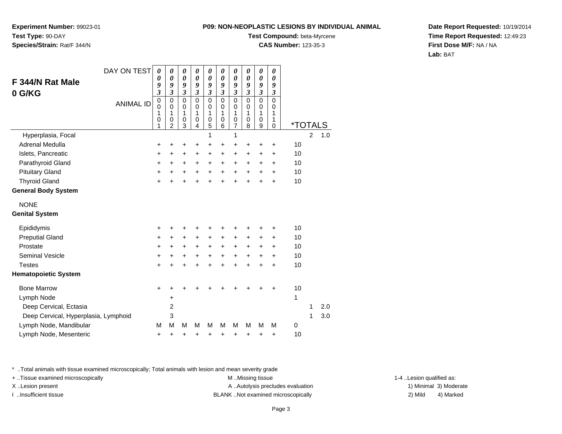**Experiment Number:** 99023-01**Test Type:** 90-DAY**Species/Strain:** Rat/F 344/N

### **Test Compound:** beta-Myrcene

**CAS Number:** 123-35-3

**Date Report Requested:** 10/19/2014**Time Report Requested:** 12:49:23**First Dose M/F:** NA / NA**Lab:** BAT

|                                      | DAY ON TEST      | 0                                         | 0                                                      | 0                                  | 0                                         | 0                                         | 0                                            | 0                                               | 0                                         | 0                                         | 0                                                   |                       |   |     |
|--------------------------------------|------------------|-------------------------------------------|--------------------------------------------------------|------------------------------------|-------------------------------------------|-------------------------------------------|----------------------------------------------|-------------------------------------------------|-------------------------------------------|-------------------------------------------|-----------------------------------------------------|-----------------------|---|-----|
| F 344/N Rat Male                     |                  | 0<br>9                                    | 0<br>9                                                 | $\boldsymbol{\theta}$<br>9         | 0<br>9                                    | 0<br>9                                    | $\boldsymbol{\theta}$<br>9                   | 0<br>9                                          | $\boldsymbol{\theta}$<br>9                | $\boldsymbol{\theta}$<br>9                | 0<br>9                                              |                       |   |     |
| 0 G/KG                               |                  | $\mathfrak{z}$                            | $\overline{\mathbf{3}}$                                | $\overline{\mathbf{3}}$            | $\overline{\mathbf{3}}$                   | $\mathfrak{z}$                            | $\mathfrak{z}$                               | $\overline{\mathbf{3}}$                         | $\mathfrak{z}$                            | $\mathfrak{z}$                            | $\boldsymbol{\mathfrak{z}}$                         |                       |   |     |
|                                      | <b>ANIMAL ID</b> | $\mathbf 0$<br>$\mathbf 0$<br>1<br>0<br>1 | $\mathbf 0$<br>$\mathbf 0$<br>1<br>0<br>$\overline{2}$ | 0<br>0<br>1<br>0<br>$\overline{3}$ | $\overline{0}$<br>$\Omega$<br>1<br>0<br>4 | $\mathbf 0$<br>$\mathbf 0$<br>1<br>0<br>5 | $\overline{0}$<br>$\mathbf 0$<br>1<br>0<br>6 | $\overline{0}$<br>0<br>1<br>0<br>$\overline{7}$ | $\mathbf 0$<br>$\mathbf 0$<br>1<br>0<br>8 | $\mathbf 0$<br>$\mathbf 0$<br>1<br>0<br>9 | $\overline{0}$<br>$\mathbf 0$<br>1<br>1<br>$\Omega$ | <i><b>*TOTALS</b></i> |   |     |
| Hyperplasia, Focal                   |                  |                                           |                                                        |                                    |                                           | 1                                         |                                              | 1                                               |                                           |                                           |                                                     |                       | 2 | 1.0 |
| Adrenal Medulla                      |                  | +                                         | +                                                      | +                                  | +                                         | +                                         | +                                            | +                                               | +                                         | +                                         | $\ddot{}$                                           | 10                    |   |     |
| Islets, Pancreatic                   |                  | +                                         | +                                                      | +                                  | +                                         | +                                         | +                                            | +                                               | +                                         | +                                         | +                                                   | 10                    |   |     |
| Parathyroid Gland                    |                  | +                                         | +                                                      | +                                  | $\ddot{}$                                 | $\ddot{}$                                 | $\ddot{}$                                    | +                                               | +                                         | +                                         | +                                                   | 10                    |   |     |
| <b>Pituitary Gland</b>               |                  | $\ddot{}$                                 | $\ddot{}$                                              | $\ddot{}$                          | $\ddot{}$                                 | $\ddot{}$                                 | $\ddot{}$                                    | $\ddot{}$                                       | $\ddot{}$                                 | $\ddot{}$                                 | $\ddot{}$                                           | 10                    |   |     |
| <b>Thyroid Gland</b>                 |                  | $\ddot{}$                                 | +                                                      | +                                  | +                                         | $\ddot{}$                                 | $\ddot{}$                                    | $\ddot{}$                                       | +                                         | +                                         | +                                                   | 10                    |   |     |
| <b>General Body System</b>           |                  |                                           |                                                        |                                    |                                           |                                           |                                              |                                                 |                                           |                                           |                                                     |                       |   |     |
| <b>NONE</b>                          |                  |                                           |                                                        |                                    |                                           |                                           |                                              |                                                 |                                           |                                           |                                                     |                       |   |     |
| <b>Genital System</b>                |                  |                                           |                                                        |                                    |                                           |                                           |                                              |                                                 |                                           |                                           |                                                     |                       |   |     |
| Epididymis                           |                  | +                                         | +                                                      | +                                  | +                                         |                                           |                                              | +                                               | +                                         | +                                         | +                                                   | 10                    |   |     |
| <b>Preputial Gland</b>               |                  | +                                         | +                                                      | +                                  | +                                         | +                                         | $\ddot{}$                                    | +                                               | +                                         | +                                         | +                                                   | 10                    |   |     |
| Prostate                             |                  | $\ddot{}$                                 | $\ddot{}$                                              | +                                  | +                                         | +                                         | $\ddot{}$                                    | +                                               | $\ddot{}$                                 | +                                         | +                                                   | 10                    |   |     |
| <b>Seminal Vesicle</b>               |                  | $\ddot{}$                                 | +                                                      | +                                  | $\ddot{}$                                 | $\ddot{}$                                 | $\ddot{}$                                    | +                                               | $\ddot{}$                                 | +                                         | +                                                   | 10                    |   |     |
| <b>Testes</b>                        |                  | $\ddot{}$                                 | $\ddot{}$                                              | $\ddot{}$                          | $\ddot{}$                                 | $\ddot{}$                                 | $\ddot{}$                                    | $\ddot{}$                                       | $\ddot{}$                                 | $\ddot{}$                                 | $\ddot{}$                                           | 10                    |   |     |
| <b>Hematopoietic System</b>          |                  |                                           |                                                        |                                    |                                           |                                           |                                              |                                                 |                                           |                                           |                                                     |                       |   |     |
| <b>Bone Marrow</b>                   |                  | +                                         | +                                                      | +                                  |                                           |                                           |                                              |                                                 | +                                         | +                                         | +                                                   | 10                    |   |     |
| Lymph Node                           |                  |                                           | +                                                      |                                    |                                           |                                           |                                              |                                                 |                                           |                                           |                                                     | 1                     |   |     |
| Deep Cervical, Ectasia               |                  |                                           | 2                                                      |                                    |                                           |                                           |                                              |                                                 |                                           |                                           |                                                     |                       | 1 | 2.0 |
| Deep Cervical, Hyperplasia, Lymphoid |                  |                                           | 3                                                      |                                    |                                           |                                           |                                              |                                                 |                                           |                                           |                                                     |                       | 1 | 3.0 |
| Lymph Node, Mandibular               |                  | M                                         | M                                                      | M                                  | M                                         | M                                         | M                                            | M                                               | M                                         | M                                         | M                                                   | $\mathbf 0$           |   |     |
| Lymph Node, Mesenteric               |                  | +                                         | +                                                      | +                                  | +                                         | +                                         | +                                            | +                                               | +                                         | +                                         | +                                                   | 10                    |   |     |

\* ..Total animals with tissue examined microscopically; Total animals with lesion and mean severity grade

+ ..Tissue examined microscopically examined microscopically examined as:  $M$  ..Missing tissue 1-4 ..Lesion qualified as: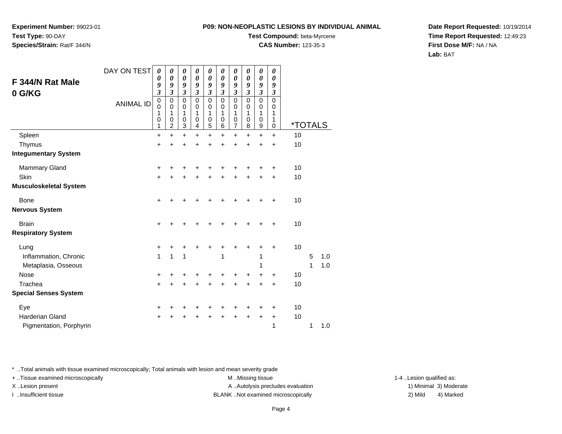**Experiment Number:** 99023-01**Test Type:** 90-DAY**Species/Strain:** Rat/F 344/N

### **Test Compound:** beta-Myrcene

**CAS Number:** 123-35-3

**Date Report Requested:** 10/19/2014**Time Report Requested:** 12:49:23**First Dose M/F:** NA / NA**Lab:** BAT

|                               | DAY ON TEST      | 0                          | 0                          | 0                        | 0                        | 0                          | 0                          | 0                          | 0                           | 0                          | 0                    |                       |   |     |
|-------------------------------|------------------|----------------------------|----------------------------|--------------------------|--------------------------|----------------------------|----------------------------|----------------------------|-----------------------------|----------------------------|----------------------|-----------------------|---|-----|
| F 344/N Rat Male              |                  | 0<br>9                     | 0<br>9                     | $\pmb{\theta}$<br>9      | $\pmb{\theta}$<br>9      | $\boldsymbol{\theta}$<br>9 | $\pmb{\theta}$<br>9        | $\boldsymbol{\theta}$<br>9 | $\pmb{\theta}$<br>9         | $\boldsymbol{\theta}$<br>9 | $\pmb{\theta}$<br>9  |                       |   |     |
| 0 G/KG                        |                  | $\overline{\mathbf{3}}$    | $\mathfrak{z}$             | $\mathfrak{z}$           | $\mathfrak{z}$           | $\mathfrak{z}$             | $\mathfrak{z}$             | $\mathfrak{z}$             | $\boldsymbol{\beta}$        | $\mathfrak{z}$             | $\boldsymbol{\beta}$ |                       |   |     |
|                               | <b>ANIMAL ID</b> | $\mathbf 0$<br>$\mathsf 0$ | $\mathbf 0$<br>$\mathbf 0$ | $\pmb{0}$<br>$\mathbf 0$ | $\pmb{0}$<br>$\mathbf 0$ | $\mathbf 0$<br>$\mathbf 0$ | $\mathbf 0$<br>$\mathbf 0$ | $\mathbf 0$<br>$\mathbf 0$ | $\overline{0}$<br>$\pmb{0}$ | $\mathsf 0$<br>0           | $\mathbf 0$<br>0     |                       |   |     |
|                               |                  | 1                          | 1                          | 1                        | 1                        | $\mathbf{1}$               | 1                          | 1                          | $\mathbf{1}$                | 1                          | 1                    |                       |   |     |
|                               |                  | 0<br>1                     | 0<br>$\overline{c}$        | 0<br>3                   | 0<br>4                   | 0<br>5                     | 0<br>6                     | 0<br>$\overline{7}$        | 0<br>8                      | 0<br>9                     | 1<br>$\mathbf 0$     | <i><b>*TOTALS</b></i> |   |     |
| Spleen                        |                  | $\ddot{}$                  | $\ddot{}$                  | $\ddot{}$                | $\ddot{}$                | $\ddot{}$                  | $\ddot{}$                  | $\ddot{}$                  | $\ddot{}$                   | $\ddot{}$                  | $\ddot{}$            | 10                    |   |     |
| Thymus                        |                  | +                          | +                          | +                        |                          | +                          | +                          | +                          | +                           | +                          | $\ddot{}$            | 10                    |   |     |
| <b>Integumentary System</b>   |                  |                            |                            |                          |                          |                            |                            |                            |                             |                            |                      |                       |   |     |
| <b>Mammary Gland</b>          |                  | +                          |                            |                          |                          |                            | +                          | +                          | +                           | +                          | +                    | 10                    |   |     |
| Skin                          |                  | $\ddot{}$                  |                            |                          |                          |                            |                            | $\ddot{}$                  |                             | $\ddot{}$                  | $\ddot{}$            | 10                    |   |     |
| <b>Musculoskeletal System</b> |                  |                            |                            |                          |                          |                            |                            |                            |                             |                            |                      |                       |   |     |
| <b>Bone</b>                   |                  | $\pm$                      |                            |                          |                          |                            |                            |                            |                             |                            | ÷                    | 10                    |   |     |
| <b>Nervous System</b>         |                  |                            |                            |                          |                          |                            |                            |                            |                             |                            |                      |                       |   |     |
| <b>Brain</b>                  |                  | +                          |                            |                          |                          |                            | +                          | +                          | +                           | +                          | +                    | 10                    |   |     |
| <b>Respiratory System</b>     |                  |                            |                            |                          |                          |                            |                            |                            |                             |                            |                      |                       |   |     |
| Lung                          |                  | +                          |                            |                          |                          |                            | +                          | +                          | +                           | +                          | $\ddot{}$            | 10                    |   |     |
| Inflammation, Chronic         |                  | $\mathbf{1}$               | 1                          | 1                        |                          |                            | 1                          |                            |                             | 1                          |                      |                       | 5 | 1.0 |
| Metaplasia, Osseous           |                  |                            |                            |                          |                          |                            |                            |                            |                             | 1                          |                      |                       | 1 | 1.0 |
| <b>Nose</b>                   |                  | +                          |                            |                          |                          |                            |                            | +                          | +                           | +                          | +                    | 10                    |   |     |
| Trachea                       |                  | $+$                        |                            | +                        |                          |                            | +                          | +                          | $\ddot{}$                   | +                          | +                    | 10                    |   |     |
| <b>Special Senses System</b>  |                  |                            |                            |                          |                          |                            |                            |                            |                             |                            |                      |                       |   |     |
| Eye                           |                  | +                          |                            |                          |                          |                            |                            | +                          |                             | +                          | +                    | 10                    |   |     |
| <b>Harderian Gland</b>        |                  | $+$                        |                            |                          |                          | +                          | $\ddot{}$                  | $\ddot{}$                  | $\ddot{}$                   | $\ddot{}$                  | $\ddot{}$            | 10                    |   |     |
| Pigmentation, Porphyrin       |                  |                            |                            |                          |                          |                            |                            |                            |                             |                            | 1                    |                       | 1 | 1.0 |

\* ..Total animals with tissue examined microscopically; Total animals with lesion and mean severity grade

+ ..Tissue examined microscopically examined microscopically examined as: M ..Missing tissue 1-4 ..Lesion qualified as: X..Lesion present **A ..Autolysis precludes evaluation** A ..Autolysis precludes evaluation 1) Minimal 3) Moderate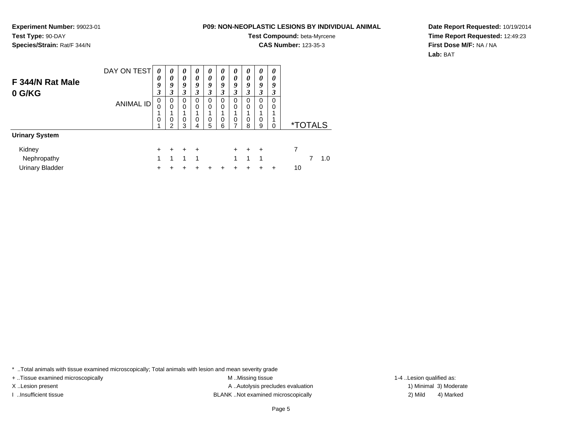**Experiment Number:** 99023-01**Test Type:** 90-DAY**Species/Strain:** Rat/F 344/N

#### **Test Compound:** beta-Myrcene**CAS Number:** 123-35-3

**Date Report Requested:** 10/19/2014**Time Report Requested:** 12:49:23**First Dose M/F:** NA / NA**Lab:** BAT

| F 344/N Rat Male<br>0 G/KG            | DAY ON TEST | $\boldsymbol{\theta}$<br>0<br>9<br>3 | 0<br>$\boldsymbol{\theta}$<br>9<br>3 | $\boldsymbol{\theta}$<br>$\boldsymbol{\theta}$<br>9<br>3 | 0<br>0<br>9<br>3           | 0<br>0<br>9<br>3 | 0<br>0<br>9<br>3 | 0<br>0<br>9<br>3 | 0<br>0<br>9<br>3 | 0<br>0<br>9<br>3 | $\boldsymbol{\theta}$<br>0<br>9<br>3 |                       |     |
|---------------------------------------|-------------|--------------------------------------|--------------------------------------|----------------------------------------------------------|----------------------------|------------------|------------------|------------------|------------------|------------------|--------------------------------------|-----------------------|-----|
|                                       | ANIMAL ID   | 0<br>0<br>$\mathbf 0$                | 0<br>$\Omega$<br>0<br>2              | 0<br>$\mathbf 0$<br>$\mathbf 0$<br>3                     | 0<br>0<br>$\mathbf 0$<br>4 | 0<br>0<br>0<br>5 | 0<br>0<br>0<br>6 | 0<br>0<br>0<br>∍ | 0<br>0<br>0<br>8 | 0<br>0<br>0<br>9 | 0<br>0<br>0                          | <i><b>*TOTALS</b></i> |     |
| <b>Urinary System</b>                 |             |                                      |                                      |                                                          |                            |                  |                  |                  |                  |                  |                                      |                       |     |
| Kidney                                |             | ٠                                    | ٠                                    | $\ddot{}$                                                | $\div$                     |                  |                  | ÷                | +                | $\ddot{}$        |                                      | 7                     |     |
| Nephropathy<br><b>Urinary Bladder</b> |             | 1<br>٠                               | 1                                    | 1                                                        | 1                          |                  |                  | 1                | 1                | 1                |                                      | 10                    | 1.0 |

\* ..Total animals with tissue examined microscopically; Total animals with lesion and mean severity grade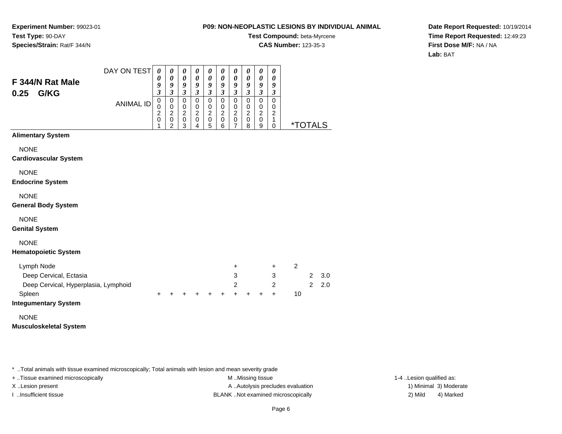**Experiment Number:** 99023-01**Test Type:** 90-DAY**Species/Strain:** Rat/F 344/N

#### **P09: NON-NEOPLASTIC LESIONS BY INDIVIDUAL ANIMAL**

**Test Compound:** beta-Myrcene

**CAS Number:** 123-35-3

**Date Report Requested:** 10/19/2014**Time Report Requested:** 12:49:23**First Dose M/F:** NA / NA**Lab:** BAT

| F 344/N Rat Male<br>G/KG<br>0.25               | DAY ON TEST      | $\boldsymbol{\theta}$<br>$\boldsymbol{\theta}$<br>9<br>$\overline{\mathbf{3}}$ | $\boldsymbol{\theta}$<br>$\boldsymbol{\theta}$<br>9<br>$\mathfrak{z}$       | $\boldsymbol{\theta}$<br>$\boldsymbol{\theta}$<br>9<br>$\mathfrak{z}$ | $\boldsymbol{\theta}$<br>$\boldsymbol{\theta}$<br>9<br>$\overline{\mathbf{3}}$ | $\boldsymbol{\theta}$<br>0<br>9<br>$\mathfrak{z}$              | $\pmb{\theta}$<br>$\boldsymbol{\theta}$<br>9<br>$\mathfrak{z}$ | $\pmb{\theta}$<br>0<br>9<br>$\overline{\mathbf{3}}$       | $\boldsymbol{\theta}$<br>0<br>9<br>$\mathfrak{z}$                  | $\boldsymbol{\theta}$<br>$\boldsymbol{\theta}$<br>$\boldsymbol{g}$<br>$\mathfrak{z}$ | $\boldsymbol{\theta}$<br>0<br>9<br>$\mathfrak{z}$                              |                |                       |     |
|------------------------------------------------|------------------|--------------------------------------------------------------------------------|-----------------------------------------------------------------------------|-----------------------------------------------------------------------|--------------------------------------------------------------------------------|----------------------------------------------------------------|----------------------------------------------------------------|-----------------------------------------------------------|--------------------------------------------------------------------|--------------------------------------------------------------------------------------|--------------------------------------------------------------------------------|----------------|-----------------------|-----|
|                                                | <b>ANIMAL ID</b> | $\pmb{0}$<br>$\mathsf 0$<br>$\overline{c}$<br>$\pmb{0}$<br>1                   | $\mathbf 0$<br>$\mathbf 0$<br>$\overline{2}$<br>$\pmb{0}$<br>$\overline{2}$ | $\overline{0}$<br>$\pmb{0}$<br>$\sqrt{2}$<br>$\pmb{0}$<br>3           | $\mathsf 0$<br>$\pmb{0}$<br>$\overline{c}$<br>$\mathbf 0$<br>4                 | $\pmb{0}$<br>$\mathbf 0$<br>$\overline{c}$<br>$\mathbf 0$<br>5 | $\pmb{0}$<br>$\pmb{0}$<br>$\overline{c}$<br>$\pmb{0}$<br>6     | $\mathsf 0$<br>0<br>$\overline{c}$<br>0<br>$\overline{7}$ | $\mathsf 0$<br>$\mathbf 0$<br>$\boldsymbol{2}$<br>$\mathbf 0$<br>8 | $\overline{0}$<br>$\mathbf 0$<br>$\overline{2}$<br>$\mathbf 0$<br>9                  | $\overline{0}$<br>$\pmb{0}$<br>$\boldsymbol{2}$<br>$\mathbf{1}$<br>$\mathbf 0$ |                | <i><b>*TOTALS</b></i> |     |
| <b>Alimentary System</b>                       |                  |                                                                                |                                                                             |                                                                       |                                                                                |                                                                |                                                                |                                                           |                                                                    |                                                                                      |                                                                                |                |                       |     |
| <b>NONE</b><br><b>Cardiovascular System</b>    |                  |                                                                                |                                                                             |                                                                       |                                                                                |                                                                |                                                                |                                                           |                                                                    |                                                                                      |                                                                                |                |                       |     |
| <b>NONE</b><br><b>Endocrine System</b>         |                  |                                                                                |                                                                             |                                                                       |                                                                                |                                                                |                                                                |                                                           |                                                                    |                                                                                      |                                                                                |                |                       |     |
| <b>NONE</b><br><b>General Body System</b>      |                  |                                                                                |                                                                             |                                                                       |                                                                                |                                                                |                                                                |                                                           |                                                                    |                                                                                      |                                                                                |                |                       |     |
| <b>NONE</b><br><b>Genital System</b>           |                  |                                                                                |                                                                             |                                                                       |                                                                                |                                                                |                                                                |                                                           |                                                                    |                                                                                      |                                                                                |                |                       |     |
| <b>NONE</b><br><b>Hematopoietic System</b>     |                  |                                                                                |                                                                             |                                                                       |                                                                                |                                                                |                                                                |                                                           |                                                                    |                                                                                      |                                                                                |                |                       |     |
| Lymph Node                                     |                  |                                                                                |                                                                             |                                                                       |                                                                                |                                                                |                                                                | +                                                         |                                                                    |                                                                                      | $\pm$                                                                          | $\overline{c}$ |                       |     |
| Deep Cervical, Ectasia                         |                  |                                                                                |                                                                             |                                                                       |                                                                                |                                                                |                                                                | 3                                                         |                                                                    |                                                                                      | 3                                                                              |                | $\overline{2}$        | 3.0 |
| Deep Cervical, Hyperplasia, Lymphoid<br>Spleen |                  | $\ddot{}$                                                                      |                                                                             | +                                                                     | ÷                                                                              | ٠                                                              | +                                                              | $\overline{2}$<br>$+$                                     | $+$                                                                | +                                                                                    | $\overline{2}$<br>$+$                                                          | 10             | 2                     | 2.0 |
| <b>Integumentary System</b>                    |                  |                                                                                |                                                                             |                                                                       |                                                                                |                                                                |                                                                |                                                           |                                                                    |                                                                                      |                                                                                |                |                       |     |
| <b>NONE</b><br><b>Musculoskeletal System</b>   |                  |                                                                                |                                                                             |                                                                       |                                                                                |                                                                |                                                                |                                                           |                                                                    |                                                                                      |                                                                                |                |                       |     |

\* ..Total animals with tissue examined microscopically; Total animals with lesion and mean severity grade

+ ..Tissue examined microscopically examined microscopically examined as: M ..Missing tissue 1-4 ..Lesion qualified as: X..Lesion present **A ..Autolysis precludes evaluation** A ..Autolysis precludes evaluation 1) Minimal 3) Moderate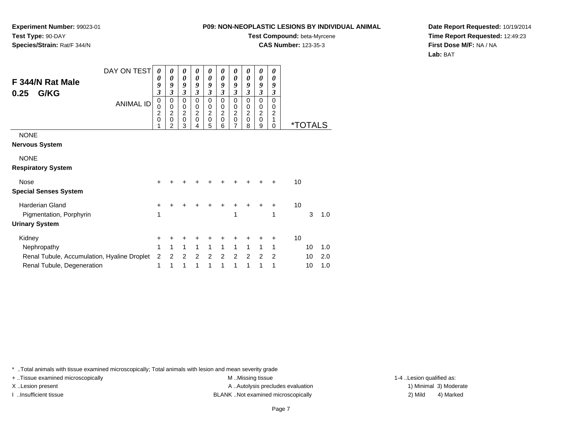**Experiment Number:** 99023-01**Test Type:** 90-DAY**Species/Strain:** Rat/F 344/N

#### **Test Compound:** beta-Myrcene**CAS Number:** 123-35-3

**Date Report Requested:** 10/19/2014**Time Report Requested:** 12:49:23**First Dose M/F:** NA / NA**Lab:** BAT

| F 344/N Rat Male<br>G/KG<br>0.25            | DAY ON TEST<br><b>ANIMAL ID</b> | 0<br>0<br>9<br>$\overline{\mathbf{3}}$<br>0<br>0<br>$\overline{c}$<br>$\mathbf 0$ | 0<br>0<br>9<br>$\mathfrak{z}$<br>0<br>0<br>$\overline{\mathbf{c}}$<br>$\mathbf 0$<br>$\overline{2}$ | 0<br>0<br>9<br>$\boldsymbol{\beta}$<br>$\mathbf 0$<br>$\pmb{0}$<br>$\overline{2}$<br>$\pmb{0}$<br>3 | 0<br>0<br>9<br>$\boldsymbol{\beta}$<br>0<br>0<br>$\overline{c}$<br>$\mathbf 0$<br>4 | 0<br>0<br>$\boldsymbol{g}$<br>$\boldsymbol{\beta}$<br>$\mathbf 0$<br>$\pmb{0}$<br>$\overline{2}$<br>$\mathbf 0$<br>5 | 0<br>0<br>$\boldsymbol{g}$<br>$\mathfrak{z}$<br>$\mathbf 0$<br>0<br>$\overline{c}$<br>0<br>6 | 0<br>0<br>9<br>$\mathfrak{z}$<br>$\mathbf 0$<br>0<br>$\boldsymbol{2}$<br>$\mathbf 0$<br>$\overline{7}$ | 0<br>0<br>9<br>3<br>0<br>0<br>$\overline{c}$<br>$\mathbf 0$<br>8 | 0<br>0<br>9<br>$\mathfrak{z}$<br>$\mathbf 0$<br>0<br>$\boldsymbol{2}$<br>$\mathbf 0$<br>9 | 0<br>0<br>9<br>3<br>$\Omega$<br>0<br>$\overline{c}$<br>1<br>0 |    | <i><b>*TOTALS</b></i> |     |
|---------------------------------------------|---------------------------------|-----------------------------------------------------------------------------------|-----------------------------------------------------------------------------------------------------|-----------------------------------------------------------------------------------------------------|-------------------------------------------------------------------------------------|----------------------------------------------------------------------------------------------------------------------|----------------------------------------------------------------------------------------------|--------------------------------------------------------------------------------------------------------|------------------------------------------------------------------|-------------------------------------------------------------------------------------------|---------------------------------------------------------------|----|-----------------------|-----|
| <b>NONE</b><br><b>Nervous System</b>        |                                 |                                                                                   |                                                                                                     |                                                                                                     |                                                                                     |                                                                                                                      |                                                                                              |                                                                                                        |                                                                  |                                                                                           |                                                               |    |                       |     |
| <b>NONE</b><br><b>Respiratory System</b>    |                                 |                                                                                   |                                                                                                     |                                                                                                     |                                                                                     |                                                                                                                      |                                                                                              |                                                                                                        |                                                                  |                                                                                           |                                                               |    |                       |     |
| Nose                                        |                                 | +                                                                                 |                                                                                                     |                                                                                                     |                                                                                     |                                                                                                                      |                                                                                              |                                                                                                        |                                                                  |                                                                                           | +                                                             | 10 |                       |     |
| <b>Special Senses System</b>                |                                 |                                                                                   |                                                                                                     |                                                                                                     |                                                                                     |                                                                                                                      |                                                                                              |                                                                                                        |                                                                  |                                                                                           |                                                               |    |                       |     |
| <b>Harderian Gland</b>                      |                                 | +                                                                                 |                                                                                                     |                                                                                                     |                                                                                     |                                                                                                                      |                                                                                              | ٠                                                                                                      |                                                                  | +                                                                                         | +                                                             | 10 |                       |     |
| Pigmentation, Porphyrin                     |                                 | 1                                                                                 |                                                                                                     |                                                                                                     |                                                                                     |                                                                                                                      |                                                                                              | 1                                                                                                      |                                                                  |                                                                                           | 1                                                             |    | 3                     | 1.0 |
| <b>Urinary System</b>                       |                                 |                                                                                   |                                                                                                     |                                                                                                     |                                                                                     |                                                                                                                      |                                                                                              |                                                                                                        |                                                                  |                                                                                           |                                                               |    |                       |     |
| Kidney                                      |                                 | +                                                                                 |                                                                                                     |                                                                                                     |                                                                                     |                                                                                                                      |                                                                                              |                                                                                                        |                                                                  |                                                                                           | ٠                                                             | 10 |                       |     |
| Nephropathy                                 |                                 | 1                                                                                 | 1                                                                                                   | 1                                                                                                   | 1                                                                                   | 1                                                                                                                    | 1                                                                                            | 1                                                                                                      | 1                                                                | 1                                                                                         | 1                                                             |    | 10                    | 1.0 |
| Renal Tubule, Accumulation, Hyaline Droplet |                                 | 2                                                                                 | 2                                                                                                   | 2                                                                                                   | 2                                                                                   | 2                                                                                                                    | 2                                                                                            | 2                                                                                                      | 2                                                                | 2                                                                                         | $\overline{2}$                                                |    | 10                    | 2.0 |
| Renal Tubule, Degeneration                  |                                 | 1                                                                                 | 1                                                                                                   | 1                                                                                                   | 1                                                                                   | 1                                                                                                                    | 1                                                                                            | 1                                                                                                      | 1                                                                | 1                                                                                         | 1                                                             |    | 10                    | 1.0 |

\* ..Total animals with tissue examined microscopically; Total animals with lesion and mean severity grade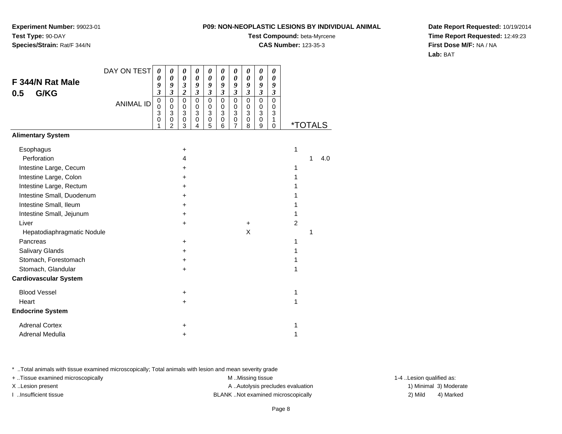**Experiment Number:** 99023-01**Test Type:** 90-DAY**Species/Strain:** Rat/F 344/N

## **Test Compound:** beta-Myrcene

**CAS Number:** 123-35-3

**Date Report Requested:** 10/19/2014**Time Report Requested:** 12:49:23**First Dose M/F:** NA / NA**Lab:** BAT

| F 344/N Rat Male<br>G/KG<br>0.5 | DAY ON TEST      | $\boldsymbol{\theta}$<br>0<br>9<br>$\overline{\mathbf{3}}$ | $\boldsymbol{\theta}$<br>0<br>9<br>$\mathfrak{z}$    | $\boldsymbol{\theta}$<br>$\boldsymbol{\theta}$<br>$\boldsymbol{\mathfrak{z}}$<br>$\boldsymbol{2}$ | 0<br>$\boldsymbol{\theta}$<br>9<br>$\mathfrak{z}$ | $\boldsymbol{\theta}$<br>$\boldsymbol{\theta}$<br>9<br>$\mathfrak{z}$ | 0<br>$\boldsymbol{\theta}$<br>9<br>$\mathfrak{z}$               | 0<br>$\pmb{\theta}$<br>9<br>$\boldsymbol{\mathfrak{z}}$   | 0<br>0<br>9<br>$\mathfrak{z}$ | 0<br>$\boldsymbol{\theta}$<br>9<br>$\mathfrak{z}$ | 0<br>0<br>9<br>$\boldsymbol{\beta}$                  |   |                       |     |
|---------------------------------|------------------|------------------------------------------------------------|------------------------------------------------------|---------------------------------------------------------------------------------------------------|---------------------------------------------------|-----------------------------------------------------------------------|-----------------------------------------------------------------|-----------------------------------------------------------|-------------------------------|---------------------------------------------------|------------------------------------------------------|---|-----------------------|-----|
|                                 | <b>ANIMAL ID</b> | $\pmb{0}$<br>0<br>3<br>0<br>1                              | $\mathbf 0$<br>$\pmb{0}$<br>3<br>0<br>$\mathfrak{p}$ | $\mathbf 0$<br>$\pmb{0}$<br>$\ensuremath{\mathsf{3}}$<br>$\pmb{0}$<br>$\overline{3}$              | $\mathbf 0$<br>$\pmb{0}$<br>3<br>0<br>4           | $\mathbf 0$<br>$\mathbf 0$<br>$\overline{3}$<br>0<br>$\overline{5}$   | $\mathbf 0$<br>$\pmb{0}$<br>$\ensuremath{\mathsf{3}}$<br>0<br>6 | $\mathsf 0$<br>0<br>$\overline{3}$<br>0<br>$\overline{7}$ | 0<br>0<br>3<br>0<br>8         | $\mathbf 0$<br>$\mathbf 0$<br>3<br>0<br>9         | $\mathbf 0$<br>0<br>$\mathbf{3}$<br>1<br>$\mathbf 0$ |   | <i><b>*TOTALS</b></i> |     |
| <b>Alimentary System</b>        |                  |                                                            |                                                      |                                                                                                   |                                                   |                                                                       |                                                                 |                                                           |                               |                                                   |                                                      |   |                       |     |
| Esophagus<br>Perforation        |                  |                                                            |                                                      | $\ddot{}$<br>$\overline{4}$                                                                       |                                                   |                                                                       |                                                                 |                                                           |                               |                                                   |                                                      | 1 | 1                     | 4.0 |
| Intestine Large, Cecum          |                  |                                                            |                                                      | +                                                                                                 |                                                   |                                                                       |                                                                 |                                                           |                               |                                                   |                                                      | 1 |                       |     |
| Intestine Large, Colon          |                  |                                                            |                                                      | +                                                                                                 |                                                   |                                                                       |                                                                 |                                                           |                               |                                                   |                                                      | 1 |                       |     |
| Intestine Large, Rectum         |                  |                                                            |                                                      | +                                                                                                 |                                                   |                                                                       |                                                                 |                                                           |                               |                                                   |                                                      |   |                       |     |
| Intestine Small, Duodenum       |                  |                                                            |                                                      | +                                                                                                 |                                                   |                                                                       |                                                                 |                                                           |                               |                                                   |                                                      |   |                       |     |
| Intestine Small, Ileum          |                  |                                                            |                                                      | $\ddot{}$                                                                                         |                                                   |                                                                       |                                                                 |                                                           |                               |                                                   |                                                      |   |                       |     |
| Intestine Small, Jejunum        |                  |                                                            |                                                      | $\ddot{}$                                                                                         |                                                   |                                                                       |                                                                 |                                                           |                               |                                                   |                                                      | 1 |                       |     |
| Liver                           |                  |                                                            |                                                      | +                                                                                                 |                                                   |                                                                       |                                                                 |                                                           | $\ddot{}$                     |                                                   |                                                      | 2 |                       |     |
| Hepatodiaphragmatic Nodule      |                  |                                                            |                                                      |                                                                                                   |                                                   |                                                                       |                                                                 |                                                           | X                             |                                                   |                                                      |   | 1                     |     |
| Pancreas                        |                  |                                                            |                                                      | $\ddot{}$                                                                                         |                                                   |                                                                       |                                                                 |                                                           |                               |                                                   |                                                      | 1 |                       |     |
| <b>Salivary Glands</b>          |                  |                                                            |                                                      | +                                                                                                 |                                                   |                                                                       |                                                                 |                                                           |                               |                                                   |                                                      | 1 |                       |     |
| Stomach, Forestomach            |                  |                                                            |                                                      | +                                                                                                 |                                                   |                                                                       |                                                                 |                                                           |                               |                                                   |                                                      |   |                       |     |
| Stomach, Glandular              |                  |                                                            |                                                      | +                                                                                                 |                                                   |                                                                       |                                                                 |                                                           |                               |                                                   |                                                      | 1 |                       |     |
| <b>Cardiovascular System</b>    |                  |                                                            |                                                      |                                                                                                   |                                                   |                                                                       |                                                                 |                                                           |                               |                                                   |                                                      |   |                       |     |
| <b>Blood Vessel</b>             |                  |                                                            |                                                      | $\ddot{}$                                                                                         |                                                   |                                                                       |                                                                 |                                                           |                               |                                                   |                                                      | 1 |                       |     |
| Heart                           |                  |                                                            |                                                      | +                                                                                                 |                                                   |                                                                       |                                                                 |                                                           |                               |                                                   |                                                      | 1 |                       |     |
| <b>Endocrine System</b>         |                  |                                                            |                                                      |                                                                                                   |                                                   |                                                                       |                                                                 |                                                           |                               |                                                   |                                                      |   |                       |     |
| <b>Adrenal Cortex</b>           |                  |                                                            |                                                      | +                                                                                                 |                                                   |                                                                       |                                                                 |                                                           |                               |                                                   |                                                      | 1 |                       |     |
| Adrenal Medulla                 |                  |                                                            |                                                      | +                                                                                                 |                                                   |                                                                       |                                                                 |                                                           |                               |                                                   |                                                      | 1 |                       |     |

\* ..Total animals with tissue examined microscopically; Total animals with lesion and mean severity grade

+ ..Tissue examined microscopically examined microscopically examined as: M ..Missing tissue 1-4 ..Lesion qualified as: X..Lesion present **A ..Autolysis precludes evaluation** A ..Autolysis precludes evaluation 1) Minimal 3) Moderate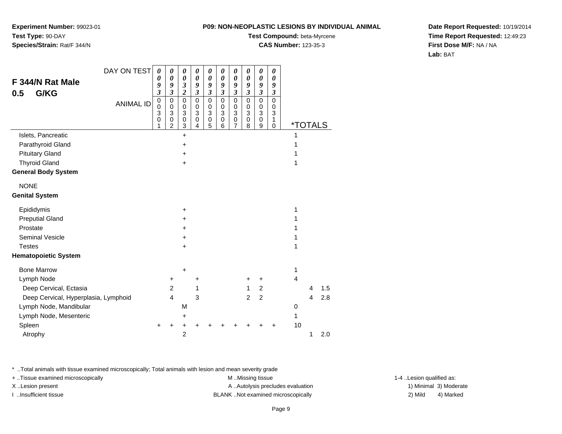**Experiment Number:** 99023-01**Test Type:** 90-DAY**Species/Strain:** Rat/F 344/N

## **Test Compound:** beta-Myrcene

**CAS Number:** 123-35-3

**Date Report Requested:** 10/19/2014**Time Report Requested:** 12:49:23**First Dose M/F:** NA / NA**Lab:** BAT

|                                      | DAY ON TEST      | $\boldsymbol{\theta}$<br>0                                                 | 0<br>0                                                                          | 0<br>0                                                                    | 0<br>0                                                                 | 0<br>$\boldsymbol{\theta}$                                            | $\boldsymbol{\theta}$<br>0                                                | 0<br>$\boldsymbol{\theta}$                                              | 0<br>0                                           | 0<br>0                                                                           | 0<br>0                               |                       |   |     |
|--------------------------------------|------------------|----------------------------------------------------------------------------|---------------------------------------------------------------------------------|---------------------------------------------------------------------------|------------------------------------------------------------------------|-----------------------------------------------------------------------|---------------------------------------------------------------------------|-------------------------------------------------------------------------|--------------------------------------------------|----------------------------------------------------------------------------------|--------------------------------------|-----------------------|---|-----|
| F 344/N Rat Male                     |                  | 9                                                                          | 9                                                                               | $\boldsymbol{\mathfrak{z}}$                                               | 9                                                                      | 9                                                                     | 9                                                                         | 9                                                                       | 9                                                | 9                                                                                | 9                                    |                       |   |     |
| G/KG<br>0.5                          | <b>ANIMAL ID</b> | $\overline{\mathbf{3}}$<br>$\pmb{0}$<br>$\mathbf 0$<br>3<br>$\pmb{0}$<br>1 | $\overline{\mathbf{3}}$<br>$\mathbf 0$<br>$\pmb{0}$<br>3<br>0<br>$\overline{2}$ | $\overline{2}$<br>$\mathsf 0$<br>0<br>$\ensuremath{\mathsf{3}}$<br>0<br>3 | $\mathfrak{z}$<br>$\mathbf 0$<br>$\mathbf 0$<br>$\mathbf{3}$<br>0<br>4 | $\boldsymbol{\beta}$<br>$\mathbf 0$<br>$\pmb{0}$<br>3<br>$\,0\,$<br>5 | $\mathfrak{z}$<br>$\mathsf 0$<br>0<br>$\ensuremath{\mathsf{3}}$<br>0<br>6 | $\overline{\mathbf{3}}$<br>0<br>$\mathbf 0$<br>3<br>0<br>$\overline{7}$ | $\overline{\mathbf{3}}$<br>0<br>0<br>3<br>0<br>8 | $\boldsymbol{\mathfrak{z}}$<br>$\mathbf 0$<br>$\pmb{0}$<br>3<br>$\mathbf 0$<br>9 | 3<br>$\mathbf 0$<br>0<br>3<br>1<br>0 | <i><b>*TOTALS</b></i> |   |     |
| Islets, Pancreatic                   |                  |                                                                            |                                                                                 | $\ddot{}$                                                                 |                                                                        |                                                                       |                                                                           |                                                                         |                                                  |                                                                                  |                                      |                       |   |     |
| Parathyroid Gland                    |                  |                                                                            |                                                                                 | +                                                                         |                                                                        |                                                                       |                                                                           |                                                                         |                                                  |                                                                                  |                                      |                       |   |     |
| <b>Pituitary Gland</b>               |                  |                                                                            |                                                                                 | $\ddot{}$                                                                 |                                                                        |                                                                       |                                                                           |                                                                         |                                                  |                                                                                  |                                      |                       |   |     |
| <b>Thyroid Gland</b>                 |                  |                                                                            |                                                                                 | +                                                                         |                                                                        |                                                                       |                                                                           |                                                                         |                                                  |                                                                                  |                                      |                       |   |     |
| <b>General Body System</b>           |                  |                                                                            |                                                                                 |                                                                           |                                                                        |                                                                       |                                                                           |                                                                         |                                                  |                                                                                  |                                      |                       |   |     |
| <b>NONE</b>                          |                  |                                                                            |                                                                                 |                                                                           |                                                                        |                                                                       |                                                                           |                                                                         |                                                  |                                                                                  |                                      |                       |   |     |
| <b>Genital System</b>                |                  |                                                                            |                                                                                 |                                                                           |                                                                        |                                                                       |                                                                           |                                                                         |                                                  |                                                                                  |                                      |                       |   |     |
| Epididymis                           |                  |                                                                            |                                                                                 | +                                                                         |                                                                        |                                                                       |                                                                           |                                                                         |                                                  |                                                                                  |                                      | 1                     |   |     |
| <b>Preputial Gland</b>               |                  |                                                                            |                                                                                 | $\ddot{}$                                                                 |                                                                        |                                                                       |                                                                           |                                                                         |                                                  |                                                                                  |                                      |                       |   |     |
| Prostate                             |                  |                                                                            |                                                                                 | $\ddot{}$                                                                 |                                                                        |                                                                       |                                                                           |                                                                         |                                                  |                                                                                  |                                      |                       |   |     |
| <b>Seminal Vesicle</b>               |                  |                                                                            |                                                                                 | +                                                                         |                                                                        |                                                                       |                                                                           |                                                                         |                                                  |                                                                                  |                                      |                       |   |     |
| <b>Testes</b>                        |                  |                                                                            |                                                                                 | +                                                                         |                                                                        |                                                                       |                                                                           |                                                                         |                                                  |                                                                                  |                                      | 1                     |   |     |
| <b>Hematopoietic System</b>          |                  |                                                                            |                                                                                 |                                                                           |                                                                        |                                                                       |                                                                           |                                                                         |                                                  |                                                                                  |                                      |                       |   |     |
| <b>Bone Marrow</b>                   |                  |                                                                            |                                                                                 | $\ddot{}$                                                                 |                                                                        |                                                                       |                                                                           |                                                                         |                                                  |                                                                                  |                                      | 1                     |   |     |
| Lymph Node                           |                  |                                                                            | +                                                                               |                                                                           | +                                                                      |                                                                       |                                                                           |                                                                         | +                                                | $\ddot{}$                                                                        |                                      | 4                     |   |     |
| Deep Cervical, Ectasia               |                  |                                                                            | $\overline{2}$                                                                  |                                                                           | 1                                                                      |                                                                       |                                                                           |                                                                         | $\mathbf{1}$                                     | $\boldsymbol{2}$                                                                 |                                      |                       | 4 | 1.5 |
| Deep Cervical, Hyperplasia, Lymphoid |                  |                                                                            | 4                                                                               |                                                                           | 3                                                                      |                                                                       |                                                                           |                                                                         | 2                                                | $\overline{2}$                                                                   |                                      |                       | 4 | 2.8 |
| Lymph Node, Mandibular               |                  |                                                                            |                                                                                 | M                                                                         |                                                                        |                                                                       |                                                                           |                                                                         |                                                  |                                                                                  |                                      | 0                     |   |     |
| Lymph Node, Mesenteric               |                  |                                                                            |                                                                                 | +                                                                         |                                                                        |                                                                       |                                                                           |                                                                         |                                                  |                                                                                  |                                      | 1                     |   |     |
| Spleen                               |                  | +                                                                          |                                                                                 | +                                                                         |                                                                        |                                                                       |                                                                           |                                                                         |                                                  |                                                                                  |                                      | 10                    |   |     |
| Atrophy                              |                  |                                                                            |                                                                                 | $\overline{2}$                                                            |                                                                        |                                                                       |                                                                           |                                                                         |                                                  |                                                                                  |                                      |                       | 1 | 2.0 |

\* ..Total animals with tissue examined microscopically; Total animals with lesion and mean severity grade

+ ..Tissue examined microscopically examined microscopically examined as: M ..Missing tissue 1-4 ..Lesion qualified as: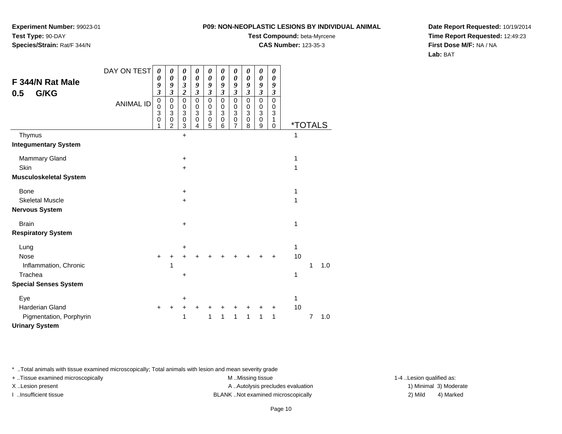**Experiment Number:** 99023-01**Test Type:** 90-DAY**Species/Strain:** Rat/F 344/N

### **Test Compound:** beta-Myrcene

**CAS Number:** 123-35-3

**Date Report Requested:** 10/19/2014**Time Report Requested:** 12:49:23**First Dose M/F:** NA / NA**Lab:** BAT

|                               | DAY ON TEST      | 0                                | 0                                            | 0                               | 0                                                  | 0                                                            | 0                           | 0                                         | $\boldsymbol{\theta}$                                   | $\boldsymbol{\theta}$                                                   | 0                                          |    |                       |     |
|-------------------------------|------------------|----------------------------------|----------------------------------------------|---------------------------------|----------------------------------------------------|--------------------------------------------------------------|-----------------------------|-------------------------------------------|---------------------------------------------------------|-------------------------------------------------------------------------|--------------------------------------------|----|-----------------------|-----|
| F 344/N Rat Male              |                  | 0<br>9                           | $\boldsymbol{\theta}$<br>9                   | 0<br>$\boldsymbol{\beta}$       | $\boldsymbol{\theta}$<br>9                         | 0<br>9                                                       | $\boldsymbol{\theta}$<br>9  | 0<br>9                                    | $\boldsymbol{\theta}$<br>9                              | $\boldsymbol{\theta}$<br>9                                              | 0<br>9                                     |    |                       |     |
| G/KG<br>0.5                   |                  | 3                                | $\overline{\mathbf{3}}$                      | $\overline{c}$                  | $\mathfrak{z}$                                     | $\mathfrak{z}$                                               | $\boldsymbol{\mathfrak{z}}$ | $\boldsymbol{\beta}$                      | $\boldsymbol{\beta}$                                    | $\boldsymbol{\beta}$                                                    | $\boldsymbol{\beta}$                       |    |                       |     |
|                               | <b>ANIMAL ID</b> | $\,0\,$<br>0<br>3<br>$\mathbf 0$ | 0<br>0<br>3<br>$\mathbf 0$<br>$\overline{2}$ | $\mathbf 0$<br>0<br>3<br>0<br>3 | $\pmb{0}$<br>0<br>$\mathbf{3}$<br>$\mathbf 0$<br>4 | $\pmb{0}$<br>$\pmb{0}$<br>$\overline{3}$<br>$\mathbf 0$<br>5 | 0<br>0<br>3<br>0<br>6       | $\mathbf 0$<br>0<br>3<br>$\mathbf 0$<br>7 | $\pmb{0}$<br>0<br>$\overline{3}$<br>$\overline{0}$<br>8 | $\pmb{0}$<br>$\pmb{0}$<br>$\ensuremath{\mathsf{3}}$<br>$\mathsf 0$<br>9 | 0<br>0<br>3<br>$\mathbf{1}$<br>$\mathbf 0$ |    | <i><b>*TOTALS</b></i> |     |
| Thymus                        |                  |                                  |                                              | $\ddot{}$                       |                                                    |                                                              |                             |                                           |                                                         |                                                                         |                                            | 1  |                       |     |
| <b>Integumentary System</b>   |                  |                                  |                                              |                                 |                                                    |                                                              |                             |                                           |                                                         |                                                                         |                                            |    |                       |     |
| Mammary Gland                 |                  |                                  |                                              | $\ddot{}$                       |                                                    |                                                              |                             |                                           |                                                         |                                                                         |                                            | 1  |                       |     |
| Skin                          |                  |                                  |                                              | $\ddot{}$                       |                                                    |                                                              |                             |                                           |                                                         |                                                                         |                                            | 1  |                       |     |
| <b>Musculoskeletal System</b> |                  |                                  |                                              |                                 |                                                    |                                                              |                             |                                           |                                                         |                                                                         |                                            |    |                       |     |
| <b>Bone</b>                   |                  |                                  |                                              | +                               |                                                    |                                                              |                             |                                           |                                                         |                                                                         |                                            | 1  |                       |     |
| <b>Skeletal Muscle</b>        |                  |                                  |                                              | +                               |                                                    |                                                              |                             |                                           |                                                         |                                                                         |                                            | 1  |                       |     |
| <b>Nervous System</b>         |                  |                                  |                                              |                                 |                                                    |                                                              |                             |                                           |                                                         |                                                                         |                                            |    |                       |     |
| <b>Brain</b>                  |                  |                                  |                                              | +                               |                                                    |                                                              |                             |                                           |                                                         |                                                                         |                                            | 1  |                       |     |
| <b>Respiratory System</b>     |                  |                                  |                                              |                                 |                                                    |                                                              |                             |                                           |                                                         |                                                                         |                                            |    |                       |     |
| Lung                          |                  |                                  |                                              | +                               |                                                    |                                                              |                             |                                           |                                                         |                                                                         |                                            | 1  |                       |     |
| Nose                          |                  | $\ddot{}$                        |                                              | $\ddot{}$                       |                                                    |                                                              |                             |                                           |                                                         |                                                                         |                                            | 10 |                       |     |
| Inflammation, Chronic         |                  |                                  | 1                                            |                                 |                                                    |                                                              |                             |                                           |                                                         |                                                                         |                                            |    | 1                     | 1.0 |
| Trachea                       |                  |                                  |                                              | +                               |                                                    |                                                              |                             |                                           |                                                         |                                                                         |                                            | 1  |                       |     |
| <b>Special Senses System</b>  |                  |                                  |                                              |                                 |                                                    |                                                              |                             |                                           |                                                         |                                                                         |                                            |    |                       |     |
| Eye                           |                  |                                  |                                              | +                               |                                                    |                                                              |                             |                                           |                                                         |                                                                         |                                            | 1  |                       |     |
| <b>Harderian Gland</b>        |                  | $\ddot{}$                        | +                                            | +                               | +                                                  | +                                                            | +                           | +                                         |                                                         |                                                                         | +                                          | 10 |                       |     |
| Pigmentation, Porphyrin       |                  |                                  |                                              | 1                               |                                                    | 1                                                            | 1                           | 1                                         | $\mathbf{1}$                                            | 1                                                                       | 1                                          |    | 7                     | 1.0 |
| <b>Urinary System</b>         |                  |                                  |                                              |                                 |                                                    |                                                              |                             |                                           |                                                         |                                                                         |                                            |    |                       |     |

\* ..Total animals with tissue examined microscopically; Total animals with lesion and mean severity grade

+ ..Tissue examined microscopically examined microscopically examined as:  $M$  ..Missing tissue 1-4 ..Lesion qualified as:

X..Lesion present **A ..Autolysis precludes evaluation** A ..Autolysis precludes evaluation 1) Minimal 3) Moderate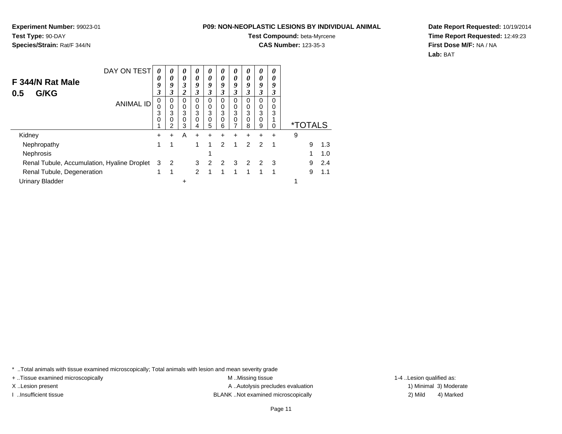**Experiment Number:** 99023-01**Test Type:** 90-DAY**Species/Strain:** Rat/F 344/N

## **Test Compound:** beta-Myrcene

**CAS Number:** 123-35-3

**Date Report Requested:** 10/19/2014**Time Report Requested:** 12:49:23**First Dose M/F:** NA / NA**Lab:** BAT

|                                             | DAY ON TEST      | 0                | 0                               | 0                     | 0                     | 0                     | 0                     | $\boldsymbol{\theta}$ | 0                     | 0                     | 0           |   |                       |     |
|---------------------------------------------|------------------|------------------|---------------------------------|-----------------------|-----------------------|-----------------------|-----------------------|-----------------------|-----------------------|-----------------------|-------------|---|-----------------------|-----|
| F 344/N Rat Male                            |                  | 0<br>9           | 0<br>9                          | 0<br>3                | 0<br>9                | 0<br>9                | 0<br>9                | 0<br>9                | 0<br>9                | 0<br>9                | 0<br>9      |   |                       |     |
| G/KG<br>0.5                                 |                  | 3                | 3                               | 2                     | 3                     | 3                     | 3                     | 3                     | 3                     | 3                     | 3           |   |                       |     |
| Kidney                                      | <b>ANIMAL ID</b> | 0<br>0<br>3<br>0 | 0<br>$\mathbf 0$<br>3<br>0<br>2 | 0<br>0<br>3<br>0<br>3 | 0<br>0<br>3<br>0<br>4 | 0<br>0<br>3<br>0<br>5 | 0<br>0<br>3<br>0<br>6 | 0<br>0<br>3<br>0      | 0<br>0<br>3<br>0<br>8 | 0<br>0<br>3<br>0<br>9 | 0<br>0<br>3 |   | <i><b>*TOTALS</b></i> |     |
|                                             |                  | +                | $+$                             | A                     | $\pm$                 | +                     | +                     | ٠                     | +                     | $\ddot{}$             | $\ddot{}$   | 9 |                       |     |
| Nephropathy                                 |                  |                  | 1                               |                       | 1                     | $\blacktriangleleft$  | $\mathcal{P}$         | 1                     | $\mathcal{P}$         | 2                     | 1           |   | 9                     | 1.3 |
| <b>Nephrosis</b>                            |                  |                  |                                 |                       |                       |                       |                       |                       |                       |                       |             |   | 1                     | 1.0 |
| Renal Tubule, Accumulation, Hyaline Droplet |                  | 3                | $\overline{\mathbf{2}}$         |                       | 3                     | $\overline{2}$        | $\mathcal{P}$         | 3                     | 2                     | 2                     | -3          |   | 9                     | 2.4 |
| Renal Tubule, Degeneration                  |                  | 1                | 1                               |                       | $\overline{2}$        | 1                     | 1.                    |                       | 1                     | 1                     | 1           |   | 9                     | 1.1 |
| <b>Urinary Bladder</b>                      |                  |                  |                                 | +                     |                       |                       |                       |                       |                       |                       |             |   |                       |     |

\* ..Total animals with tissue examined microscopically; Total animals with lesion and mean severity grade

+ ..Tissue examined microscopically examined microscopically examined as: M ..Missing tissue 1-4 ..Lesion qualified as: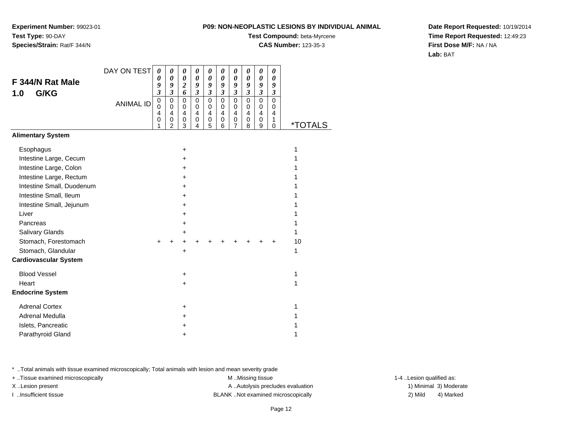**Experiment Number:** 99023-01**Test Type:** 90-DAY**Species/Strain:** Rat/F 344/N

## **Test Compound:** beta-Myrcene

**CAS Number:** 123-35-3

**Date Report Requested:** 10/19/2014**Time Report Requested:** 12:49:23**First Dose M/F:** NA / NA**Lab:** BAT

|                              | DAY ON TEST      | 0<br>0                                 | 0<br>0                                        | $\boldsymbol{\theta}$<br>$\boldsymbol{\theta}$ | 0<br>$\boldsymbol{\theta}$         | 0<br>$\boldsymbol{\theta}$                | 0<br>0                        | $\boldsymbol{\theta}$<br>$\boldsymbol{\theta}$         | 0<br>0                                      | 0<br>$\pmb{\theta}$                         | 0<br>0                |                       |
|------------------------------|------------------|----------------------------------------|-----------------------------------------------|------------------------------------------------|------------------------------------|-------------------------------------------|-------------------------------|--------------------------------------------------------|---------------------------------------------|---------------------------------------------|-----------------------|-----------------------|
| F 344/N Rat Male             |                  | 9                                      | 9                                             | $\overline{2}$                                 | 9                                  | 9                                         | 9                             | 9                                                      | 9                                           | 9                                           | 9                     |                       |
| G/KG<br>1.0                  |                  | $\overline{\mathbf{3}}$<br>$\mathbf 0$ | $\mathfrak{z}$<br>$\mathbf 0$                 | 6<br>$\mathbf 0$                               | $\mathfrak{z}$<br>$\Omega$         | $\mathfrak{z}$<br>0                       | $\mathfrak{z}$<br>$\mathbf 0$ | $\mathfrak{z}$<br>$\mathbf 0$                          | $\mathfrak{z}$<br>$\mathbf 0$               | $\boldsymbol{\mathfrak{z}}$<br>$\mathbf 0$  | 3<br>$\mathbf 0$      |                       |
|                              | <b>ANIMAL ID</b> | $\mathbf 0$                            | 0                                             | 0                                              | 0                                  | 0                                         | 0                             | 0                                                      | 0                                           | 0                                           | 0                     |                       |
|                              |                  | 4<br>0<br>1                            | $\overline{4}$<br>$\pmb{0}$<br>$\overline{2}$ | $\overline{\mathbf{4}}$<br>$\pmb{0}$<br>3      | $\overline{4}$<br>$\mathbf 0$<br>4 | $\overline{\mathbf{4}}$<br>$\pmb{0}$<br>5 | 4<br>0<br>6                   | $\overline{\mathbf{4}}$<br>$\pmb{0}$<br>$\overline{7}$ | $\overline{\mathbf{4}}$<br>$\mathbf 0$<br>8 | $\overline{\mathbf{4}}$<br>$\mathbf 0$<br>9 | 4<br>1<br>$\mathbf 0$ | <i><b>*TOTALS</b></i> |
| <b>Alimentary System</b>     |                  |                                        |                                               |                                                |                                    |                                           |                               |                                                        |                                             |                                             |                       |                       |
| Esophagus                    |                  |                                        |                                               | $\ddot{}$                                      |                                    |                                           |                               |                                                        |                                             |                                             |                       | 1                     |
| Intestine Large, Cecum       |                  |                                        |                                               | $\ddot{}$                                      |                                    |                                           |                               |                                                        |                                             |                                             |                       |                       |
| Intestine Large, Colon       |                  |                                        |                                               | +                                              |                                    |                                           |                               |                                                        |                                             |                                             |                       |                       |
| Intestine Large, Rectum      |                  |                                        |                                               | +                                              |                                    |                                           |                               |                                                        |                                             |                                             |                       |                       |
| Intestine Small, Duodenum    |                  |                                        |                                               | +                                              |                                    |                                           |                               |                                                        |                                             |                                             |                       |                       |
| Intestine Small, Ileum       |                  |                                        |                                               | +                                              |                                    |                                           |                               |                                                        |                                             |                                             |                       |                       |
| Intestine Small, Jejunum     |                  |                                        |                                               | +                                              |                                    |                                           |                               |                                                        |                                             |                                             |                       |                       |
| Liver                        |                  |                                        |                                               | +                                              |                                    |                                           |                               |                                                        |                                             |                                             |                       |                       |
| Pancreas                     |                  |                                        |                                               | +                                              |                                    |                                           |                               |                                                        |                                             |                                             |                       |                       |
| Salivary Glands              |                  |                                        |                                               | +                                              |                                    |                                           |                               |                                                        |                                             |                                             |                       |                       |
| Stomach, Forestomach         |                  | +                                      |                                               | $\ddot{}$                                      |                                    |                                           |                               |                                                        |                                             |                                             |                       | 10                    |
| Stomach, Glandular           |                  |                                        |                                               | +                                              |                                    |                                           |                               |                                                        |                                             |                                             |                       | 1                     |
| <b>Cardiovascular System</b> |                  |                                        |                                               |                                                |                                    |                                           |                               |                                                        |                                             |                                             |                       |                       |
| <b>Blood Vessel</b>          |                  |                                        |                                               | $\ddot{}$                                      |                                    |                                           |                               |                                                        |                                             |                                             |                       | 1                     |
| Heart                        |                  |                                        |                                               | $\ddot{}$                                      |                                    |                                           |                               |                                                        |                                             |                                             |                       | 1                     |
| <b>Endocrine System</b>      |                  |                                        |                                               |                                                |                                    |                                           |                               |                                                        |                                             |                                             |                       |                       |
| <b>Adrenal Cortex</b>        |                  |                                        |                                               | $\ddot{}$                                      |                                    |                                           |                               |                                                        |                                             |                                             |                       | 1                     |
| <b>Adrenal Medulla</b>       |                  |                                        |                                               | +                                              |                                    |                                           |                               |                                                        |                                             |                                             |                       |                       |
| Islets, Pancreatic           |                  |                                        |                                               | +                                              |                                    |                                           |                               |                                                        |                                             |                                             |                       |                       |
| Parathyroid Gland            |                  |                                        |                                               | +                                              |                                    |                                           |                               |                                                        |                                             |                                             |                       | 1                     |

\* ..Total animals with tissue examined microscopically; Total animals with lesion and mean severity grade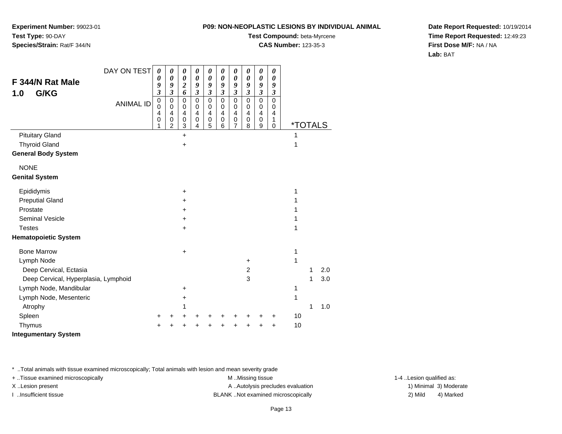**Experiment Number:** 99023-01**Test Type:** 90-DAY**Species/Strain:** Rat/F 344/N

## **Test Compound:** beta-Myrcene

**CAS Number:** 123-35-3

**Date Report Requested:** 10/19/2014**Time Report Requested:** 12:49:23**First Dose M/F:** NA / NA**Lab:** BAT

| DAY ON TEST                          | 0                                       | 0                               | 0                                                | 0                                                      | 0                                         | 0                                                      | 0                                                    | 0                                                    | $\boldsymbol{\theta}$           | 0                               |                       |   |     |
|--------------------------------------|-----------------------------------------|---------------------------------|--------------------------------------------------|--------------------------------------------------------|-------------------------------------------|--------------------------------------------------------|------------------------------------------------------|------------------------------------------------------|---------------------------------|---------------------------------|-----------------------|---|-----|
| F 344/N Rat Male                     | 0<br>9                                  | 0<br>9                          | $\boldsymbol{\theta}$<br>$\overline{\mathbf{c}}$ | $\boldsymbol{\theta}$<br>9                             | $\boldsymbol{\theta}$<br>9                | $\boldsymbol{\theta}$<br>9                             | 0<br>9                                               | $\boldsymbol{\theta}$<br>9                           | $\boldsymbol{\theta}$<br>9      | 0<br>9                          |                       |   |     |
| G/KG<br>1.0                          | $\overline{\mathbf{3}}$                 | $\overline{\mathbf{3}}$         | 6                                                | $\mathfrak{z}$                                         | $\overline{\mathbf{3}}$                   | $\mathfrak{z}$                                         | $\mathfrak{z}$                                       | $\mathfrak{z}$                                       | $\mathfrak{z}$                  | $\boldsymbol{\beta}$            |                       |   |     |
| <b>ANIMAL ID</b>                     | $\pmb{0}$<br>$\mathbf 0$<br>4<br>0<br>1 | 0<br>$\mathbf 0$<br>4<br>0<br>2 | $\mathbf 0$<br>0<br>4<br>0<br>3                  | $\mathbf 0$<br>$\mathbf 0$<br>$\overline{4}$<br>0<br>4 | $\mathbf 0$<br>$\mathbf 0$<br>4<br>0<br>5 | $\mathbf 0$<br>$\mathbf 0$<br>$\overline{4}$<br>0<br>6 | $\mathbf 0$<br>$\pmb{0}$<br>$\overline{4}$<br>0<br>7 | $\mathbf 0$<br>$\pmb{0}$<br>$\overline{4}$<br>0<br>8 | $\mathbf 0$<br>0<br>4<br>0<br>9 | $\mathbf 0$<br>0<br>4<br>1<br>0 | <i><b>*TOTALS</b></i> |   |     |
| <b>Pituitary Gland</b>               |                                         |                                 | $\ddot{}$                                        |                                                        |                                           |                                                        |                                                      |                                                      |                                 |                                 | 1                     |   |     |
| <b>Thyroid Gland</b>                 |                                         |                                 | $\ddot{}$                                        |                                                        |                                           |                                                        |                                                      |                                                      |                                 |                                 | 1                     |   |     |
| <b>General Body System</b>           |                                         |                                 |                                                  |                                                        |                                           |                                                        |                                                      |                                                      |                                 |                                 |                       |   |     |
| <b>NONE</b>                          |                                         |                                 |                                                  |                                                        |                                           |                                                        |                                                      |                                                      |                                 |                                 |                       |   |     |
| <b>Genital System</b>                |                                         |                                 |                                                  |                                                        |                                           |                                                        |                                                      |                                                      |                                 |                                 |                       |   |     |
| Epididymis                           |                                         |                                 | $\ddot{}$                                        |                                                        |                                           |                                                        |                                                      |                                                      |                                 |                                 | 1                     |   |     |
| <b>Preputial Gland</b>               |                                         |                                 | +                                                |                                                        |                                           |                                                        |                                                      |                                                      |                                 |                                 |                       |   |     |
| Prostate                             |                                         |                                 | +                                                |                                                        |                                           |                                                        |                                                      |                                                      |                                 |                                 |                       |   |     |
| <b>Seminal Vesicle</b>               |                                         |                                 | $\ddot{}$                                        |                                                        |                                           |                                                        |                                                      |                                                      |                                 |                                 | 1                     |   |     |
| <b>Testes</b>                        |                                         |                                 | +                                                |                                                        |                                           |                                                        |                                                      |                                                      |                                 |                                 | 1                     |   |     |
| <b>Hematopoietic System</b>          |                                         |                                 |                                                  |                                                        |                                           |                                                        |                                                      |                                                      |                                 |                                 |                       |   |     |
| <b>Bone Marrow</b>                   |                                         |                                 | $\ddot{}$                                        |                                                        |                                           |                                                        |                                                      |                                                      |                                 |                                 | 1                     |   |     |
| Lymph Node                           |                                         |                                 |                                                  |                                                        |                                           |                                                        |                                                      | +                                                    |                                 |                                 | 1                     |   |     |
| Deep Cervical, Ectasia               |                                         |                                 |                                                  |                                                        |                                           |                                                        |                                                      | $\overline{c}$                                       |                                 |                                 |                       | 1 | 2.0 |
| Deep Cervical, Hyperplasia, Lymphoid |                                         |                                 |                                                  |                                                        |                                           |                                                        |                                                      | 3                                                    |                                 |                                 |                       | 1 | 3.0 |
| Lymph Node, Mandibular               |                                         |                                 | +                                                |                                                        |                                           |                                                        |                                                      |                                                      |                                 |                                 | 1                     |   |     |
| Lymph Node, Mesenteric               |                                         |                                 | +                                                |                                                        |                                           |                                                        |                                                      |                                                      |                                 |                                 | 1                     |   |     |
| Atrophy                              |                                         |                                 | 1                                                |                                                        |                                           |                                                        |                                                      |                                                      |                                 |                                 |                       | 1 | 1.0 |
| Spleen                               | +                                       |                                 |                                                  |                                                        |                                           |                                                        |                                                      |                                                      |                                 | +                               | 10                    |   |     |
| Thymus                               |                                         |                                 |                                                  |                                                        |                                           |                                                        |                                                      |                                                      |                                 | +                               | 10                    |   |     |
| <b>Integumentary System</b>          |                                         |                                 |                                                  |                                                        |                                           |                                                        |                                                      |                                                      |                                 |                                 |                       |   |     |

\* ..Total animals with tissue examined microscopically; Total animals with lesion and mean severity grade

+ ..Tissue examined microscopically M ...Missing tissue 1-4 ... M ...Missing tissue

X..Lesion present **A ..Autolysis precludes evaluation** A ..Autolysis precludes evaluation 1) Minimal 3) Moderate

1-4 ..Lesion qualified as: I ..Insufficient tissue BLANK ..Not examined microscopically 2) Mild 4) Marked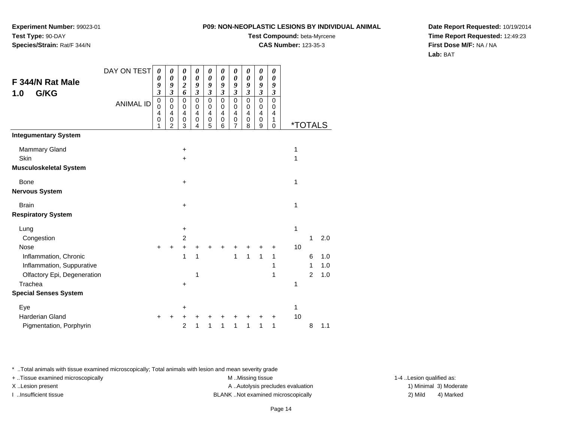**Experiment Number:** 99023-01**Test Type:** 90-DAY**Species/Strain:** Rat/F 344/N

## **Test Compound:** beta-Myrcene

**CAS Number:** 123-35-3

**Date Report Requested:** 10/19/2014**Time Report Requested:** 12:49:23**First Dose M/F:** NA / NA**Lab:** BAT

|                               | DAY ON TEST      | 0                       | 0                       | 0                                         | 0                           | 0                          | 0                | 0                           | 0                | 0                | 0                    |                       |                |     |
|-------------------------------|------------------|-------------------------|-------------------------|-------------------------------------------|-----------------------------|----------------------------|------------------|-----------------------------|------------------|------------------|----------------------|-----------------------|----------------|-----|
| F 344/N Rat Male              |                  | 0<br>9                  | 0<br>9                  | $\boldsymbol{\theta}$<br>$\boldsymbol{2}$ | $\boldsymbol{\theta}$<br>9  | $\boldsymbol{\theta}$<br>9 | 0<br>9           | 0<br>9                      | 0<br>9           | 0<br>9           | 0<br>9               |                       |                |     |
| G/KG<br>1.0                   |                  | $\overline{\mathbf{3}}$ | $\overline{\mathbf{3}}$ | 6                                         | $\boldsymbol{\mathfrak{z}}$ | $\mathfrak{z}$             | $\mathfrak{z}$   | $\overline{\mathbf{3}}$     | $\mathfrak{z}$   | $\mathfrak{z}$   | $\boldsymbol{\beta}$ |                       |                |     |
|                               | <b>ANIMAL ID</b> | $\mathbf 0$<br>0        | $\mathbf 0$<br>0        | 0<br>0                                    | $\mathbf 0$<br>0            | $\mathbf 0$<br>0           | $\mathbf 0$<br>0 | $\mathbf 0$<br>0            | $\mathsf 0$<br>0 | $\mathbf 0$<br>0 | $\mathbf 0$<br>0     |                       |                |     |
|                               |                  | 4                       | 4                       | 4                                         | 4                           | 4                          | $\overline{4}$   | 4                           | $\overline{4}$   | $\overline{4}$   | $\overline{4}$       |                       |                |     |
|                               |                  | $\pmb{0}$<br>1          | 0<br>$\overline{2}$     | $\mathbf 0$<br>3                          | 0<br>4                      | $\mathbf 0$<br>5           | $\mathbf 0$<br>6 | $\pmb{0}$<br>$\overline{7}$ | $\mathbf 0$<br>8 | $\mathbf 0$<br>9 | 1<br>$\mathbf 0$     | <i><b>*TOTALS</b></i> |                |     |
| <b>Integumentary System</b>   |                  |                         |                         |                                           |                             |                            |                  |                             |                  |                  |                      |                       |                |     |
| <b>Mammary Gland</b>          |                  |                         |                         | $\ddot{}$                                 |                             |                            |                  |                             |                  |                  |                      | 1                     |                |     |
| Skin                          |                  |                         |                         | +                                         |                             |                            |                  |                             |                  |                  |                      | 1                     |                |     |
| <b>Musculoskeletal System</b> |                  |                         |                         |                                           |                             |                            |                  |                             |                  |                  |                      |                       |                |     |
| <b>Bone</b>                   |                  |                         |                         | +                                         |                             |                            |                  |                             |                  |                  |                      | 1                     |                |     |
| <b>Nervous System</b>         |                  |                         |                         |                                           |                             |                            |                  |                             |                  |                  |                      |                       |                |     |
| <b>Brain</b>                  |                  |                         |                         | $\ddot{}$                                 |                             |                            |                  |                             |                  |                  |                      | 1                     |                |     |
| <b>Respiratory System</b>     |                  |                         |                         |                                           |                             |                            |                  |                             |                  |                  |                      |                       |                |     |
| Lung                          |                  |                         |                         | +                                         |                             |                            |                  |                             |                  |                  |                      | 1                     |                |     |
| Congestion                    |                  |                         |                         | $\overline{c}$                            |                             |                            |                  |                             |                  |                  |                      |                       | 1              | 2.0 |
| <b>Nose</b>                   |                  | $\ddot{}$               | +                       | $\ddot{}$                                 |                             |                            |                  |                             |                  | +                | +                    | 10                    |                |     |
| Inflammation, Chronic         |                  |                         |                         | 1                                         | 1                           |                            |                  | 1                           | 1                | 1                | 1                    |                       | 6              | 1.0 |
| Inflammation, Suppurative     |                  |                         |                         |                                           |                             |                            |                  |                             |                  |                  | 1                    |                       | 1              | 1.0 |
| Olfactory Epi, Degeneration   |                  |                         |                         |                                           | 1                           |                            |                  |                             |                  |                  | 1                    |                       | $\overline{2}$ | 1.0 |
| Trachea                       |                  |                         |                         | +                                         |                             |                            |                  |                             |                  |                  |                      | 1                     |                |     |
| <b>Special Senses System</b>  |                  |                         |                         |                                           |                             |                            |                  |                             |                  |                  |                      |                       |                |     |
| Eye                           |                  |                         |                         | +                                         |                             |                            |                  |                             |                  |                  |                      | 1                     |                |     |
| <b>Harderian Gland</b>        |                  | $\ddot{}$               | +                       | +                                         |                             |                            |                  |                             |                  |                  | ٠                    | 10                    |                |     |
| Pigmentation, Porphyrin       |                  |                         |                         | 2                                         | 1                           | 1                          | 1                | 1                           | 1                | 1                | 1                    |                       | 8              | 1.1 |

\* ..Total animals with tissue examined microscopically; Total animals with lesion and mean severity grade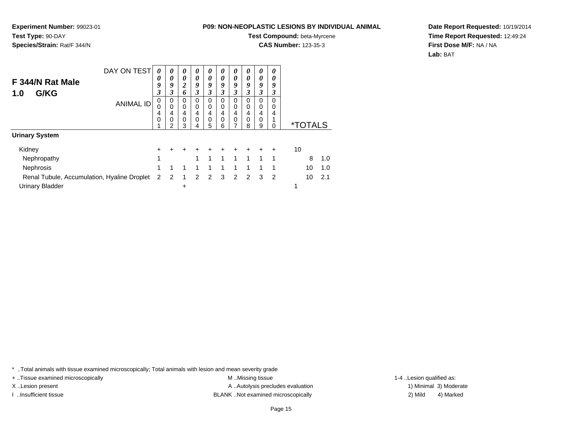**Experiment Number:** 99023-01**Test Type:** 90-DAY**Species/Strain:** Rat/F 344/N

# **Test Compound:** beta-Myrcene

**CAS Number:** 123-35-3

**Date Report Requested:** 10/19/2014**Time Report Requested:** 12:49:24**First Dose M/F:** NA / NA**Lab:** BAT

|                                             | DAY ON TEST      | 0      | 0                | $\boldsymbol{\theta}$      | 0             | $\boldsymbol{\theta}$         | 0                | 0                          | 0                | 0      | 0                    |    |                       |     |
|---------------------------------------------|------------------|--------|------------------|----------------------------|---------------|-------------------------------|------------------|----------------------------|------------------|--------|----------------------|----|-----------------------|-----|
| F 344/N Rat Male                            |                  | 0<br>9 | 0<br>9           | $\theta$<br>$\overline{2}$ | $\theta$<br>9 | $\boldsymbol{\theta}$<br>9    | 0<br>9           | $\boldsymbol{\theta}$<br>9 | 0<br>9           | 0<br>9 | 0<br>9               |    |                       |     |
| G/KG<br>1.0                                 |                  | 3      | 3                | 6                          | 3             | 3                             | 3                | 3                          | 3                | 3      | 3                    |    |                       |     |
|                                             | <b>ANIMAL ID</b> | 0<br>0 | 0<br>$\mathbf 0$ | 0<br>0                     | 0<br>0        | $\mathbf 0$<br>$\mathbf 0$    | 0<br>0           | 0<br>0                     | $\Omega$<br>0    | 0<br>0 | $\Omega$<br>$\Omega$ |    |                       |     |
|                                             |                  | 4<br>0 | 4<br>0           | 4<br>$\mathbf 0$           | 4<br>0        | $\overline{4}$<br>$\mathbf 0$ | 4<br>$\mathbf 0$ | 4<br>$\mathbf 0$           | 4<br>$\mathbf 0$ | 4<br>0 | 4                    |    |                       |     |
|                                             |                  |        | $\mathfrak{p}$   | 3                          | 4             | 5                             | 6                | 7                          | 8                | 9      | $\Omega$             |    | <i><b>*TOTALS</b></i> |     |
| <b>Urinary System</b>                       |                  |        |                  |                            |               |                               |                  |                            |                  |        |                      |    |                       |     |
| Kidney                                      |                  | ٠      |                  | ٠                          | ٠             | ٠                             | ÷                | ٠                          | $\ddot{}$        |        | ÷                    | 10 |                       |     |
| Nephropathy                                 |                  | 1      |                  |                            | 1             | 1                             | $\mathbf{1}$     | $\mathbf{1}$               | $\mathbf{1}$     | 1      | 1                    |    | 8                     | 1.0 |
| Nephrosis                                   |                  | 1      | 1                | 1                          | 1             | 1                             | 1                | $\mathbf{1}$               | 1                | 1      | 1                    |    | 10                    | 1.0 |
| Renal Tubule, Accumulation, Hyaline Droplet |                  | 2      | 2                | 1                          | 2             | 2                             | 3                | 2                          | $\mathcal{P}$    | 3      | -2                   |    | 10                    | 2.1 |
| <b>Urinary Bladder</b>                      |                  |        |                  | +                          |               |                               |                  |                            |                  |        |                      | 1  |                       |     |

\* ..Total animals with tissue examined microscopically; Total animals with lesion and mean severity grade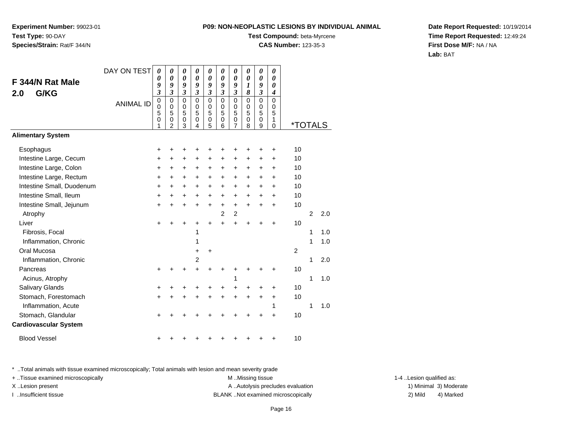**Experiment Number:** 99023-01**Test Type:** 90-DAY**Species/Strain:** Rat/F 344/N

## **Test Compound:** beta-Myrcene

**CAS Number:** 123-35-3

**Date Report Requested:** 10/19/2014**Time Report Requested:** 12:49:24**First Dose M/F:** NA / NA**Lab:** BAT

|                              | DAY ON TEST      | 0                               | 0                               | 0                             | $\boldsymbol{\theta}$           | 0                           | 0                          | 0                     | 0                                  | 0                          | 0                     |                       |                |     |
|------------------------------|------------------|---------------------------------|---------------------------------|-------------------------------|---------------------------------|-----------------------------|----------------------------|-----------------------|------------------------------------|----------------------------|-----------------------|-----------------------|----------------|-----|
| F 344/N Rat Male             |                  | 0<br>9                          | 0<br>9                          | $\boldsymbol{\theta}$<br>9    | $\boldsymbol{\theta}$<br>9      | $\boldsymbol{\theta}$<br>9  | $\boldsymbol{\theta}$<br>9 | $\theta$<br>9         | $\boldsymbol{\theta}$<br>1         | $\boldsymbol{\theta}$<br>9 | 0<br>0                |                       |                |     |
| G/KG<br>2.0                  |                  | $\mathfrak{z}$                  | $\mathfrak{z}$                  | $\mathfrak{z}$                | $\mathfrak{z}$                  | $\boldsymbol{\mathfrak{z}}$ | $\mathfrak{z}$             | $\mathfrak{z}$        | 8                                  | $\mathfrak{z}$             | $\boldsymbol{4}$      |                       |                |     |
|                              | <b>ANIMAL ID</b> | $\mathbf 0$<br>$\mathbf 0$<br>5 | $\mathbf 0$<br>$\mathbf 0$<br>5 | $\mathbf 0$<br>$\pmb{0}$<br>5 | $\mathbf 0$<br>$\mathbf 0$<br>5 | $\mathbf 0$<br>0<br>5       | $\mathbf 0$<br>0<br>5      | $\mathbf 0$<br>0<br>5 | $\overline{0}$<br>$\mathbf 0$<br>5 | $\mathbf 0$<br>0<br>5      | $\mathbf 0$<br>0<br>5 |                       |                |     |
|                              |                  | 0<br>1                          | 0<br>$\overline{2}$             | $\pmb{0}$<br>3                | 0<br>$\overline{4}$             | 0<br>5                      | 0<br>6                     | 0<br>$\overline{7}$   | 0<br>8                             | 0<br>9                     | 1<br>0                | <i><b>*TOTALS</b></i> |                |     |
| <b>Alimentary System</b>     |                  |                                 |                                 |                               |                                 |                             |                            |                       |                                    |                            |                       |                       |                |     |
| Esophagus                    |                  | +                               | +                               | +                             |                                 | +                           | +                          | +                     |                                    | +                          | +                     | 10                    |                |     |
| Intestine Large, Cecum       |                  | +                               | +                               | $\pm$                         | ÷                               | $\ddot{}$                   | $\ddot{}$                  | $\ddot{}$             | $\ddot{}$                          | $\ddot{}$                  | +                     | 10                    |                |     |
| Intestine Large, Colon       |                  | $\ddot{}$                       | +                               | +                             | $\pm$                           | +                           | +                          | +                     | $\ddot{}$                          | +                          | +                     | 10                    |                |     |
| Intestine Large, Rectum      |                  | $\ddot{}$                       | +                               | $\ddot{}$                     | $\ddot{}$                       | $\ddot{}$                   | $\ddot{}$                  | $\ddot{}$             | $\ddot{}$                          | $\pm$                      | $\ddot{}$             | 10                    |                |     |
| Intestine Small, Duodenum    |                  | $\ddot{}$                       | $+$                             | $\ddot{}$                     | $+$                             | $\ddot{}$                   | $\ddot{}$                  | $\ddot{}$             | $+$                                | $\ddot{}$                  | $\ddot{}$             | 10                    |                |     |
| Intestine Small, Ileum       |                  | $\ddot{}$                       | $\ddot{}$                       | $\ddot{}$                     | $\ddot{}$                       | $\ddot{}$                   | $\ddot{}$                  | $\ddot{}$             | $\ddot{}$                          | $\ddot{}$                  | $\ddot{}$             | 10                    |                |     |
| Intestine Small, Jejunum     |                  | $\ddot{}$                       | $\ddot{}$                       | +                             | $\ddot{}$                       | $\ddot{}$                   | $\ddot{}$                  | $\ddot{}$             | $\ddot{}$                          | $\ddot{}$                  | $\ddot{}$             | 10                    |                |     |
| Atrophy                      |                  |                                 |                                 |                               |                                 |                             | $\overline{2}$             | $\overline{c}$        |                                    |                            |                       |                       | $\overline{2}$ | 2.0 |
| Liver                        |                  | $\ddot{}$                       |                                 | +                             | +                               | $\ddot{}$                   | $\ddot{}$                  | $\ddot{}$             |                                    |                            | +                     | 10                    |                |     |
| Fibrosis, Focal              |                  |                                 |                                 |                               | 1                               |                             |                            |                       |                                    |                            |                       |                       | 1              | 1.0 |
| Inflammation, Chronic        |                  |                                 |                                 |                               | 1                               |                             |                            |                       |                                    |                            |                       |                       | 1              | 1.0 |
| Oral Mucosa                  |                  |                                 |                                 |                               | $\ddot{}$                       | $\ddot{}$                   |                            |                       |                                    |                            |                       | $\overline{c}$        |                |     |
| Inflammation, Chronic        |                  |                                 |                                 |                               | $\overline{c}$                  |                             |                            |                       |                                    |                            |                       |                       | 1              | 2.0 |
| Pancreas                     |                  | $\ddot{}$                       | +                               | +                             | $\ddot{}$                       | $\ddot{}$                   | +                          |                       |                                    |                            | +                     | 10                    |                |     |
| Acinus, Atrophy              |                  |                                 |                                 |                               |                                 |                             |                            | 1                     |                                    |                            |                       |                       | 1              | 1.0 |
| <b>Salivary Glands</b>       |                  | $\ddot{}$                       | +                               | +                             |                                 | +                           | +                          | $\ddot{}$             |                                    |                            | +                     | 10                    |                |     |
| Stomach, Forestomach         |                  | $\ddot{}$                       |                                 |                               |                                 | +                           | $\ddot{}$                  | $\ddot{}$             | $\ddot{}$                          | $\ddot{}$                  | $\ddot{}$             | 10                    |                |     |
| Inflammation, Acute          |                  |                                 |                                 |                               |                                 |                             |                            |                       |                                    |                            | 1                     |                       | 1              | 1.0 |
| Stomach, Glandular           |                  | +                               |                                 |                               |                                 |                             |                            |                       |                                    |                            | $\ddot{}$             | 10                    |                |     |
| <b>Cardiovascular System</b> |                  |                                 |                                 |                               |                                 |                             |                            |                       |                                    |                            |                       |                       |                |     |
| <b>Blood Vessel</b>          |                  | +                               |                                 |                               |                                 |                             |                            |                       |                                    |                            | +                     | 10                    |                |     |

\* ..Total animals with tissue examined microscopically; Total animals with lesion and mean severity grade

+ ..Tissue examined microscopically examined microscopically examined as: M ..Missing tissue 1-4 ..Lesion qualified as: X..Lesion present **A ..Autolysis precludes evaluation** A ..Autolysis precludes evaluation 1) Minimal 3) Moderate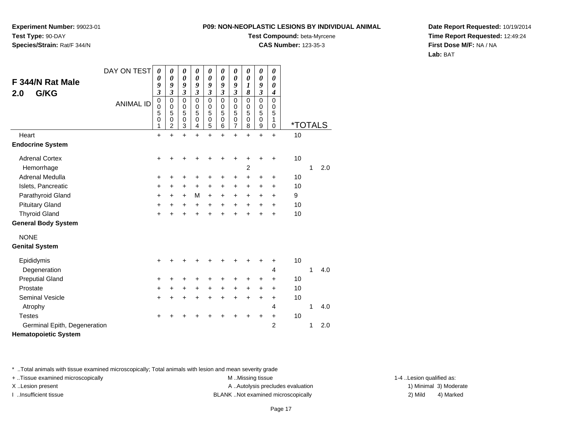**Experiment Number:** 99023-01**Test Type:** 90-DAY**Species/Strain:** Rat/F 344/N

### **Test Compound:** beta-Myrcene

**CAS Number:** 123-35-3

**Date Report Requested:** 10/19/2014**Time Report Requested:** 12:49:24**First Dose M/F:** NA / NA**Lab:** BAT

| F 344/N Rat Male<br>G/KG<br>2.0 | DAY ON TEST      | $\boldsymbol{\theta}$<br>0<br>9<br>$\overline{\mathbf{3}}$<br>$\mathbf 0$ | 0<br>0<br>9<br>$\mathfrak{z}$<br>$\mathbf 0$ | 0<br>$\boldsymbol{\theta}$<br>9<br>$\mathfrak{z}$<br>$\mathbf 0$ | 0<br>$\boldsymbol{\theta}$<br>9<br>$\boldsymbol{\beta}$<br>$\Omega$ | 0<br>$\boldsymbol{\theta}$<br>9<br>$\mathfrak{z}$<br>$\mathbf 0$ | 0<br>0<br>9<br>$\boldsymbol{\mathfrak{z}}$<br>$\mathbf 0$ | 0<br>$\pmb{\theta}$<br>9<br>$\mathfrak{z}$<br>$\mathbf 0$ | 0<br>0<br>1<br>8<br>$\Omega$ | 0<br>$\boldsymbol{\theta}$<br>9<br>$\mathfrak{z}$<br>$\mathbf 0$ | $\boldsymbol{\theta}$<br>$\boldsymbol{\theta}$<br>0<br>$\boldsymbol{4}$<br>$\mathbf 0$ |                       |   |     |
|---------------------------------|------------------|---------------------------------------------------------------------------|----------------------------------------------|------------------------------------------------------------------|---------------------------------------------------------------------|------------------------------------------------------------------|-----------------------------------------------------------|-----------------------------------------------------------|------------------------------|------------------------------------------------------------------|----------------------------------------------------------------------------------------|-----------------------|---|-----|
|                                 | <b>ANIMAL ID</b> | $\mathbf 0$<br>5<br>0<br>1                                                | $\mathbf 0$<br>5<br>0<br>$\overline{2}$      | 0<br>5<br>0<br>3                                                 | $\mathbf 0$<br>5<br>0<br>4                                          | $\pmb{0}$<br>5<br>$\pmb{0}$<br>5                                 | $\mathbf 0$<br>5<br>0<br>6                                | 0<br>5<br>0<br>$\overline{7}$                             | 0<br>5<br>0<br>8             | 0<br>5<br>0<br>9                                                 | 0<br>5<br>1<br>0                                                                       | <i><b>*TOTALS</b></i> |   |     |
| Heart                           |                  | $\ddot{}$                                                                 | ÷                                            | $\ddot{}$                                                        | $\ddot{}$                                                           | $\ddot{}$                                                        | +                                                         | $\ddot{}$                                                 | $\ddot{}$                    | $\ddot{}$                                                        | $\ddot{}$                                                                              | 10                    |   |     |
| <b>Endocrine System</b>         |                  |                                                                           |                                              |                                                                  |                                                                     |                                                                  |                                                           |                                                           |                              |                                                                  |                                                                                        |                       |   |     |
| <b>Adrenal Cortex</b>           |                  | +                                                                         |                                              | +                                                                | +                                                                   | +                                                                | ٠                                                         | +                                                         | +                            | +                                                                | ٠                                                                                      | 10                    |   |     |
| Hemorrhage                      |                  |                                                                           |                                              |                                                                  |                                                                     |                                                                  |                                                           |                                                           | 2                            |                                                                  |                                                                                        |                       | 1 | 2.0 |
| Adrenal Medulla                 |                  | +                                                                         | +                                            | +                                                                | +                                                                   | +                                                                | +                                                         | +                                                         | +                            | +                                                                | +                                                                                      | 10                    |   |     |
| Islets, Pancreatic              |                  | $\ddot{}$                                                                 | +                                            | +                                                                | $\pm$                                                               | $\ddot{}$                                                        | +                                                         | $+$                                                       | $\ddot{}$                    | +                                                                | $\ddot{}$                                                                              | 10                    |   |     |
| Parathyroid Gland               |                  | $\ddot{}$                                                                 | +                                            | +                                                                | M                                                                   | $\ddot{}$                                                        | $\ddot{}$                                                 | $\ddot{}$                                                 | $\ddot{}$                    | $\ddot{}$                                                        | $\ddot{}$                                                                              | 9                     |   |     |
| <b>Pituitary Gland</b>          |                  | +                                                                         | +                                            | $\ddot{}$                                                        | $\ddot{}$                                                           | $\ddot{}$                                                        | $\ddot{}$                                                 | $+$                                                       | $\ddot{}$                    | $\ddot{}$                                                        | $\ddot{}$                                                                              | 10                    |   |     |
| <b>Thyroid Gland</b>            |                  | $\ddot{}$                                                                 | ÷                                            | $\ddot{}$                                                        | $\ddot{}$                                                           | $\ddot{}$                                                        | $\ddot{}$                                                 | $\ddot{}$                                                 | $\ddot{}$                    | $\ddot{}$                                                        | $\ddot{}$                                                                              | 10                    |   |     |
| <b>General Body System</b>      |                  |                                                                           |                                              |                                                                  |                                                                     |                                                                  |                                                           |                                                           |                              |                                                                  |                                                                                        |                       |   |     |
| <b>NONE</b>                     |                  |                                                                           |                                              |                                                                  |                                                                     |                                                                  |                                                           |                                                           |                              |                                                                  |                                                                                        |                       |   |     |
| <b>Genital System</b>           |                  |                                                                           |                                              |                                                                  |                                                                     |                                                                  |                                                           |                                                           |                              |                                                                  |                                                                                        |                       |   |     |
| Epididymis                      |                  | +                                                                         |                                              | +                                                                |                                                                     |                                                                  |                                                           | +                                                         |                              | +                                                                | +                                                                                      | 10                    |   |     |
| Degeneration                    |                  |                                                                           |                                              |                                                                  |                                                                     |                                                                  |                                                           |                                                           |                              |                                                                  | 4                                                                                      |                       | 1 | 4.0 |
| <b>Preputial Gland</b>          |                  | +                                                                         | ٠                                            | +                                                                | ٠                                                                   | +                                                                | +                                                         | +                                                         | +                            | +                                                                | +                                                                                      | 10                    |   |     |
| Prostate                        |                  | $\ddot{}$                                                                 | +                                            | +                                                                | +                                                                   | $\ddot{}$                                                        | +                                                         | +                                                         | $\ddot{}$                    | +                                                                | $\ddot{}$                                                                              | 10                    |   |     |
| <b>Seminal Vesicle</b>          |                  | $\ddot{}$                                                                 | +                                            | $\ddot{}$                                                        | $\ddot{}$                                                           | $\ddot{}$                                                        | $\ddot{}$                                                 | $\ddot{}$                                                 | $\ddot{}$                    | $\ddot{}$                                                        | $\ddot{}$                                                                              | 10                    |   |     |
| Atrophy                         |                  |                                                                           |                                              |                                                                  |                                                                     |                                                                  |                                                           |                                                           |                              |                                                                  | 4                                                                                      |                       | 1 | 4.0 |
| <b>Testes</b>                   |                  |                                                                           |                                              |                                                                  |                                                                     |                                                                  |                                                           |                                                           |                              | +                                                                | $\ddot{}$                                                                              | 10                    |   |     |
| Germinal Epith, Degeneration    |                  |                                                                           |                                              |                                                                  |                                                                     |                                                                  |                                                           |                                                           |                              |                                                                  | 2                                                                                      |                       | 1 | 2.0 |
| <b>Hematopoietic System</b>     |                  |                                                                           |                                              |                                                                  |                                                                     |                                                                  |                                                           |                                                           |                              |                                                                  |                                                                                        |                       |   |     |

\* ..Total animals with tissue examined microscopically; Total animals with lesion and mean severity grade

+ ..Tissue examined microscopically examined microscopically examined as:  $M$  ..Missing tissue 1-4 ..Lesion qualified as: X..Lesion present **A ..Autolysis precludes evaluation** A ..Autolysis precludes evaluation 1) Minimal 3) Moderate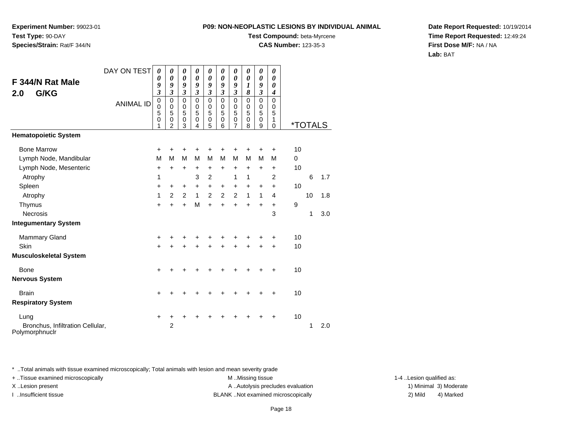**Experiment Number:** 99023-01**Test Type:** 90-DAY**Species/Strain:** Rat/F 344/N

## **Test Compound:** beta-Myrcene

**CAS Number:** 123-35-3

**Date Report Requested:** 10/19/2014**Time Report Requested:** 12:49:24**First Dose M/F:** NA / NA**Lab:** BAT

| F 344/N Rat Male<br>G/KG<br>2.0                                        | DAY ON TEST      | 0<br>0<br>9<br>$\overline{\mathbf{3}}$                 | 0<br>$\boldsymbol{\theta}$<br>9<br>$\overline{\mathbf{3}}$ | 0<br>$\boldsymbol{\theta}$<br>9<br>$\mathfrak{z}$ | 0<br>$\boldsymbol{\theta}$<br>9<br>$\boldsymbol{\mathfrak{z}}$ | 0<br>$\boldsymbol{\theta}$<br>9<br>$\mathfrak{z}$ | 0<br>$\boldsymbol{\theta}$<br>9<br>$\overline{\mathbf{3}}$ | 0<br>0<br>9<br>$\overline{\mathbf{3}}$ | 0<br>$\boldsymbol{\theta}$<br>$\boldsymbol{l}$<br>8 | 0<br>$\boldsymbol{\theta}$<br>9<br>$\mathfrak{z}$ | $\boldsymbol{\theta}$<br>0<br>$\boldsymbol{\theta}$<br>$\boldsymbol{4}$ |               |                       |            |
|------------------------------------------------------------------------|------------------|--------------------------------------------------------|------------------------------------------------------------|---------------------------------------------------|----------------------------------------------------------------|---------------------------------------------------|------------------------------------------------------------|----------------------------------------|-----------------------------------------------------|---------------------------------------------------|-------------------------------------------------------------------------|---------------|-----------------------|------------|
|                                                                        | <b>ANIMAL ID</b> | $\pmb{0}$<br>$\mathbf 0$<br>5<br>$\boldsymbol{0}$<br>1 | 0<br>$\pmb{0}$<br>5<br>$\boldsymbol{0}$<br>$\overline{2}$  | $\mathsf 0$<br>$\mathbf 0$<br>5<br>0<br>3         | $\mathbf 0$<br>$\mathbf 0$<br>5<br>0<br>4                      | $\pmb{0}$<br>$\mathbf 0$<br>5<br>$\,0\,$<br>5     | $\mathbf 0$<br>0<br>5<br>0<br>6                            | 0<br>0<br>5<br>0<br>$\overline{7}$     | $\Omega$<br>$\mathbf 0$<br>5<br>$\pmb{0}$<br>8      | $\mathbf 0$<br>$\mathbf 0$<br>5<br>$\pmb{0}$<br>9 | $\mathbf 0$<br>$\mathbf 0$<br>5<br>1<br>$\mathbf 0$                     |               | <i><b>*TOTALS</b></i> |            |
| <b>Hematopoietic System</b>                                            |                  |                                                        |                                                            |                                                   |                                                                |                                                   |                                                            |                                        |                                                     |                                                   |                                                                         |               |                       |            |
| <b>Bone Marrow</b><br>Lymph Node, Mandibular<br>Lymph Node, Mesenteric |                  | +<br>M<br>$\ddot{}$                                    | +<br>M<br>$\ddot{}$                                        | +<br>M<br>+                                       | M<br>$\ddot{}$                                                 | M<br>$\ddot{}$                                    | M<br>$\ddot{}$                                             | M<br>+                                 | M<br>+                                              | M<br>+                                            | +<br>M<br>+                                                             | 10<br>0<br>10 |                       |            |
| Atrophy<br>Spleen                                                      |                  | 1<br>+                                                 | +                                                          | +                                                 | 3<br>+                                                         | $\overline{2}$<br>$\ddot{}$                       | +                                                          | 1<br>+                                 | 1<br>+                                              | $\ddot{}$                                         | $\overline{2}$<br>$\ddot{}$                                             | 10            | 6                     | 1.7        |
| Atrophy<br>Thymus<br>Necrosis                                          |                  | 1<br>$\ddot{}$                                         | $\overline{2}$<br>$\ddot{}$                                | $\overline{c}$<br>$\ddot{}$                       | 1<br>M                                                         | 2<br>$\ddot{}$                                    | $\overline{2}$<br>$+$                                      | $\overline{c}$<br>$+$                  | 1<br>$+$                                            | 1<br>$\ddot{}$                                    | 4<br>$\ddot{}$<br>3                                                     | 9             | 10<br>1               | 1.8<br>3.0 |
| <b>Integumentary System</b>                                            |                  |                                                        |                                                            |                                                   |                                                                |                                                   |                                                            |                                        |                                                     |                                                   |                                                                         |               |                       |            |
| Mammary Gland<br>Skin<br><b>Musculoskeletal System</b>                 |                  | $\ddot{}$<br>$\ddot{}$                                 | +                                                          | +<br>$\ddot{}$                                    | +                                                              | +<br>$\ddot{}$                                    |                                                            | $\ddot{}$                              | +<br>$\ddot{}$                                      |                                                   | ٠<br>$\ddot{}$                                                          | 10<br>10      |                       |            |
| <b>Bone</b><br><b>Nervous System</b>                                   |                  | $\ddot{}$                                              | +                                                          | +                                                 | +                                                              | +                                                 | +                                                          | +                                      | +                                                   | +                                                 | $\ddot{}$                                                               | 10            |                       |            |
| <b>Brain</b><br><b>Respiratory System</b>                              |                  | +                                                      |                                                            |                                                   |                                                                |                                                   |                                                            |                                        |                                                     |                                                   | ÷                                                                       | 10            |                       |            |
| Lung<br>Bronchus, Infiltration Cellular,<br>Polymorphnuclr             |                  | $\ddot{}$                                              | $\overline{c}$                                             | +                                                 |                                                                |                                                   |                                                            |                                        |                                                     |                                                   | +                                                                       | 10            | 1                     | 2.0        |

\* ..Total animals with tissue examined microscopically; Total animals with lesion and mean severity grade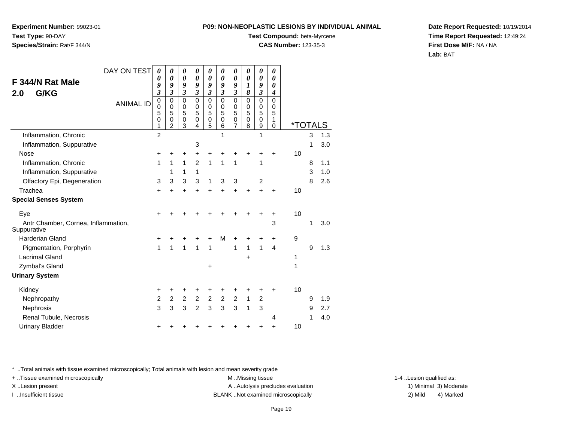**Experiment Number:** 99023-01**Test Type:** 90-DAY**Species/Strain:** Rat/F 344/N

### **Test Compound:** beta-Myrcene

**CAS Number:** 123-35-3

**Date Report Requested:** 10/19/2014**Time Report Requested:** 12:49:24**First Dose M/F:** NA / NA**Lab:** BAT

| DAY ON TEST<br>F 344/N Rat Male<br>G/KG<br>2.0<br><b>ANIMAL ID</b><br>Inflammation, Chronic | $\boldsymbol{\theta}$<br>0<br>9<br>$\overline{\mathbf{3}}$<br>$\pmb{0}$<br>$\mathbf 0$<br>5<br>$\boldsymbol{0}$<br>1<br>$\overline{2}$ | 0<br>0<br>9<br>3<br>$\mathbf 0$<br>$\mathbf 0$<br>5<br>$\pmb{0}$<br>$\mathfrak{p}$ | 0<br>$\boldsymbol{\theta}$<br>9<br>$\boldsymbol{\mathfrak{z}}$<br>$\mathbf 0$<br>$\mathbf 0$<br>5<br>$\pmb{0}$<br>3 | 0<br>0<br>9<br>$\mathfrak{z}$<br>$\mathbf 0$<br>$\mathbf 0$<br>5<br>0<br>4 | 0<br>0<br>9<br>$\boldsymbol{\beta}$<br>$\mathbf 0$<br>0<br>5<br>$\pmb{0}$<br>5 | 0<br>0<br>9<br>$\mathfrak{z}$<br>$\Omega$<br>0<br>5<br>$\mathbf 0$<br>6<br>1 | 0<br>0<br>9<br>3<br>$\mathbf 0$<br>0<br>5<br>$\mathbf 0$<br>7 | 0<br>$\boldsymbol{\theta}$<br>1<br>8<br>$\mathbf 0$<br>0<br>5<br>$\mathbf 0$<br>8 | 0<br>0<br>9<br>3<br>$\mathbf 0$<br>$\begin{matrix}0\\5\end{matrix}$<br>$\mathsf 0$<br>$\boldsymbol{9}$<br>1 | 0<br>0<br>0<br>$\boldsymbol{4}$<br>$\mathbf 0$<br>$\mathbf 0$<br>5<br>1<br>$\Omega$ | <i><b>*TOTALS</b></i> | 3 | 1.3 |
|---------------------------------------------------------------------------------------------|----------------------------------------------------------------------------------------------------------------------------------------|------------------------------------------------------------------------------------|---------------------------------------------------------------------------------------------------------------------|----------------------------------------------------------------------------|--------------------------------------------------------------------------------|------------------------------------------------------------------------------|---------------------------------------------------------------|-----------------------------------------------------------------------------------|-------------------------------------------------------------------------------------------------------------|-------------------------------------------------------------------------------------|-----------------------|---|-----|
| Inflammation, Suppurative                                                                   |                                                                                                                                        |                                                                                    |                                                                                                                     | 3                                                                          |                                                                                |                                                                              |                                                               |                                                                                   |                                                                                                             |                                                                                     |                       | 1 | 3.0 |
| <b>Nose</b>                                                                                 | +                                                                                                                                      | +                                                                                  | +                                                                                                                   | +                                                                          | +                                                                              | +                                                                            |                                                               |                                                                                   |                                                                                                             | $\pm$                                                                               | 10                    |   |     |
| Inflammation, Chronic                                                                       | 1                                                                                                                                      | 1                                                                                  | $\mathbf{1}$                                                                                                        | $\overline{2}$                                                             | 1                                                                              | 1                                                                            | 1                                                             |                                                                                   | 1                                                                                                           |                                                                                     |                       | 8 | 1.1 |
| Inflammation, Suppurative                                                                   |                                                                                                                                        | 1                                                                                  | 1                                                                                                                   | 1                                                                          |                                                                                |                                                                              |                                                               |                                                                                   |                                                                                                             |                                                                                     |                       | 3 | 1.0 |
| Olfactory Epi, Degeneration                                                                 | 3                                                                                                                                      | 3                                                                                  | 3                                                                                                                   | 3                                                                          | 1                                                                              | 3                                                                            | $\mathbf{3}$                                                  |                                                                                   | $\overline{c}$                                                                                              |                                                                                     |                       | 8 | 2.6 |
| Trachea                                                                                     | $\ddot{}$                                                                                                                              |                                                                                    | $\ddot{}$                                                                                                           | $\ddot{}$                                                                  | +                                                                              | +                                                                            | $\ddot{}$                                                     |                                                                                   | $\ddot{}$                                                                                                   | $\ddot{}$                                                                           | 10                    |   |     |
| <b>Special Senses System</b>                                                                |                                                                                                                                        |                                                                                    |                                                                                                                     |                                                                            |                                                                                |                                                                              |                                                               |                                                                                   |                                                                                                             |                                                                                     |                       |   |     |
| Eye                                                                                         | +                                                                                                                                      |                                                                                    |                                                                                                                     |                                                                            |                                                                                |                                                                              | +                                                             |                                                                                   | +                                                                                                           | ٠                                                                                   | 10                    |   |     |
| Antr Chamber, Cornea, Inflammation,<br>Suppurative                                          |                                                                                                                                        |                                                                                    |                                                                                                                     |                                                                            |                                                                                |                                                                              |                                                               |                                                                                   |                                                                                                             | 3                                                                                   |                       | 1 | 3.0 |
| <b>Harderian Gland</b>                                                                      | +                                                                                                                                      |                                                                                    |                                                                                                                     |                                                                            | +                                                                              | M                                                                            | +                                                             | +                                                                                 | +                                                                                                           | $\ddot{}$                                                                           | 9                     |   |     |
| Pigmentation, Porphyrin                                                                     | 1                                                                                                                                      | 1                                                                                  | 1                                                                                                                   | 1                                                                          | $\mathbf{1}$                                                                   |                                                                              | 1                                                             | $\mathbf{1}$                                                                      | $\mathbf{1}$                                                                                                | $\overline{4}$                                                                      |                       | 9 | 1.3 |
| <b>Lacrimal Gland</b>                                                                       |                                                                                                                                        |                                                                                    |                                                                                                                     |                                                                            |                                                                                |                                                                              |                                                               | $\ddot{}$                                                                         |                                                                                                             |                                                                                     | 1                     |   |     |
| Zymbal's Gland                                                                              |                                                                                                                                        |                                                                                    |                                                                                                                     |                                                                            | +                                                                              |                                                                              |                                                               |                                                                                   |                                                                                                             |                                                                                     | 1                     |   |     |
| <b>Urinary System</b>                                                                       |                                                                                                                                        |                                                                                    |                                                                                                                     |                                                                            |                                                                                |                                                                              |                                                               |                                                                                   |                                                                                                             |                                                                                     |                       |   |     |
| Kidney                                                                                      | +                                                                                                                                      |                                                                                    | +                                                                                                                   | +                                                                          | +                                                                              | +                                                                            | +                                                             |                                                                                   | +                                                                                                           | ٠                                                                                   | 10                    |   |     |
| Nephropathy                                                                                 | $\overline{c}$                                                                                                                         | $\overline{c}$                                                                     | $\overline{2}$                                                                                                      | $\overline{c}$                                                             | $\overline{2}$                                                                 | 2                                                                            | $\overline{2}$                                                | 1                                                                                 | $\overline{c}$                                                                                              |                                                                                     |                       | 9 | 1.9 |
| Nephrosis                                                                                   | 3                                                                                                                                      | 3                                                                                  | 3                                                                                                                   | $\overline{2}$                                                             | 3                                                                              | 3                                                                            | 3                                                             | 1                                                                                 | 3                                                                                                           |                                                                                     |                       | 9 | 2.7 |
| Renal Tubule, Necrosis                                                                      |                                                                                                                                        |                                                                                    |                                                                                                                     |                                                                            |                                                                                |                                                                              |                                                               |                                                                                   |                                                                                                             | 4                                                                                   |                       | 1 | 4.0 |
| <b>Urinary Bladder</b>                                                                      | +                                                                                                                                      |                                                                                    |                                                                                                                     |                                                                            |                                                                                | ٠                                                                            | +                                                             | +                                                                                 | +                                                                                                           | +                                                                                   | 10                    |   |     |

\* ..Total animals with tissue examined microscopically; Total animals with lesion and mean severity grade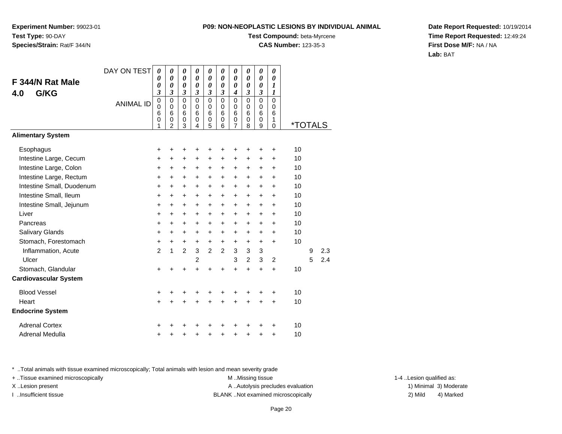**Experiment Number:** 99023-01**Test Type:** 90-DAY**Species/Strain:** Rat/F 344/N

## **Test Compound:** beta-Myrcene

**CAS Number:** 123-35-3

**Date Report Requested:** 10/19/2014**Time Report Requested:** 12:49:24**First Dose M/F:** NA / NA**Lab:** BAT

|                              | DAY ON TEST      | 0                          | 0                          | 0                          | 0                          | 0                                              | 0                                              | 0                          | 0                                              | 0                          | 0                          |                       |   |     |
|------------------------------|------------------|----------------------------|----------------------------|----------------------------|----------------------------|------------------------------------------------|------------------------------------------------|----------------------------|------------------------------------------------|----------------------------|----------------------------|-----------------------|---|-----|
| F 344/N Rat Male             |                  | 0<br>$\boldsymbol{\theta}$ | 0<br>$\boldsymbol{\theta}$ | $\boldsymbol{\theta}$<br>0 | $\boldsymbol{\theta}$<br>0 | $\boldsymbol{\theta}$<br>$\boldsymbol{\theta}$ | $\boldsymbol{\theta}$<br>$\boldsymbol{\theta}$ | 0<br>$\boldsymbol{\theta}$ | $\boldsymbol{\theta}$<br>$\boldsymbol{\theta}$ | $\boldsymbol{\theta}$<br>0 | 0<br>1                     |                       |   |     |
| G/KG<br>4.0                  |                  | $\mathfrak{z}$             | $\mathfrak{z}$             | $\mathfrak{z}$             | $\mathfrak{z}$             | $\overline{\mathbf{3}}$                        | $\mathfrak{z}$                                 | 4                          | $\mathfrak{z}$                                 | $\mathfrak{z}$             | $\boldsymbol{l}$           |                       |   |     |
|                              | <b>ANIMAL ID</b> | $\mathbf 0$<br>$\mathbf 0$ | $\pmb{0}$<br>$\mathbf 0$   | $\mathbf 0$<br>$\mathsf 0$ | $\Omega$<br>$\mathbf 0$    | $\mathbf 0$<br>$\pmb{0}$                       | $\mathbf 0$<br>$\mathbf 0$                     | $\mathbf 0$<br>$\mathbf 0$ | $\mathbf 0$<br>$\mathbf 0$                     | $\mathbf 0$<br>$\mathbf 0$ | $\mathbf 0$<br>$\mathbf 0$ |                       |   |     |
|                              |                  | 6                          | $6\phantom{1}6$            | 6                          | 6                          | 6                                              | 6                                              | 6                          | $6\phantom{1}6$                                | $6\phantom{1}6$            | 6                          |                       |   |     |
|                              |                  | 0<br>1                     | 0<br>$\mathfrak{p}$        | 0<br>3                     | 0<br>4                     | 0<br>5                                         | 0<br>6                                         | 0<br>$\overline{7}$        | 0<br>8                                         | 0<br>9                     | 1<br>0                     | <i><b>*TOTALS</b></i> |   |     |
| <b>Alimentary System</b>     |                  |                            |                            |                            |                            |                                                |                                                |                            |                                                |                            |                            |                       |   |     |
| Esophagus                    |                  | +                          | +                          | +                          | +                          | +                                              |                                                | +                          | +                                              | +                          | +                          | 10                    |   |     |
| Intestine Large, Cecum       |                  | +                          | $\pm$                      | $\pm$                      | +                          | +                                              | +                                              | +                          | +                                              | +                          | +                          | 10                    |   |     |
| Intestine Large, Colon       |                  | $\ddot{}$                  | +                          | +                          | +                          | +                                              | $\ddot{}$                                      | +                          | +                                              | +                          | +                          | 10                    |   |     |
| Intestine Large, Rectum      |                  | $\ddot{}$                  | $\ddot{}$                  | $\ddot{}$                  | $\ddot{}$                  | $\ddot{}$                                      | $\ddot{}$                                      | $\ddot{}$                  | $\ddot{}$                                      | $\ddot{}$                  | $\ddot{}$                  | 10                    |   |     |
| Intestine Small, Duodenum    |                  | +                          | $\div$                     | $\pm$                      | +                          | $\ddot{}$                                      | $\ddot{}$                                      | $\ddot{}$                  | +                                              | $\pm$                      | $\ddot{}$                  | 10                    |   |     |
| Intestine Small, Ileum       |                  | $\ddot{}$                  | $\ddot{}$                  | +                          | $\ddot{}$                  | $\ddot{}$                                      | $\ddot{}$                                      | $\ddot{}$                  | $\ddot{}$                                      | $\ddot{}$                  | +                          | 10                    |   |     |
| Intestine Small, Jejunum     |                  | $\ddot{}$                  | $\ddot{}$                  | +                          | $\ddot{}$                  | $\ddot{}$                                      | $\ddot{}$                                      | $\ddot{}$                  | $\ddot{}$                                      | +                          | $\ddot{}$                  | 10                    |   |     |
| Liver                        |                  | +                          | $\ddot{}$                  | $\ddot{}$                  | $\ddot{}$                  | $\ddot{}$                                      | $\ddot{}$                                      | $\ddot{}$                  | $\ddot{}$                                      | $\ddot{}$                  | $\ddot{}$                  | 10                    |   |     |
| Pancreas                     |                  | $\ddot{}$                  | $\ddot{}$                  | $\ddot{}$                  | $\ddot{}$                  | $\ddot{}$                                      | $\ddot{}$                                      | $\ddot{}$                  | $\ddot{}$                                      | +                          | $\ddot{}$                  | 10                    |   |     |
| Salivary Glands              |                  | +                          | +                          | $\ddot{}$                  | +                          | +                                              | +                                              | +                          | +                                              | +                          | +                          | 10                    |   |     |
| Stomach, Forestomach         |                  | $\ddot{}$                  | $\ddot{}$                  | $+$                        | $\ddot{}$                  | $\ddot{}$                                      | $\ddot{}$                                      | $\ddot{}$                  | $\ddot{}$                                      | $\ddot{}$                  | $+$                        | 10                    |   |     |
| Inflammation, Acute          |                  | $\overline{2}$             | $\mathbf{1}$               | $\overline{2}$             | 3                          | $\overline{2}$                                 | $\overline{2}$                                 | 3                          | 3                                              | 3                          |                            |                       | 9 | 2.3 |
| Ulcer                        |                  |                            |                            |                            | 2                          |                                                |                                                | 3                          | $\overline{c}$                                 | 3                          | $\overline{c}$             |                       | 5 | 2.4 |
| Stomach, Glandular           |                  | $\ddot{}$                  | +                          | $\ddot{}$                  | $\ddot{}$                  | $\ddot{}$                                      | $\ddot{}$                                      | $\ddot{}$                  | $\ddot{}$                                      | $\ddot{}$                  | $\ddot{}$                  | 10                    |   |     |
| <b>Cardiovascular System</b> |                  |                            |                            |                            |                            |                                                |                                                |                            |                                                |                            |                            |                       |   |     |
| <b>Blood Vessel</b>          |                  | +                          |                            |                            |                            |                                                |                                                | +                          | +                                              |                            | +                          | 10                    |   |     |
| Heart                        |                  | +                          | +                          | $\pm$                      | $\ddot{}$                  | $\ddot{}$                                      | $+$                                            | $\ddot{}$                  | $\ddot{}$                                      | $\ddot{}$                  | $\ddot{}$                  | 10                    |   |     |
| <b>Endocrine System</b>      |                  |                            |                            |                            |                            |                                                |                                                |                            |                                                |                            |                            |                       |   |     |
| <b>Adrenal Cortex</b>        |                  | +                          |                            |                            |                            |                                                |                                                |                            | +                                              |                            | ٠                          | 10                    |   |     |
| Adrenal Medulla              |                  | +                          |                            | +                          | +                          | +                                              | +                                              | +                          | +                                              | +                          | +                          | 10                    |   |     |

\* ..Total animals with tissue examined microscopically; Total animals with lesion and mean severity grade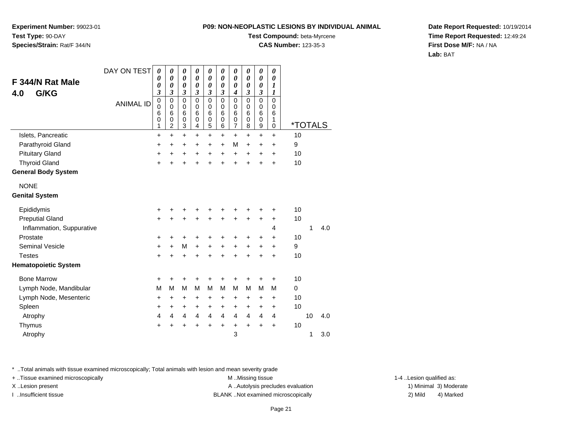**Experiment Number:** 99023-01**Test Type:** 90-DAY**Species/Strain:** Rat/F 344/N

### **Test Compound:** beta-Myrcene

**CAS Number:** 123-35-3

**Date Report Requested:** 10/19/2014**Time Report Requested:** 12:49:24**First Dose M/F:** NA / NA**Lab:** BAT

| F 344/N Rat Male<br>G/KG<br>4.0                | DAY ON TEST<br><b>ANIMAL ID</b> | $\boldsymbol{\theta}$<br>0<br>0<br>3<br>$\mathbf 0$<br>$\mathbf 0$<br>6<br>0 | 0<br>$\boldsymbol{\theta}$<br>$\boldsymbol{\theta}$<br>3<br>$\pmb{0}$<br>$\mathbf 0$<br>6<br>0 | $\boldsymbol{\theta}$<br>$\boldsymbol{\theta}$<br>$\boldsymbol{\theta}$<br>3<br>$\mathsf 0$<br>$\mathbf 0$<br>6<br>$\mathsf 0$ | $\boldsymbol{\theta}$<br>$\boldsymbol{\theta}$<br>$\boldsymbol{\theta}$<br>3<br>$\mathbf 0$<br>$\mathbf 0$<br>$6\phantom{1}6$<br>$\mathbf 0$ | $\pmb{\theta}$<br>$\pmb{\theta}$<br>0<br>3<br>$\mathsf 0$<br>$\mathbf 0$<br>6<br>$\mathbf 0$ | $\pmb{\theta}$<br>$\pmb{\theta}$<br>0<br>3<br>$\mathbf 0$<br>$\mathbf 0$<br>6<br>0 | $\pmb{\theta}$<br>$\boldsymbol{\theta}$<br>0<br>$\boldsymbol{4}$<br>$\mathbf 0$<br>$\mathbf 0$<br>6<br>0 | $\boldsymbol{\theta}$<br>$\boldsymbol{\theta}$<br>0<br>$\boldsymbol{\beta}$<br>$\mathbf 0$<br>$\mathbf 0$<br>6<br>0 | 0<br>$\boldsymbol{\theta}$<br>$\boldsymbol{\theta}$<br>$\boldsymbol{\beta}$<br>$\mathbf 0$<br>$\mathbf 0$<br>6<br>$\mathbf 0$ | 0<br>0<br>$\boldsymbol{l}$<br>$\boldsymbol{l}$<br>$\mathsf 0$<br>0<br>6<br>$\mathbf{1}$ |                       |    |     |
|------------------------------------------------|---------------------------------|------------------------------------------------------------------------------|------------------------------------------------------------------------------------------------|--------------------------------------------------------------------------------------------------------------------------------|----------------------------------------------------------------------------------------------------------------------------------------------|----------------------------------------------------------------------------------------------|------------------------------------------------------------------------------------|----------------------------------------------------------------------------------------------------------|---------------------------------------------------------------------------------------------------------------------|-------------------------------------------------------------------------------------------------------------------------------|-----------------------------------------------------------------------------------------|-----------------------|----|-----|
|                                                |                                 | 1                                                                            | $\overline{c}$                                                                                 | 3                                                                                                                              | 4                                                                                                                                            | $\overline{5}$                                                                               | 6                                                                                  | $\overline{7}$                                                                                           | 8                                                                                                                   | $\boldsymbol{9}$                                                                                                              | $\mathbf 0$                                                                             | <i><b>*TOTALS</b></i> |    |     |
| Islets, Pancreatic                             |                                 | +                                                                            | $\ddot{}$                                                                                      | $\ddot{}$                                                                                                                      | $\ddot{}$                                                                                                                                    | $+$                                                                                          | $\ddot{}$                                                                          | $\ddot{}$                                                                                                | $\ddot{}$                                                                                                           | $\ddot{}$                                                                                                                     | $\ddot{}$                                                                               | 10                    |    |     |
| Parathyroid Gland                              |                                 | +                                                                            | $\ddot{}$                                                                                      | +                                                                                                                              | $\ddot{}$                                                                                                                                    | +                                                                                            | $\ddot{}$                                                                          | M                                                                                                        | $\ddot{}$                                                                                                           | +                                                                                                                             | +                                                                                       | 9<br>10               |    |     |
| <b>Pituitary Gland</b><br><b>Thyroid Gland</b> |                                 | +<br>$\ddot{}$                                                               | +<br>$\ddot{}$                                                                                 | +<br>$\ddot{}$                                                                                                                 | $\ddot{}$<br>$\ddot{}$                                                                                                                       | $\ddot{}$<br>$+$                                                                             | $\ddot{}$<br>$\ddot{}$                                                             | $\ddot{}$<br>$\ddot{}$                                                                                   | $\ddot{}$<br>$\ddot{}$                                                                                              | $\ddot{}$<br>$\ddot{}$                                                                                                        | $\ddot{}$<br>$\ddot{}$                                                                  | 10                    |    |     |
| <b>General Body System</b>                     |                                 |                                                                              |                                                                                                |                                                                                                                                |                                                                                                                                              |                                                                                              |                                                                                    |                                                                                                          |                                                                                                                     |                                                                                                                               |                                                                                         |                       |    |     |
| <b>NONE</b><br><b>Genital System</b>           |                                 |                                                                              |                                                                                                |                                                                                                                                |                                                                                                                                              |                                                                                              |                                                                                    |                                                                                                          |                                                                                                                     |                                                                                                                               |                                                                                         |                       |    |     |
| Epididymis                                     |                                 | +                                                                            | +                                                                                              | +                                                                                                                              | +                                                                                                                                            | +                                                                                            |                                                                                    | +                                                                                                        |                                                                                                                     |                                                                                                                               | +                                                                                       | 10                    |    |     |
| <b>Preputial Gland</b>                         |                                 | $\ddot{}$                                                                    | +                                                                                              | $\ddot{}$                                                                                                                      | +                                                                                                                                            | $\ddot{}$                                                                                    | $\ddot{}$                                                                          | $\ddot{}$                                                                                                | $\ddot{}$                                                                                                           | $\ddot{}$                                                                                                                     | $\ddot{}$                                                                               | 10                    |    |     |
| Inflammation, Suppurative                      |                                 |                                                                              |                                                                                                |                                                                                                                                |                                                                                                                                              |                                                                                              |                                                                                    |                                                                                                          |                                                                                                                     |                                                                                                                               | 4                                                                                       |                       | 1  | 4.0 |
| Prostate                                       |                                 | +                                                                            | +                                                                                              | +                                                                                                                              |                                                                                                                                              | +                                                                                            | +                                                                                  | +                                                                                                        | +                                                                                                                   | +                                                                                                                             | +                                                                                       | 10                    |    |     |
| <b>Seminal Vesicle</b>                         |                                 | $\ddot{}$                                                                    | +                                                                                              | М                                                                                                                              | $\ddot{}$                                                                                                                                    | $\ddot{}$                                                                                    | +                                                                                  | +                                                                                                        | $\ddot{}$                                                                                                           | +                                                                                                                             | +                                                                                       | 9                     |    |     |
| <b>Testes</b>                                  |                                 | $\ddot{}$                                                                    | ÷                                                                                              | $\ddot{}$                                                                                                                      |                                                                                                                                              | +                                                                                            | ÷                                                                                  | $\ddot{}$                                                                                                | $\ddot{}$                                                                                                           | $\ddot{}$                                                                                                                     | $\ddot{}$                                                                               | 10                    |    |     |
| <b>Hematopoietic System</b>                    |                                 |                                                                              |                                                                                                |                                                                                                                                |                                                                                                                                              |                                                                                              |                                                                                    |                                                                                                          |                                                                                                                     |                                                                                                                               |                                                                                         |                       |    |     |
| <b>Bone Marrow</b>                             |                                 | +                                                                            | +                                                                                              | +                                                                                                                              | +                                                                                                                                            | +                                                                                            | +                                                                                  | +                                                                                                        | +                                                                                                                   | +                                                                                                                             | +                                                                                       | 10                    |    |     |
| Lymph Node, Mandibular                         |                                 | M                                                                            | M                                                                                              | M                                                                                                                              | м                                                                                                                                            | M                                                                                            | M                                                                                  | M                                                                                                        | M                                                                                                                   | M                                                                                                                             | M                                                                                       | $\mathbf 0$           |    |     |
| Lymph Node, Mesenteric                         |                                 | +                                                                            | +                                                                                              | +                                                                                                                              | +                                                                                                                                            | $\ddot{}$                                                                                    | +                                                                                  | +                                                                                                        | +                                                                                                                   | +                                                                                                                             | +                                                                                       | 10                    |    |     |
| Spleen                                         |                                 | +                                                                            | +                                                                                              | +                                                                                                                              | +                                                                                                                                            | $\ddot{}$                                                                                    | +                                                                                  | +                                                                                                        | +                                                                                                                   | +                                                                                                                             | $\ddot{}$                                                                               | 10                    |    |     |
| Atrophy                                        |                                 | 4                                                                            | 4                                                                                              | 4                                                                                                                              | $\overline{4}$                                                                                                                               | $\overline{4}$                                                                               | $\overline{4}$                                                                     | 4                                                                                                        | $\overline{4}$                                                                                                      | 4                                                                                                                             | 4                                                                                       |                       | 10 | 4.0 |
| Thymus                                         |                                 | $\ddot{}$                                                                    | +                                                                                              | $\ddot{}$                                                                                                                      | $\ddot{}$                                                                                                                                    | $\ddot{}$                                                                                    | $\ddot{}$                                                                          | +                                                                                                        | $\ddot{}$                                                                                                           | $\ddot{}$                                                                                                                     | $\ddot{}$                                                                               | 10                    |    |     |
| Atrophy                                        |                                 |                                                                              |                                                                                                |                                                                                                                                |                                                                                                                                              |                                                                                              |                                                                                    | 3                                                                                                        |                                                                                                                     |                                                                                                                               |                                                                                         |                       | 1  | 3.0 |

\* ..Total animals with tissue examined microscopically; Total animals with lesion and mean severity grade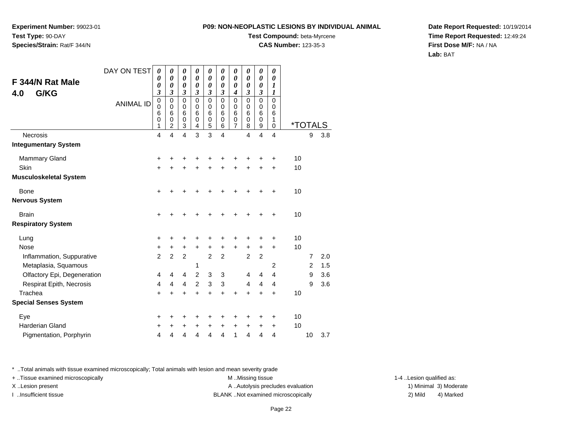**Experiment Number:** 99023-01**Test Type:** 90-DAY**Species/Strain:** Rat/F 344/N

### **Test Compound:** beta-Myrcene

**CAS Number:** 123-35-3

**Date Report Requested:** 10/19/2014**Time Report Requested:** 12:49:24**First Dose M/F:** NA / NA**Lab:** BAT

| DAY ON TEST<br>F 344/N Rat Male<br>G/KG<br>4.0<br><b>ANIMAL ID</b><br>Necrosis<br><b>Integumentary System</b> | 0<br>0<br>0<br>3<br>$\mathbf 0$<br>$\mathbf 0$<br>6<br>$\mathbf 0$<br>1<br>$\overline{4}$ | 0<br>0<br>0<br>$\boldsymbol{\beta}$<br>0<br>$\pmb{0}$<br>6<br>$\mathbf 0$<br>$\boldsymbol{2}$<br>4 | 0<br>$\boldsymbol{\theta}$<br>0<br>$\boldsymbol{\beta}$<br>$\mathbf 0$<br>$\mathbf 0$<br>6<br>$\pmb{0}$<br>$\ensuremath{\mathsf{3}}$<br>$\overline{4}$ | 0<br>$\boldsymbol{\theta}$<br>0<br>3<br>$\mathbf{0}$<br>$\Omega$<br>6<br>$\mathbf 0$<br>4<br>3 | 0<br>$\boldsymbol{\theta}$<br>$\boldsymbol{\theta}$<br>$\boldsymbol{\beta}$<br>$\mathbf 0$<br>0<br>$\,6$<br>$\mathbf 0$<br>$\overline{5}$<br>3 | $\boldsymbol{\theta}$<br>$\boldsymbol{\theta}$<br>0<br>3<br>$\mathbf 0$<br>$\mathbf 0$<br>6<br>$\pmb{0}$<br>$\,6$<br>$\overline{4}$ | 0<br>$\boldsymbol{\theta}$<br>0<br>$\boldsymbol{4}$<br>$\mathbf 0$<br>0<br>6<br>$\frac{0}{7}$ | 0<br>0<br>0<br>3<br>$\mathbf 0$<br>$\pmb{0}$<br>6<br>$\mathbf 0$<br>8<br>$\overline{4}$ | 0<br>$\boldsymbol{\theta}$<br>0<br>3<br>0<br>0<br>6<br>$\mathbf 0$<br>9<br>$\overline{4}$ | 0<br>0<br>1<br>1<br>$\mathbf 0$<br>$\mathbf 0$<br>6<br>1<br>0<br>$\overline{4}$ |    | <i><b>*TOTALS</b></i><br>9 | 3.8 |
|---------------------------------------------------------------------------------------------------------------|-------------------------------------------------------------------------------------------|----------------------------------------------------------------------------------------------------|--------------------------------------------------------------------------------------------------------------------------------------------------------|------------------------------------------------------------------------------------------------|------------------------------------------------------------------------------------------------------------------------------------------------|-------------------------------------------------------------------------------------------------------------------------------------|-----------------------------------------------------------------------------------------------|-----------------------------------------------------------------------------------------|-------------------------------------------------------------------------------------------|---------------------------------------------------------------------------------|----|----------------------------|-----|
|                                                                                                               |                                                                                           |                                                                                                    |                                                                                                                                                        |                                                                                                |                                                                                                                                                |                                                                                                                                     |                                                                                               |                                                                                         |                                                                                           |                                                                                 |    |                            |     |
| <b>Mammary Gland</b>                                                                                          | $\ddot{}$                                                                                 | +                                                                                                  | +                                                                                                                                                      | +                                                                                              | +                                                                                                                                              | +                                                                                                                                   | +                                                                                             | +                                                                                       | +                                                                                         | +                                                                               | 10 |                            |     |
| Skin                                                                                                          | $\ddot{}$                                                                                 |                                                                                                    | ÷                                                                                                                                                      | +                                                                                              | $\ddot{}$                                                                                                                                      |                                                                                                                                     | $\ddot{}$                                                                                     | $\ddot{}$                                                                               | $\ddot{}$                                                                                 | $\ddot{}$                                                                       | 10 |                            |     |
| <b>Musculoskeletal System</b>                                                                                 |                                                                                           |                                                                                                    |                                                                                                                                                        |                                                                                                |                                                                                                                                                |                                                                                                                                     |                                                                                               |                                                                                         |                                                                                           |                                                                                 |    |                            |     |
| <b>Bone</b>                                                                                                   | $\ddot{}$                                                                                 | +                                                                                                  | +                                                                                                                                                      | +                                                                                              | +                                                                                                                                              | +                                                                                                                                   | +                                                                                             | ٠                                                                                       | ٠                                                                                         | +                                                                               | 10 |                            |     |
| <b>Nervous System</b>                                                                                         |                                                                                           |                                                                                                    |                                                                                                                                                        |                                                                                                |                                                                                                                                                |                                                                                                                                     |                                                                                               |                                                                                         |                                                                                           |                                                                                 |    |                            |     |
| <b>Brain</b><br><b>Respiratory System</b>                                                                     | $\ddot{}$                                                                                 |                                                                                                    | ٠                                                                                                                                                      | +                                                                                              | +                                                                                                                                              |                                                                                                                                     | +                                                                                             |                                                                                         | +                                                                                         | +                                                                               | 10 |                            |     |
|                                                                                                               |                                                                                           |                                                                                                    |                                                                                                                                                        |                                                                                                |                                                                                                                                                |                                                                                                                                     |                                                                                               |                                                                                         |                                                                                           |                                                                                 |    |                            |     |
| Lung                                                                                                          | +                                                                                         |                                                                                                    | +                                                                                                                                                      | +                                                                                              | +                                                                                                                                              | +                                                                                                                                   | +                                                                                             | +                                                                                       | +                                                                                         | +                                                                               | 10 |                            |     |
| <b>Nose</b>                                                                                                   | +                                                                                         | +                                                                                                  | $\ddot{}$                                                                                                                                              | $\ddot{}$                                                                                      | +                                                                                                                                              | $\ddot{}$                                                                                                                           | +                                                                                             | +                                                                                       | +                                                                                         | +                                                                               | 10 |                            |     |
| Inflammation, Suppurative                                                                                     | $\overline{2}$                                                                            | $\overline{2}$                                                                                     | $\overline{2}$                                                                                                                                         |                                                                                                | $\overline{2}$                                                                                                                                 | $\overline{2}$                                                                                                                      |                                                                                               | $\overline{c}$                                                                          | $\overline{2}$                                                                            |                                                                                 |    | $\overline{7}$             | 2.0 |
| Metaplasia, Squamous                                                                                          |                                                                                           |                                                                                                    |                                                                                                                                                        | 1                                                                                              |                                                                                                                                                |                                                                                                                                     |                                                                                               |                                                                                         |                                                                                           | 2                                                                               |    | 2                          | 1.5 |
| Olfactory Epi, Degeneration                                                                                   | 4                                                                                         | 4                                                                                                  | 4                                                                                                                                                      | $\overline{2}$                                                                                 | 3                                                                                                                                              | 3                                                                                                                                   |                                                                                               | 4                                                                                       | $\overline{4}$                                                                            | 4                                                                               |    | 9                          | 3.6 |
| Respirat Epith, Necrosis                                                                                      | $\overline{\mathbf{4}}$                                                                   | 4                                                                                                  | 4                                                                                                                                                      | $\overline{c}$                                                                                 | 3                                                                                                                                              | 3                                                                                                                                   |                                                                                               | 4                                                                                       | $\overline{4}$                                                                            | 4                                                                               |    | 9                          | 3.6 |
| Trachea                                                                                                       | $\ddot{}$                                                                                 |                                                                                                    | $\ddot{}$                                                                                                                                              | $\ddot{}$                                                                                      | $\ddot{}$                                                                                                                                      | ÷                                                                                                                                   | $\ddot{}$                                                                                     | $\ddot{}$                                                                               | $\ddot{}$                                                                                 | $\ddot{}$                                                                       | 10 |                            |     |
| <b>Special Senses System</b>                                                                                  |                                                                                           |                                                                                                    |                                                                                                                                                        |                                                                                                |                                                                                                                                                |                                                                                                                                     |                                                                                               |                                                                                         |                                                                                           |                                                                                 |    |                            |     |
| Eye                                                                                                           | +                                                                                         | +                                                                                                  | +                                                                                                                                                      | +                                                                                              | +                                                                                                                                              | +                                                                                                                                   | +                                                                                             | +                                                                                       | +                                                                                         | +                                                                               | 10 |                            |     |
| <b>Harderian Gland</b>                                                                                        | +                                                                                         | +                                                                                                  | +                                                                                                                                                      | +                                                                                              | +                                                                                                                                              | +                                                                                                                                   | +                                                                                             | +                                                                                       | +                                                                                         | +                                                                               | 10 |                            |     |
| Pigmentation, Porphyrin                                                                                       | 4                                                                                         | 4                                                                                                  | 4                                                                                                                                                      | 4                                                                                              | 4                                                                                                                                              | 4                                                                                                                                   | 1                                                                                             | $\overline{4}$                                                                          | $\overline{4}$                                                                            | 4                                                                               |    | 10                         | 3.7 |

\* ..Total animals with tissue examined microscopically; Total animals with lesion and mean severity grade

+ ..Tissue examined microscopically examined microscopically examined as: M ..Missing tissue 1-4 ..Lesion qualified as: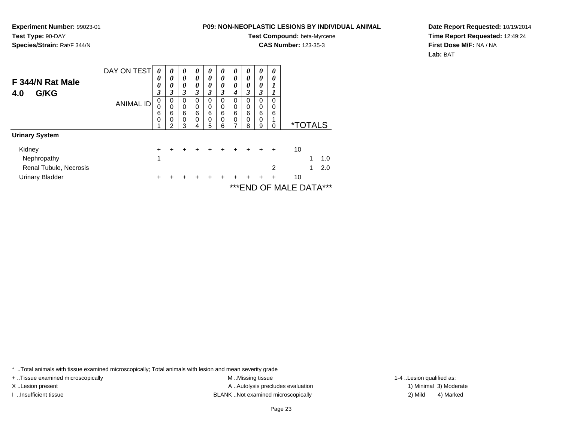**Experiment Number:** 99023-01**Test Type:** 90-DAY**Species/Strain:** Rat/F 344/N

#### **Test Compound:** beta-Myrcene**CAS Number:** 123-35-3

**Date Report Requested:** 10/19/2014**Time Report Requested:** 12:49:24**First Dose M/F:** NA / NA**Lab:** BAT

|                        | DAY ON TEST      | $\boldsymbol{\theta}$ | 0                | 0                     | 0                | $\boldsymbol{\theta}$ | 0                | 0                     | 0      | 0      | 0      |                         |   |     |
|------------------------|------------------|-----------------------|------------------|-----------------------|------------------|-----------------------|------------------|-----------------------|--------|--------|--------|-------------------------|---|-----|
| F 344/N Rat Male       |                  | 0                     | 0                | $\boldsymbol{\theta}$ | 0                | $\boldsymbol{\theta}$ | 0                | $\boldsymbol{\theta}$ | 0      | 0      | 0      |                         |   |     |
|                        |                  | 0                     | 0                | 0                     | 0                | $\boldsymbol{\theta}$ | 0                | 0                     | 0      | 0      |        |                         |   |     |
| G/KG<br>4.0            |                  | 3                     | 3                | 3                     | 3                | 3                     | 3                | 4                     | 3      | 3      |        |                         |   |     |
|                        | <b>ANIMAL ID</b> | 0                     | 0                | 0                     | 0                | 0                     | 0                | 0                     | 0      | 0      | 0      |                         |   |     |
|                        |                  | 0<br>6                | $\mathbf 0$<br>6 | 0<br>6                | $\mathbf 0$<br>6 | $\mathbf 0$<br>6      | $\mathbf 0$<br>6 | $\mathbf 0$<br>6      | 0<br>6 | 0<br>6 | 0<br>6 |                         |   |     |
|                        |                  | 0                     | $\mathbf 0$      | 0                     | $\mathbf 0$      | $\mathbf 0$           | $\mathbf 0$      | $\mathbf 0$           | 0      | 0      |        |                         |   |     |
|                        |                  |                       | $\overline{2}$   | 3                     | 4                | 5                     | 6                | 7                     | 8      | 9      | 0      | <i><b>*TOTALS</b></i>   |   |     |
| <b>Urinary System</b>  |                  |                       |                  |                       |                  |                       |                  |                       |        |        |        |                         |   |     |
| Kidney                 |                  | $\ddot{}$             |                  |                       |                  |                       |                  |                       |        |        |        | 10                      |   |     |
| Nephropathy            |                  | 1                     |                  |                       |                  |                       |                  |                       |        |        |        |                         | 1 | 1.0 |
| Renal Tubule, Necrosis |                  |                       |                  |                       |                  |                       |                  |                       |        |        | 2      |                         | 1 | 2.0 |
| Urinary Bladder        |                  | ٠                     |                  |                       |                  |                       |                  |                       |        |        | +      | 10                      |   |     |
|                        |                  |                       |                  |                       |                  |                       |                  |                       |        |        |        | *** END OF MALE DATA*** |   |     |

\* ..Total animals with tissue examined microscopically; Total animals with lesion and mean severity grade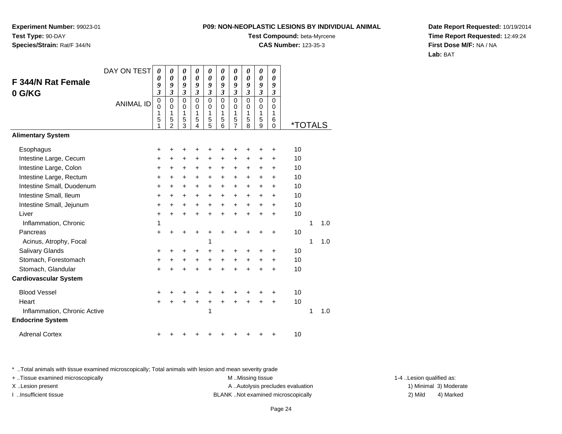**Experiment Number:** 99023-01**Test Type:** 90-DAY**Species/Strain:** Rat/F 344/N

## **Test Compound:** beta-Myrcene

**CAS Number:** 123-35-3

**Date Report Requested:** 10/19/2014**Time Report Requested:** 12:49:24**First Dose M/F:** NA / NA**Lab:** BAT

| F 344/N Rat Female<br>0 G/KG                            | DAY ON TEST      | 0<br>0<br>9<br>$\mathfrak{z}$   | 0<br>0<br>9<br>$\overline{\mathbf{3}}$       | 0<br>0<br>9<br>3                | $\boldsymbol{\theta}$<br>$\boldsymbol{\theta}$<br>9<br>$\mathfrak{z}$ | 0<br>0<br>9<br>$\overline{\mathbf{3}}$ | 0<br>0<br>9<br>$\mathfrak{z}$              | 0<br>0<br>9<br>$\mathfrak{z}$              | 0<br>$\boldsymbol{\theta}$<br>9<br>$\mathfrak{z}$ | $\boldsymbol{\theta}$<br>$\boldsymbol{\theta}$<br>9<br>$\mathfrak{z}$ | 0<br>$\boldsymbol{\theta}$<br>9<br>$\boldsymbol{\beta}$ |                       |   |     |
|---------------------------------------------------------|------------------|---------------------------------|----------------------------------------------|---------------------------------|-----------------------------------------------------------------------|----------------------------------------|--------------------------------------------|--------------------------------------------|---------------------------------------------------|-----------------------------------------------------------------------|---------------------------------------------------------|-----------------------|---|-----|
|                                                         | <b>ANIMAL ID</b> | $\mathbf 0$<br>0<br>1<br>5<br>1 | $\mathbf 0$<br>0<br>1<br>5<br>$\overline{2}$ | $\mathbf 0$<br>0<br>1<br>5<br>3 | $\mathbf 0$<br>0<br>1<br>5<br>4                                       | $\mathbf 0$<br>0<br>1<br>5<br>5        | $\mathbf 0$<br>0<br>$\mathbf{1}$<br>5<br>6 | $\mathbf 0$<br>0<br>$\mathbf{1}$<br>5<br>7 | $\mathbf 0$<br>0<br>1<br>5<br>8                   | $\mathbf 0$<br>0<br>1<br>5<br>9                                       | $\Omega$<br>0<br>1<br>6<br>$\Omega$                     | <i><b>*TOTALS</b></i> |   |     |
| <b>Alimentary System</b>                                |                  |                                 |                                              |                                 |                                                                       |                                        |                                            |                                            |                                                   |                                                                       |                                                         |                       |   |     |
| Esophagus                                               |                  | +                               | +                                            | +                               |                                                                       |                                        | +                                          | +                                          | +                                                 | +                                                                     | +                                                       | 10                    |   |     |
| Intestine Large, Cecum                                  |                  | +                               | +                                            | +                               | +                                                                     | +                                      | +                                          | +                                          | +                                                 | +                                                                     | +                                                       | 10                    |   |     |
| Intestine Large, Colon                                  |                  | $\ddot{}$                       | $\ddot{}$                                    | +                               | $\ddot{}$                                                             | $\ddot{}$                              | $\ddot{}$                                  | $\ddot{}$                                  | +                                                 | +                                                                     | +                                                       | 10                    |   |     |
| Intestine Large, Rectum                                 |                  | +                               | $\pm$                                        | +                               | $\ddot{}$                                                             | $\ddot{}$                              | +                                          | $\ddot{}$                                  | +                                                 | +                                                                     | $\ddot{}$                                               | 10                    |   |     |
| Intestine Small, Duodenum                               |                  | $\ddot{}$                       | $\ddot{}$                                    | +                               | $\ddot{}$                                                             | $\ddot{}$                              | $\ddot{}$                                  | $\ddot{}$                                  | +                                                 | $\ddot{}$                                                             | $\ddot{}$                                               | 10                    |   |     |
| Intestine Small, Ileum                                  |                  | +                               | +                                            | +                               | +                                                                     | +                                      | +                                          | +                                          | +                                                 | +                                                                     | +                                                       | 10                    |   |     |
| Intestine Small, Jejunum                                |                  | $\ddot{}$                       | $\ddot{}$                                    | +                               | $\ddot{}$                                                             | $\ddot{}$                              | $\ddot{}$                                  | $\ddot{}$                                  | $\ddot{}$                                         | $\ddot{}$                                                             | $\ddot{}$                                               | 10                    |   |     |
| Liver                                                   |                  | $\ddot{}$                       | $\ddot{}$                                    | $\ddot{}$                       | $\ddot{}$                                                             | $\ddot{}$                              | +                                          | +                                          | $\ddot{}$                                         | $\ddot{}$                                                             | $\ddot{}$                                               | 10                    |   |     |
| Inflammation, Chronic                                   |                  | 1                               |                                              |                                 |                                                                       |                                        |                                            |                                            |                                                   |                                                                       |                                                         |                       | 1 | 1.0 |
| Pancreas                                                |                  | +                               | +                                            | +                               | +                                                                     | +                                      | +                                          | +                                          | +                                                 | +                                                                     | +                                                       | 10                    |   |     |
| Acinus, Atrophy, Focal                                  |                  |                                 |                                              |                                 |                                                                       | 1                                      |                                            |                                            |                                                   |                                                                       |                                                         |                       | 1 | 1.0 |
| Salivary Glands                                         |                  | +                               | ٠                                            | +                               | +                                                                     | +                                      | +                                          | +                                          | +                                                 | +                                                                     | +                                                       | 10                    |   |     |
| Stomach, Forestomach                                    |                  | $\ddot{}$                       | $\ddot{}$                                    | $\ddot{}$                       | $\ddot{}$                                                             | $\ddot{}$                              | $\ddot{}$                                  | $\ddot{}$                                  | +                                                 | +                                                                     | $\ddot{}$                                               | 10                    |   |     |
| Stomach, Glandular                                      |                  | $\ddot{}$                       | $\ddot{}$                                    | $\ddot{}$                       | $\ddot{}$                                                             | $\ddot{}$                              | $\ddot{}$                                  | $\ddot{}$                                  | $\ddot{}$                                         | $\ddot{}$                                                             | $\ddot{}$                                               | 10                    |   |     |
| <b>Cardiovascular System</b>                            |                  |                                 |                                              |                                 |                                                                       |                                        |                                            |                                            |                                                   |                                                                       |                                                         |                       |   |     |
| <b>Blood Vessel</b>                                     |                  | +                               |                                              |                                 |                                                                       |                                        | +                                          | +                                          | +                                                 |                                                                       |                                                         | 10                    |   |     |
| Heart                                                   |                  | $\ddot{}$                       | +                                            | $\ddot{}$                       | $\ddot{}$                                                             | $\ddot{}$                              | $\ddot{}$                                  | $\ddot{}$                                  | $\ddot{}$                                         | $\ddot{}$                                                             | $\ddot{}$                                               | 10                    |   |     |
| Inflammation, Chronic Active<br><b>Endocrine System</b> |                  |                                 |                                              |                                 |                                                                       | 1                                      |                                            |                                            |                                                   |                                                                       |                                                         |                       | 1 | 1.0 |
| <b>Adrenal Cortex</b>                                   |                  | +                               |                                              |                                 |                                                                       |                                        | +                                          |                                            | +                                                 | +                                                                     | +                                                       | 10                    |   |     |

\* ..Total animals with tissue examined microscopically; Total animals with lesion and mean severity grade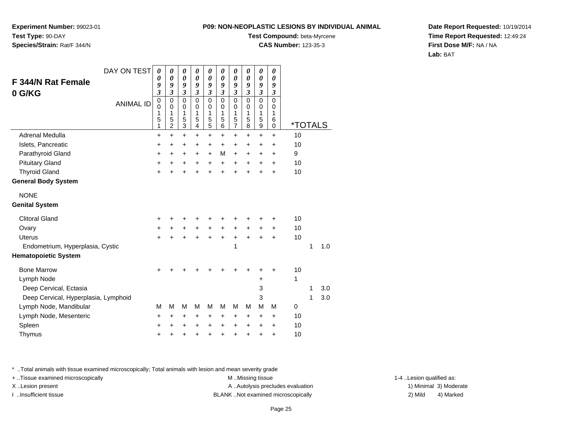**Experiment Number:** 99023-01**Test Type:** 90-DAY**Species/Strain:** Rat/F 344/N

### **Test Compound:** beta-Myrcene

**CAS Number:** 123-35-3

**Date Report Requested:** 10/19/2014**Time Report Requested:** 12:49:24**First Dose M/F:** NA / NA**Lab:** BAT

| DAY ON TEST                          | $\boldsymbol{\theta}$   | 0                          | 0                          | 0                          | $\boldsymbol{\theta}$      | 0                          | 0                          | 0                          | 0                          | 0                          |                       |   |     |
|--------------------------------------|-------------------------|----------------------------|----------------------------|----------------------------|----------------------------|----------------------------|----------------------------|----------------------------|----------------------------|----------------------------|-----------------------|---|-----|
| <b>F 344/N Rat Female</b>            | 0<br>9                  | 0<br>9                     | $\boldsymbol{\theta}$<br>9 | $\boldsymbol{\theta}$<br>9 | 0<br>9                     | $\boldsymbol{\theta}$<br>9 | 0<br>9                     | $\boldsymbol{\theta}$<br>9 | $\boldsymbol{\theta}$<br>9 | 0<br>9                     |                       |   |     |
| 0 G/KG                               | $\overline{\mathbf{3}}$ | $\mathfrak{z}$             | $\mathfrak{z}$             | $\mathfrak{z}$             | $\mathfrak{z}$             | $\overline{\mathbf{3}}$    | $\overline{\mathbf{3}}$    | $\overline{\mathbf{3}}$    | $\mathfrak{z}$             | $\mathfrak{z}$             |                       |   |     |
| <b>ANIMAL ID</b>                     | 0<br>$\mathbf 0$        | $\mathbf 0$<br>$\mathbf 0$ | $\mathbf 0$<br>$\mathbf 0$ | $\mathbf 0$<br>$\mathbf 0$ | $\mathbf 0$<br>$\mathbf 0$ | $\mathbf 0$<br>$\mathbf 0$ | $\mathbf 0$<br>$\mathbf 0$ | $\Omega$<br>$\Omega$       | $\mathbf 0$<br>$\mathbf 0$ | $\mathbf 0$<br>$\mathbf 0$ |                       |   |     |
|                                      | 1                       | 1                          | 1                          | 1                          | 1                          | 1                          | 1                          | 1                          | 1                          | 1                          |                       |   |     |
|                                      | 5<br>1                  | 5<br>2                     | 5<br>3                     | 5<br>4                     | $\frac{5}{5}$              | 5<br>6                     | 5<br>$\overline{7}$        | 5<br>8                     | 5<br>9                     | 6<br>0                     | <i><b>*TOTALS</b></i> |   |     |
| <b>Adrenal Medulla</b>               | +                       | $\ddot{}$                  | $\ddot{}$                  | $\ddot{}$                  | $\ddot{}$                  | $\ddot{}$                  | $\ddot{}$                  | $\ddot{}$                  | $\ddot{}$                  | $\ddot{}$                  | 10                    |   |     |
| Islets, Pancreatic                   | +                       | $\ddot{}$                  | $\ddot{}$                  | $\ddot{}$                  | +                          | $\ddot{}$                  | $\ddot{}$                  | $\ddot{}$                  | $\ddot{}$                  | $\ddot{}$                  | 10                    |   |     |
| Parathyroid Gland                    | $\ddot{}$               | +                          | ٠                          | +                          | $\ddot{}$                  | M                          | $\ddot{}$                  | $\ddot{}$                  | +                          | $\ddot{}$                  | 9                     |   |     |
| <b>Pituitary Gland</b>               | +                       | $\ddot{}$                  | +                          | $\ddot{}$                  | $\ddot{}$                  | $+$                        | $\ddot{}$                  | $\ddot{}$                  | $\ddot{}$                  | $\ddot{}$                  | 10                    |   |     |
| <b>Thyroid Gland</b>                 | $\ddot{}$               | $\ddot{}$                  | $\ddot{}$                  | $\ddot{}$                  | $\ddot{}$                  | $\ddot{}$                  | $\ddot{}$                  | ÷                          | $\ddot{}$                  | $\ddot{}$                  | 10                    |   |     |
| <b>General Body System</b>           |                         |                            |                            |                            |                            |                            |                            |                            |                            |                            |                       |   |     |
| <b>NONE</b>                          |                         |                            |                            |                            |                            |                            |                            |                            |                            |                            |                       |   |     |
| <b>Genital System</b>                |                         |                            |                            |                            |                            |                            |                            |                            |                            |                            |                       |   |     |
| <b>Clitoral Gland</b>                | +                       | +                          | +                          |                            | +                          |                            |                            |                            |                            |                            | 10                    |   |     |
| Ovary                                | +                       | $\ddot{}$                  | $\ddot{}$                  | $\ddot{}$                  | $\ddot{}$                  | $\ddot{}$                  | $\ddot{}$                  | $\ddot{}$                  | +                          | $\ddot{}$                  | 10                    |   |     |
| Uterus                               | $\ddot{}$               | +                          | $\ddot{}$                  | $\ddot{}$                  | $\ddot{}$                  | $\ddot{}$                  | $+$                        | $\ddot{}$                  | $\ddot{}$                  | $\pm$                      | 10                    |   |     |
| Endometrium, Hyperplasia, Cystic     |                         |                            |                            |                            |                            |                            | 1                          |                            |                            |                            |                       | 1 | 1.0 |
| <b>Hematopoietic System</b>          |                         |                            |                            |                            |                            |                            |                            |                            |                            |                            |                       |   |     |
| <b>Bone Marrow</b>                   | +                       |                            |                            |                            |                            |                            |                            |                            |                            | +                          | 10                    |   |     |
| Lymph Node                           |                         |                            |                            |                            |                            |                            |                            |                            | +                          |                            | 1                     |   |     |
| Deep Cervical, Ectasia               |                         |                            |                            |                            |                            |                            |                            |                            | 3                          |                            |                       | 1 | 3.0 |
| Deep Cervical, Hyperplasia, Lymphoid |                         |                            |                            |                            |                            |                            |                            |                            | 3                          |                            |                       | 1 | 3.0 |
| Lymph Node, Mandibular               | М                       | М                          | M                          | M                          | M                          | M                          | M                          | M                          | M                          | M                          | 0                     |   |     |
| Lymph Node, Mesenteric               | +                       | $\ddot{}$                  | +                          | $\ddot{}$                  | $\ddot{}$                  | $\ddot{}$                  | +                          | +                          | +                          | $\ddot{}$                  | 10                    |   |     |
| Spleen                               | ٠                       | ٠                          | +                          | +                          | $\ddot{}$                  | $\ddot{}$                  | $\ddot{}$                  | +                          | +                          | $\ddot{}$                  | 10                    |   |     |
| Thymus                               | +                       | +                          | +                          | +                          | $\pmb{+}$                  | +                          | +                          | +                          | +                          | $\ddot{}$                  | 10                    |   |     |

\* ..Total animals with tissue examined microscopically; Total animals with lesion and mean severity grade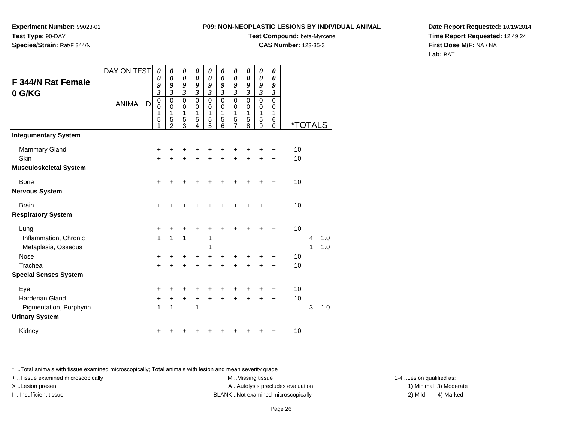**Experiment Number:** 99023-01**Test Type:** 90-DAY**Species/Strain:** Rat/F 344/N

## **Test Compound:** beta-Myrcene

**CAS Number:** 123-35-3

**Date Report Requested:** 10/19/2014**Time Report Requested:** 12:49:24**First Dose M/F:** NA / NA**Lab:** BAT

|                                                  | DAY ON TEST      | $\boldsymbol{\theta}$                        | 0                                              | 0                                            | 0                                              | $\boldsymbol{\theta}$                        | 0                               | 0                                                    | $\boldsymbol{\theta}$                        | $\boldsymbol{\theta}$                                       | $\boldsymbol{\theta}$                              |                       |                     |            |
|--------------------------------------------------|------------------|----------------------------------------------|------------------------------------------------|----------------------------------------------|------------------------------------------------|----------------------------------------------|---------------------------------|------------------------------------------------------|----------------------------------------------|-------------------------------------------------------------|----------------------------------------------------|-----------------------|---------------------|------------|
| <b>F 344/N Rat Female</b>                        |                  | $\boldsymbol{\theta}$<br>9<br>$\mathfrak{z}$ | $\pmb{\theta}$<br>9<br>$\overline{\mathbf{3}}$ | 0<br>9<br>$\overline{\mathbf{3}}$            | $\pmb{\theta}$<br>9<br>$\overline{\mathbf{3}}$ | $\boldsymbol{\theta}$<br>9<br>$\mathfrak{z}$ | 0<br>9<br>$\mathfrak{z}$        | 0<br>9<br>$\mathfrak{z}$                             | $\boldsymbol{\theta}$<br>9<br>$\mathfrak{z}$ | $\boldsymbol{\theta}$<br>$\boldsymbol{g}$<br>$\mathfrak{z}$ | $\boldsymbol{\theta}$<br>9<br>$\boldsymbol{\beta}$ |                       |                     |            |
| 0 G/KG                                           | <b>ANIMAL ID</b> | $\pmb{0}$<br>$\mathbf 0$<br>1<br>5<br>1      | 0<br>$\mathbf 0$<br>1<br>$\frac{5}{2}$         | $\mathsf 0$<br>0<br>1<br>5<br>$\overline{3}$ | $\mathbf 0$<br>0<br>1<br>5<br>4                | $\pmb{0}$<br>0<br>1<br>$\frac{5}{5}$         | $\mathbf 0$<br>0<br>1<br>5<br>6 | $\pmb{0}$<br>0<br>$\mathbf 1$<br>5<br>$\overline{7}$ | $\pmb{0}$<br>0<br>$\mathbf{1}$<br>5<br>8     | $\mathbf 0$<br>$\pmb{0}$<br>$\mathbf{1}$<br>$\frac{5}{9}$   | $\pmb{0}$<br>$\pmb{0}$<br>1<br>6<br>$\mathbf 0$    | <i><b>*TOTALS</b></i> |                     |            |
| <b>Integumentary System</b>                      |                  |                                              |                                                |                                              |                                                |                                              |                                 |                                                      |                                              |                                                             |                                                    |                       |                     |            |
| Mammary Gland                                    |                  | +                                            | +                                              | +                                            |                                                |                                              |                                 | +                                                    | +                                            |                                                             | +                                                  | 10                    |                     |            |
| Skin<br><b>Musculoskeletal System</b>            |                  | $\ddot{}$                                    |                                                |                                              |                                                |                                              |                                 |                                                      | $\ddot{}$                                    |                                                             | $\ddot{}$                                          | 10                    |                     |            |
| <b>Bone</b>                                      |                  | +                                            |                                                |                                              |                                                |                                              |                                 | +                                                    | +                                            | +                                                           | $\ddot{}$                                          | 10                    |                     |            |
| <b>Nervous System</b>                            |                  |                                              |                                                |                                              |                                                |                                              |                                 |                                                      |                                              |                                                             |                                                    |                       |                     |            |
| <b>Brain</b><br><b>Respiratory System</b>        |                  | $\ddot{}$                                    |                                                |                                              |                                                |                                              |                                 |                                                      | +                                            |                                                             | ÷                                                  | 10                    |                     |            |
| Lung                                             |                  | $\ddot{}$                                    | +                                              | +                                            | +                                              |                                              |                                 | +                                                    | +                                            |                                                             | ٠                                                  | 10                    |                     |            |
| Inflammation, Chronic<br>Metaplasia, Osseous     |                  | $\mathbf{1}$                                 | 1                                              | $\mathbf{1}$                                 |                                                | 1<br>1                                       |                                 |                                                      |                                              |                                                             |                                                    |                       | $\overline{4}$<br>1 | 1.0<br>1.0 |
| Nose                                             |                  | +                                            |                                                |                                              | +                                              |                                              |                                 |                                                      | +                                            |                                                             | ٠                                                  | 10                    |                     |            |
| Trachea<br><b>Special Senses System</b>          |                  | $\ddot{}$                                    |                                                | +                                            | $\ddot{}$                                      | $\ddot{}$                                    | ÷                               | +                                                    | $\ddot{}$                                    | +                                                           | $\ddot{}$                                          | 10                    |                     |            |
| Eye                                              |                  | +                                            |                                                | +                                            | ٠                                              |                                              |                                 |                                                      | +                                            |                                                             | ٠                                                  | 10                    |                     |            |
| <b>Harderian Gland</b>                           |                  | +                                            | ÷                                              | $\ddot{}$                                    | +                                              | $\ddot{}$                                    | $+$                             | $\ddot{}$                                            | $+$                                          | $+$                                                         | $\ddot{}$                                          | 10                    |                     |            |
| Pigmentation, Porphyrin<br><b>Urinary System</b> |                  | $\mathbf{1}$                                 | 1                                              |                                              | 1                                              |                                              |                                 |                                                      |                                              |                                                             |                                                    |                       | 3                   | 1.0        |
| Kidney                                           |                  | +                                            |                                                |                                              |                                                |                                              |                                 |                                                      | ٠                                            | +                                                           | +                                                  | 10                    |                     |            |

\* ..Total animals with tissue examined microscopically; Total animals with lesion and mean severity grade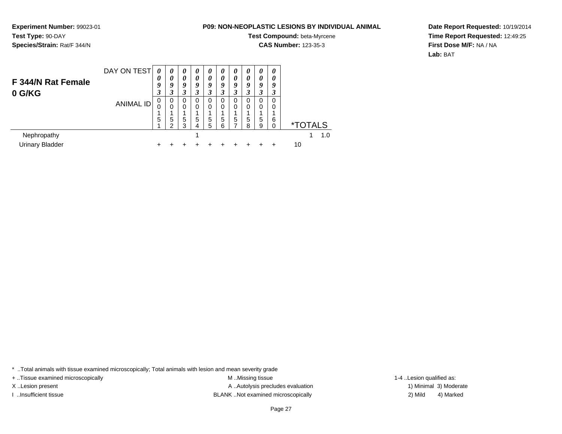**Experiment Number:** 99023-01**Test Type:** 90-DAY**Species/Strain:** Rat/F 344/N

#### **Test Compound:** beta-Myrcene**CAS Number:** 123-35-3

**Date Report Requested:** 10/19/2014**Time Report Requested:** 12:49:25**First Dose M/F:** NA / NA**Lab:** BAT

| F 344/N Rat Female<br>0 G/KG | DAY ON TEST<br><b>ANIMAL ID</b> | 0<br>0<br>9<br>3<br>0<br>0<br>5 | 0<br>0<br>Q<br>3<br>0<br>0<br>5<br>⌒ | 0<br>0<br>9<br>3<br>0<br>0<br>5<br>3 | 0<br>0<br>o<br>3<br>0<br>0<br>5 | $\boldsymbol{\theta}$<br>0<br>9<br>3<br>0<br>0<br>5<br>5 | $\boldsymbol{\theta}$<br>0<br>9<br>3<br>0<br>0<br>5<br>6 | $\boldsymbol{\theta}$<br>0<br>Q<br>3<br>0<br>0<br>5 | $\boldsymbol{\theta}$<br>$\boldsymbol{\theta}$<br>9<br>◠<br>0<br>0<br>5<br>8 | $\boldsymbol{\theta}$<br>0<br>9<br>$\Omega$<br>5<br>9 | $\boldsymbol{\theta}$<br>$\boldsymbol{\theta}$<br>9<br>3<br>0<br>6 |    | <i><b>*TOTALS</b></i> |     |
|------------------------------|---------------------------------|---------------------------------|--------------------------------------|--------------------------------------|---------------------------------|----------------------------------------------------------|----------------------------------------------------------|-----------------------------------------------------|------------------------------------------------------------------------------|-------------------------------------------------------|--------------------------------------------------------------------|----|-----------------------|-----|
| Nephropathy                  |                                 |                                 |                                      |                                      |                                 |                                                          |                                                          |                                                     |                                                                              |                                                       |                                                                    |    |                       | 1.0 |
| <b>Urinary Bladder</b>       |                                 |                                 |                                      |                                      |                                 |                                                          |                                                          |                                                     |                                                                              |                                                       |                                                                    | 10 |                       |     |

\* ..Total animals with tissue examined microscopically; Total animals with lesion and mean severity grade

+ ..Tissue examined microscopically examined microscopically examined as:  $M$  ..Missing tissue 1-4 ..Lesion qualified as: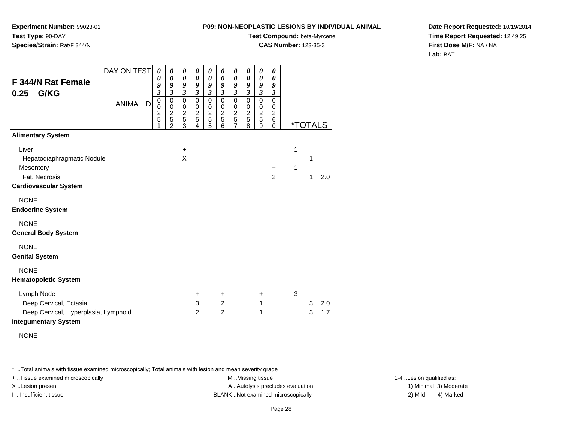**Experiment Number:** 99023-01**Test Type:** 90-DAY**Species/Strain:** Rat/F 344/N

## **Test Compound:** beta-Myrcene

**CAS Number:** 123-35-3

**Date Report Requested:** 10/19/2014**Time Report Requested:** 12:49:25**First Dose M/F:** NA / NA**Lab:** BAT

| DAY ON TEST                                                         | 0      | 0                                          | 0                           | 0                          | 0                                                    | 0                          | 0                                            | 0                                       | $\boldsymbol{\theta}$                   | 0                                  |   |                       |     |
|---------------------------------------------------------------------|--------|--------------------------------------------|-----------------------------|----------------------------|------------------------------------------------------|----------------------------|----------------------------------------------|-----------------------------------------|-----------------------------------------|------------------------------------|---|-----------------------|-----|
| F 344/N Rat Female                                                  | 0<br>9 | $\boldsymbol{\theta}$<br>9                 | 0<br>9                      | $\boldsymbol{\theta}$<br>9 | $\boldsymbol{\theta}$<br>9                           | $\boldsymbol{\theta}$<br>9 | $\boldsymbol{\theta}$                        | 0<br>9                                  | $\boldsymbol{\theta}$<br>9              | 0<br>9                             |   |                       |     |
| G/KG<br>0.25                                                        | 3      | $\boldsymbol{\beta}$                       | $\boldsymbol{\mathfrak{z}}$ | $\mathfrak{z}$             | $\mathfrak{z}$                                       | $\mathfrak{z}$             | $\frac{9}{3}$                                | $\boldsymbol{\beta}$                    | $\boldsymbol{\beta}$                    | 3                                  |   |                       |     |
| <b>ANIMAL ID</b>                                                    | 0<br>0 | $\pmb{0}$<br>0                             | $\mathbf 0$<br>0            | $\mathbf 0$<br>0           | $\mathsf 0$<br>0                                     | $\mathbf 0$<br>$\pmb{0}$   | $\pmb{0}$<br>0                               | $\mathbf 0$<br>0                        | $\pmb{0}$<br>0                          | $\mathbf 0$<br>0                   |   |                       |     |
|                                                                     | 2<br>5 | $\begin{array}{c} 2 \\ 5 \\ 2 \end{array}$ | $\overline{c}$<br>5<br>3    | $\overline{c}$<br>5<br>4   | $\boldsymbol{2}$<br>$\overline{5}$<br>$\overline{5}$ | $\frac{2}{5}$<br>6         | $\begin{array}{c}\n2 \\ 5 \\ 7\n\end{array}$ | $\boldsymbol{2}$<br>5<br>$\overline{8}$ | $\boldsymbol{2}$<br>$\overline{5}$<br>9 | $\overline{c}$<br>6<br>$\mathbf 0$ |   | <i><b>*TOTALS</b></i> |     |
| <b>Alimentary System</b>                                            |        |                                            |                             |                            |                                                      |                            |                                              |                                         |                                         |                                    |   |                       |     |
| Liver                                                               |        |                                            | $\ddot{}$                   |                            |                                                      |                            |                                              |                                         |                                         |                                    | 1 |                       |     |
| Hepatodiaphragmatic Nodule                                          |        |                                            | X                           |                            |                                                      |                            |                                              |                                         |                                         |                                    |   | 1                     |     |
| Mesentery                                                           |        |                                            |                             |                            |                                                      |                            |                                              |                                         |                                         | $\ddot{}$                          | 1 |                       |     |
| Fat, Necrosis<br><b>Cardiovascular System</b>                       |        |                                            |                             |                            |                                                      |                            |                                              |                                         |                                         | $\overline{c}$                     |   | 1                     | 2.0 |
| <b>NONE</b>                                                         |        |                                            |                             |                            |                                                      |                            |                                              |                                         |                                         |                                    |   |                       |     |
| <b>Endocrine System</b>                                             |        |                                            |                             |                            |                                                      |                            |                                              |                                         |                                         |                                    |   |                       |     |
| <b>NONE</b>                                                         |        |                                            |                             |                            |                                                      |                            |                                              |                                         |                                         |                                    |   |                       |     |
| <b>General Body System</b>                                          |        |                                            |                             |                            |                                                      |                            |                                              |                                         |                                         |                                    |   |                       |     |
| <b>NONE</b>                                                         |        |                                            |                             |                            |                                                      |                            |                                              |                                         |                                         |                                    |   |                       |     |
| <b>Genital System</b>                                               |        |                                            |                             |                            |                                                      |                            |                                              |                                         |                                         |                                    |   |                       |     |
| <b>NONE</b>                                                         |        |                                            |                             |                            |                                                      |                            |                                              |                                         |                                         |                                    |   |                       |     |
| <b>Hematopoietic System</b>                                         |        |                                            |                             |                            |                                                      |                            |                                              |                                         |                                         |                                    |   |                       |     |
| Lymph Node                                                          |        |                                            |                             | $\ddot{}$                  |                                                      | $\ddot{}$                  |                                              |                                         | +                                       |                                    | 3 |                       |     |
| Deep Cervical, Ectasia                                              |        |                                            |                             | 3                          |                                                      | 2                          |                                              |                                         | 1                                       |                                    |   | 3                     | 2.0 |
| Deep Cervical, Hyperplasia, Lymphoid<br><b>Integumentary System</b> |        |                                            |                             | $\overline{2}$             |                                                      | $\overline{2}$             |                                              |                                         | 1                                       |                                    |   | 3                     | 1.7 |
|                                                                     |        |                                            |                             |                            |                                                      |                            |                                              |                                         |                                         |                                    |   |                       |     |

NONE

\* ..Total animals with tissue examined microscopically; Total animals with lesion and mean severity grade

+ ..Tissue examined microscopically examined microscopically examined as:  $M$  ..Missing tissue 1-4 ..Lesion qualified as: X..Lesion present **A ..Autolysis precludes evaluation** A ..Autolysis precludes evaluation 1) Minimal 3) Moderate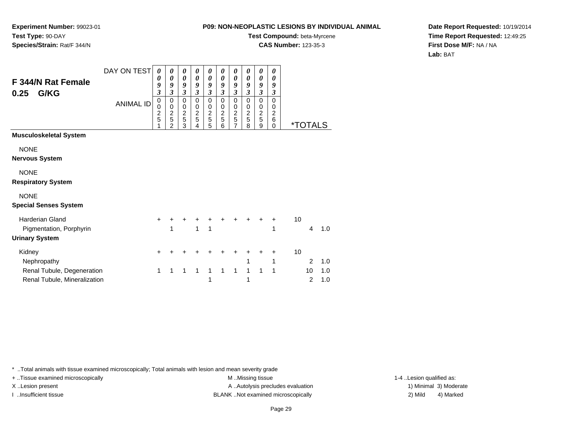**Experiment Number:** 99023-01**Test Type:** 90-DAY**Species/Strain:** Rat/F 344/N

#### **Test Compound:** beta-Myrcene**CAS Number:** 123-35-3

**Date Report Requested:** 10/19/2014**Time Report Requested:** 12:49:25**First Dose M/F:** NA / NA**Lab:** BAT

| F 344/N Rat Female<br>G/KG<br>0.25                                         | DAY ON TEST<br><b>ANIMAL ID</b> | 0<br>0<br>9<br>$\overline{\mathbf{3}}$<br>0<br>0<br>$\frac{2}{5}$<br>1 | 0<br>0<br>9<br>3<br>$\pmb{0}$<br>$\mbox{O}$<br>$\frac{2}{5}$<br>$\overline{2}$ | 0<br>0<br>9<br>$\mathfrak{z}$<br>0<br>$\boldsymbol{0}$<br>$\frac{2}{5}$<br>3 | 0<br>$\boldsymbol{\theta}$<br>9<br>3<br>$\mathbf 0$<br>$\pmb{0}$<br>$\frac{2}{5}$<br>4 | 0<br>$\boldsymbol{\theta}$<br>9<br>$\mathfrak{z}$<br>$\pmb{0}$<br>$\pmb{0}$<br>$\frac{2}{5}$<br>5 | 0<br>0<br>9<br>$\mathfrak{z}$<br>$\mathbf 0$<br>$\mathbf 0$<br>$\frac{2}{5}$<br>6 | 0<br>$\boldsymbol{\theta}$<br>9<br>$\boldsymbol{\beta}$<br>$\mathbf 0$<br>$\pmb{0}$<br>$\begin{array}{c}\n2 \\ 5 \\ 7\n\end{array}$ | 0<br>0<br>9<br>$\boldsymbol{\beta}$<br>$\mathbf 0$<br>$\mathbf 0$<br>$\frac{2}{5}$<br>8 | 0<br>0<br>9<br>$\mathfrak{z}$<br>$\mathbf 0$<br>$\pmb{0}$<br>$\frac{2}{5}$<br>9 | 0<br>0<br>9<br>$\boldsymbol{\beta}$<br>$\mathbf 0$<br>$\mathbf 0$<br>$\overline{2}$<br>6<br>$\Omega$ |    | <i><b>*TOTALS</b></i> |            |
|----------------------------------------------------------------------------|---------------------------------|------------------------------------------------------------------------|--------------------------------------------------------------------------------|------------------------------------------------------------------------------|----------------------------------------------------------------------------------------|---------------------------------------------------------------------------------------------------|-----------------------------------------------------------------------------------|-------------------------------------------------------------------------------------------------------------------------------------|-----------------------------------------------------------------------------------------|---------------------------------------------------------------------------------|------------------------------------------------------------------------------------------------------|----|-----------------------|------------|
| <b>Musculoskeletal System</b>                                              |                                 |                                                                        |                                                                                |                                                                              |                                                                                        |                                                                                                   |                                                                                   |                                                                                                                                     |                                                                                         |                                                                                 |                                                                                                      |    |                       |            |
| <b>NONE</b><br><b>Nervous System</b>                                       |                                 |                                                                        |                                                                                |                                                                              |                                                                                        |                                                                                                   |                                                                                   |                                                                                                                                     |                                                                                         |                                                                                 |                                                                                                      |    |                       |            |
| <b>NONE</b><br><b>Respiratory System</b>                                   |                                 |                                                                        |                                                                                |                                                                              |                                                                                        |                                                                                                   |                                                                                   |                                                                                                                                     |                                                                                         |                                                                                 |                                                                                                      |    |                       |            |
| <b>NONE</b><br><b>Special Senses System</b>                                |                                 |                                                                        |                                                                                |                                                                              |                                                                                        |                                                                                                   |                                                                                   |                                                                                                                                     |                                                                                         |                                                                                 |                                                                                                      |    |                       |            |
| <b>Harderian Gland</b><br>Pigmentation, Porphyrin<br><b>Urinary System</b> |                                 | $\ddot{}$                                                              | 1                                                                              |                                                                              | 1                                                                                      | 1                                                                                                 |                                                                                   |                                                                                                                                     |                                                                                         |                                                                                 | ٠<br>1                                                                                               | 10 | 4                     | 1.0        |
| Kidney                                                                     |                                 | +                                                                      |                                                                                |                                                                              |                                                                                        |                                                                                                   |                                                                                   |                                                                                                                                     |                                                                                         |                                                                                 | ٠                                                                                                    | 10 |                       |            |
| Nephropathy                                                                |                                 |                                                                        |                                                                                |                                                                              |                                                                                        |                                                                                                   |                                                                                   |                                                                                                                                     | 1                                                                                       |                                                                                 | 1                                                                                                    |    | 2                     | 1.0        |
| Renal Tubule, Degeneration<br>Renal Tubule, Mineralization                 |                                 | 1                                                                      | 1                                                                              | 1                                                                            | 1                                                                                      | 1<br>1                                                                                            | 1                                                                                 | 1                                                                                                                                   | $\mathbf{1}$<br>1                                                                       | 1                                                                               | 1                                                                                                    |    | 10<br>$\overline{2}$  | 1.0<br>1.0 |

\* ..Total animals with tissue examined microscopically; Total animals with lesion and mean severity grade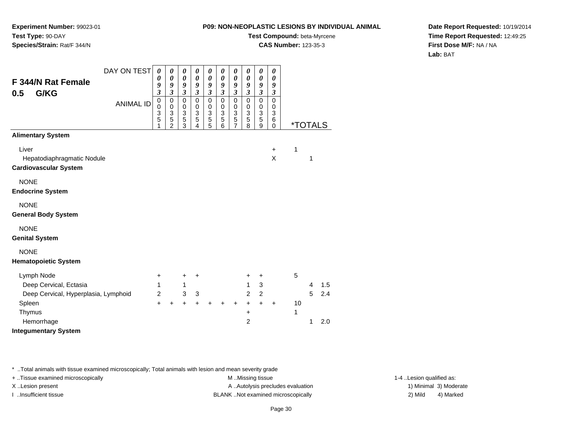**Experiment Number:** 99023-01**Test Type:** 90-DAY**Species/Strain:** Rat/F 344/N

## **Test Compound:** beta-Myrcene

**CAS Number:** 123-35-3

**Date Report Requested:** 10/19/2014**Time Report Requested:** 12:49:25**First Dose M/F:** NA / NA**Lab:** BAT

|                                      | DAY ON TEST      | $\boldsymbol{\theta}$      | 0                                | 0                         | 0                          | 0                         | $\pmb{\theta}$       | 0                                | 0                    | $\boldsymbol{\theta}$      | 0                    |    |                       |     |
|--------------------------------------|------------------|----------------------------|----------------------------------|---------------------------|----------------------------|---------------------------|----------------------|----------------------------------|----------------------|----------------------------|----------------------|----|-----------------------|-----|
| F 344/N Rat Female                   |                  | 0<br>9                     | $\boldsymbol{\theta}$<br>9       | 0<br>9                    | $\boldsymbol{\theta}$<br>9 | 0<br>9                    | 0<br>9               | $\boldsymbol{\theta}$<br>9       | 0<br>9               | $\boldsymbol{\theta}$<br>9 | 0<br>9               |    |                       |     |
| G/KG<br>0.5                          |                  | $\mathfrak{z}$             | $\mathfrak{z}$                   | $\boldsymbol{\beta}$      | $\boldsymbol{\beta}$       | $\mathfrak{z}$            | $\boldsymbol{\beta}$ | $\mathfrak{z}$                   | $\boldsymbol{\beta}$ | $\boldsymbol{\beta}$       | $\boldsymbol{\beta}$ |    |                       |     |
|                                      | <b>ANIMAL ID</b> | $\mathbf 0$<br>$\mathbf 0$ | $\pmb{0}$<br>0                   | $\pmb{0}$<br>0            | $\mathbf 0$<br>0           | 0<br>0                    | $\pmb{0}$<br>0       | $\pmb{0}$<br>0                   | $\mathbf 0$<br>0     | $\pmb{0}$<br>0             | $\mathbf 0$<br>0     |    |                       |     |
|                                      |                  | 3                          | $\ensuremath{\mathsf{3}}$        | $\ensuremath{\mathsf{3}}$ | $\frac{3}{5}$              | $\ensuremath{\mathsf{3}}$ | 3                    | $\mathbf{3}$                     | $\overline{3}$       | $\overline{3}$             | $\mathbf{3}$         |    |                       |     |
|                                      |                  | 5                          | $\overline{5}$<br>$\overline{c}$ | $\overline{5}$<br>3       | 4                          | $\overline{5}$<br>5       | $\overline{5}$<br>6  | $\overline{5}$<br>$\overline{7}$ | $\overline{5}$<br>8  | $\overline{5}$<br>9        | 6<br>$\mathbf 0$     |    | <i><b>*TOTALS</b></i> |     |
| <b>Alimentary System</b>             |                  |                            |                                  |                           |                            |                           |                      |                                  |                      |                            |                      |    |                       |     |
| Liver                                |                  |                            |                                  |                           |                            |                           |                      |                                  |                      |                            | +                    | 1  |                       |     |
| Hepatodiaphragmatic Nodule           |                  |                            |                                  |                           |                            |                           |                      |                                  |                      |                            | X                    |    | 1                     |     |
| <b>Cardiovascular System</b>         |                  |                            |                                  |                           |                            |                           |                      |                                  |                      |                            |                      |    |                       |     |
| <b>NONE</b>                          |                  |                            |                                  |                           |                            |                           |                      |                                  |                      |                            |                      |    |                       |     |
| <b>Endocrine System</b>              |                  |                            |                                  |                           |                            |                           |                      |                                  |                      |                            |                      |    |                       |     |
| <b>NONE</b>                          |                  |                            |                                  |                           |                            |                           |                      |                                  |                      |                            |                      |    |                       |     |
| <b>General Body System</b>           |                  |                            |                                  |                           |                            |                           |                      |                                  |                      |                            |                      |    |                       |     |
| <b>NONE</b>                          |                  |                            |                                  |                           |                            |                           |                      |                                  |                      |                            |                      |    |                       |     |
| <b>Genital System</b>                |                  |                            |                                  |                           |                            |                           |                      |                                  |                      |                            |                      |    |                       |     |
| <b>NONE</b>                          |                  |                            |                                  |                           |                            |                           |                      |                                  |                      |                            |                      |    |                       |     |
| <b>Hematopoietic System</b>          |                  |                            |                                  |                           |                            |                           |                      |                                  |                      |                            |                      |    |                       |     |
| Lymph Node                           |                  | $\ddot{}$                  |                                  | $\ddot{}$                 | $\ddot{}$                  |                           |                      |                                  | $\ddot{}$            | $\ddot{}$                  |                      | 5  |                       |     |
| Deep Cervical, Ectasia               |                  | 1                          |                                  | $\mathbf{1}$              |                            |                           |                      |                                  | 1                    | 3                          |                      |    | $\overline{4}$        | 1.5 |
| Deep Cervical, Hyperplasia, Lymphoid |                  | $\overline{c}$             |                                  | 3                         | 3                          |                           |                      |                                  | $\overline{2}$       | $\overline{2}$             |                      |    | 5                     | 2.4 |
| Spleen                               |                  | $\ddot{}$                  | $\ddot{}$                        | ÷                         | $\ddot{}$                  | $\ddot{}$                 | $\ddot{}$            | $\ddot{}$                        | $+$                  | $+$                        | $\ddot{}$            | 10 |                       |     |
| Thymus                               |                  |                            |                                  |                           |                            |                           |                      |                                  | $\ddot{}$            |                            |                      | 1  |                       |     |
| Hemorrhage                           |                  |                            |                                  |                           |                            |                           |                      |                                  | $\overline{2}$       |                            |                      |    | 1                     | 2.0 |
| <b>Integumentary System</b>          |                  |                            |                                  |                           |                            |                           |                      |                                  |                      |                            |                      |    |                       |     |

\* ..Total animals with tissue examined microscopically; Total animals with lesion and mean severity grade

+ ..Tissue examined microscopically examined microscopically examined as:  $M$  ..Missing tissue 1-4 ..Lesion qualified as: X..Lesion present **A ..Autolysis precludes evaluation** A ..Autolysis precludes evaluation 1) Minimal 3) Moderate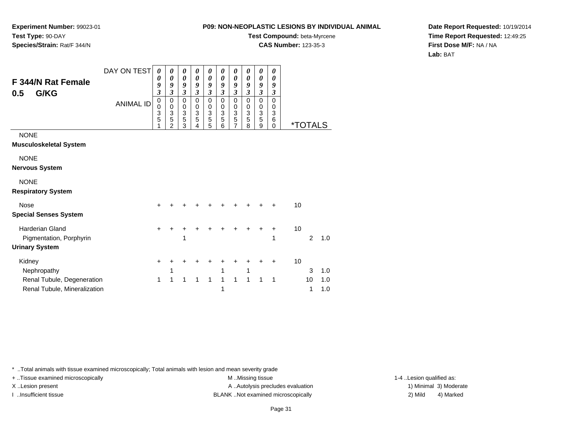**Experiment Number:** 99023-01**Test Type:** 90-DAY**Species/Strain:** Rat/F 344/N

# **Test Compound:** beta-Myrcene

**CAS Number:** 123-35-3

**Date Report Requested:** 10/19/2014**Time Report Requested:** 12:49:25**First Dose M/F:** NA / NA**Lab:** BAT

| F 344/N Rat Female<br>G/KG<br>0.5                                          | DAY ON TEST<br><b>ANIMAL ID</b> | $\boldsymbol{\theta}$<br>0<br>9<br>$\boldsymbol{\beta}$<br>0<br>0 | 0<br>0<br>9<br>3<br>$\pmb{0}$<br>$\mathbf 0$ | 0<br>$\boldsymbol{\theta}$<br>9<br>$\mathfrak{z}$<br>$\mathbf 0$<br>$\mathbf 0$ | 0<br>0<br>9<br>$\mathfrak{z}$<br>$\mathbf 0$<br>$\mathbf 0$ | 0<br>0<br>9<br>3<br>$\mathbf 0$<br>$\mathbf 0$ | 0<br>0<br>9<br>3<br>$\mathbf 0$<br>$\mathbf 0$ | 0<br>0<br>9<br>$\overline{\mathbf{3}}$<br>$\mathbf 0$<br>$\mathbf 0$ | 0<br>0<br>9<br>3<br>$\mathbf 0$<br>0 | 0<br>$\boldsymbol{\theta}$<br>9<br>$\overline{\mathbf{3}}$<br>$\mathbf 0$<br>0 | 0<br>0<br>9<br>3<br>$\Omega$<br>0 |    |                       |            |
|----------------------------------------------------------------------------|---------------------------------|-------------------------------------------------------------------|----------------------------------------------|---------------------------------------------------------------------------------|-------------------------------------------------------------|------------------------------------------------|------------------------------------------------|----------------------------------------------------------------------|--------------------------------------|--------------------------------------------------------------------------------|-----------------------------------|----|-----------------------|------------|
|                                                                            |                                 | 3<br>5                                                            | $\mathbf{3}$<br>$\overline{5}$<br>2          | 3<br>5<br>3                                                                     | 3<br>5<br>4                                                 | $\ensuremath{\mathsf{3}}$<br>5<br>5            | 3<br>5<br>6                                    | $\ensuremath{\mathsf{3}}$<br>$\overline{5}$<br>$\overline{7}$        | 3<br>5<br>8                          | 3<br>5<br>9                                                                    | 3<br>$\,6$<br>$\Omega$            |    | <i><b>*TOTALS</b></i> |            |
| <b>NONE</b><br><b>Musculoskeletal System</b>                               |                                 |                                                                   |                                              |                                                                                 |                                                             |                                                |                                                |                                                                      |                                      |                                                                                |                                   |    |                       |            |
| <b>NONE</b><br><b>Nervous System</b>                                       |                                 |                                                                   |                                              |                                                                                 |                                                             |                                                |                                                |                                                                      |                                      |                                                                                |                                   |    |                       |            |
| <b>NONE</b><br><b>Respiratory System</b>                                   |                                 |                                                                   |                                              |                                                                                 |                                                             |                                                |                                                |                                                                      |                                      |                                                                                |                                   |    |                       |            |
| <b>Nose</b><br><b>Special Senses System</b>                                |                                 | ÷                                                                 |                                              |                                                                                 |                                                             |                                                |                                                |                                                                      |                                      |                                                                                |                                   | 10 |                       |            |
| <b>Harderian Gland</b><br>Pigmentation, Porphyrin<br><b>Urinary System</b> |                                 | $\ddot{}$                                                         |                                              | 1                                                                               |                                                             |                                                |                                                |                                                                      | +                                    | +                                                                              | +<br>1                            | 10 | $\overline{2}$        | 1.0        |
| Kidney<br>Nephropathy                                                      |                                 | $\ddot{}$                                                         |                                              |                                                                                 |                                                             |                                                |                                                |                                                                      | 1                                    |                                                                                | +                                 | 10 | 3                     | 1.0        |
| Renal Tubule, Degeneration<br>Renal Tubule, Mineralization                 |                                 | 1                                                                 | 1                                            | 1                                                                               | 1                                                           | 1                                              | $\mathbf{1}$<br>1                              | $\mathbf{1}$                                                         | 1                                    | $\mathbf 1$                                                                    | $\mathbf 1$                       |    | 10<br>1               | 1.0<br>1.0 |

\* ..Total animals with tissue examined microscopically; Total animals with lesion and mean severity grade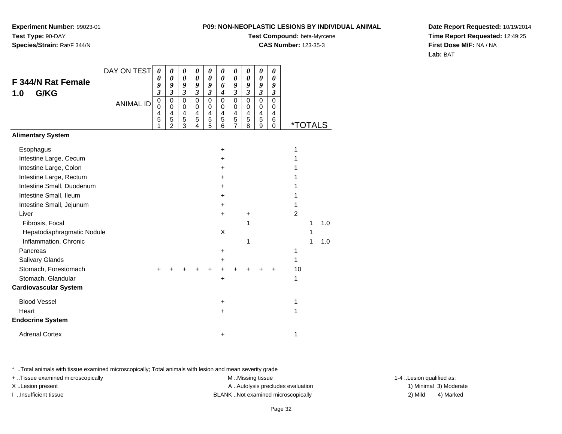**Experiment Number:** 99023-01**Test Type:** 90-DAY**Species/Strain:** Rat/F 344/N

### **Test Compound:** beta-Myrcene

**CAS Number:** 123-35-3

**Date Report Requested:** 10/19/2014**Time Report Requested:** 12:49:25**First Dose M/F:** NA / NA**Lab:** BAT

| <b>F 344/N Rat Female</b><br>G/KG<br>1.0 | DAY ON TEST<br><b>ANIMAL ID</b> | 0<br>0<br>9<br>3<br>$\pmb{0}$<br>0<br>4<br>5 | 0<br>0<br>9<br>3<br>0<br>0<br>4<br>5 | 0<br>$\boldsymbol{\theta}$<br>9<br>$\boldsymbol{\mathfrak{z}}$<br>0<br>0<br>4<br>5 | 0<br>$\boldsymbol{\theta}$<br>9<br>$\mathfrak{z}$<br>$\mathbf 0$<br>0<br>4 | $\boldsymbol{\theta}$<br>$\boldsymbol{\theta}$<br>9<br>$\mathfrak{z}$<br>$\mathbf 0$<br>0<br>4<br>5 | 0<br>0<br>6<br>$\boldsymbol{4}$<br>$\mathbf 0$<br>0<br>4<br>5 | 0<br>$\boldsymbol{\theta}$<br>9<br>$\mathfrak{z}$<br>$\mathbf 0$<br>0<br>4<br>5 | 0<br>0<br>9<br>$\mathfrak{z}$<br>$\mathbf 0$<br>0<br>4<br>5 | 0<br>0<br>9<br>$\boldsymbol{\mathfrak{z}}$<br>$\mathbf 0$<br>0<br>$\overline{\mathbf{4}}$<br>5 | 0<br>0<br>9<br>$\boldsymbol{\beta}$<br>$\mathbf 0$<br>0<br>4 |                       |   |     |
|------------------------------------------|---------------------------------|----------------------------------------------|--------------------------------------|------------------------------------------------------------------------------------|----------------------------------------------------------------------------|-----------------------------------------------------------------------------------------------------|---------------------------------------------------------------|---------------------------------------------------------------------------------|-------------------------------------------------------------|------------------------------------------------------------------------------------------------|--------------------------------------------------------------|-----------------------|---|-----|
|                                          |                                 | 1                                            | $\overline{2}$                       | 3                                                                                  | 5<br>4                                                                     | $\overline{5}$                                                                                      | 6                                                             | $\overline{7}$                                                                  | 8                                                           | 9                                                                                              | 6<br>$\Omega$                                                | <i><b>*TOTALS</b></i> |   |     |
| <b>Alimentary System</b>                 |                                 |                                              |                                      |                                                                                    |                                                                            |                                                                                                     |                                                               |                                                                                 |                                                             |                                                                                                |                                                              |                       |   |     |
| Esophagus                                |                                 |                                              |                                      |                                                                                    |                                                                            |                                                                                                     | $\ddot{}$                                                     |                                                                                 |                                                             |                                                                                                |                                                              | 1                     |   |     |
| Intestine Large, Cecum                   |                                 |                                              |                                      |                                                                                    |                                                                            |                                                                                                     | +                                                             |                                                                                 |                                                             |                                                                                                |                                                              |                       |   |     |
| Intestine Large, Colon                   |                                 |                                              |                                      |                                                                                    |                                                                            |                                                                                                     | +                                                             |                                                                                 |                                                             |                                                                                                |                                                              |                       |   |     |
| Intestine Large, Rectum                  |                                 |                                              |                                      |                                                                                    |                                                                            |                                                                                                     | +                                                             |                                                                                 |                                                             |                                                                                                |                                                              |                       |   |     |
| Intestine Small, Duodenum                |                                 |                                              |                                      |                                                                                    |                                                                            |                                                                                                     | +                                                             |                                                                                 |                                                             |                                                                                                |                                                              |                       |   |     |
| Intestine Small, Ileum                   |                                 |                                              |                                      |                                                                                    |                                                                            |                                                                                                     | +                                                             |                                                                                 |                                                             |                                                                                                |                                                              | 1                     |   |     |
| Intestine Small, Jejunum                 |                                 |                                              |                                      |                                                                                    |                                                                            |                                                                                                     | +                                                             |                                                                                 |                                                             |                                                                                                |                                                              | 1                     |   |     |
| Liver                                    |                                 |                                              |                                      |                                                                                    |                                                                            |                                                                                                     | $\ddot{}$                                                     |                                                                                 | +                                                           |                                                                                                |                                                              | $\overline{2}$        |   |     |
| Fibrosis, Focal                          |                                 |                                              |                                      |                                                                                    |                                                                            |                                                                                                     |                                                               |                                                                                 | 1                                                           |                                                                                                |                                                              |                       | 1 | 1.0 |
| Hepatodiaphragmatic Nodule               |                                 |                                              |                                      |                                                                                    |                                                                            |                                                                                                     | X                                                             |                                                                                 |                                                             |                                                                                                |                                                              |                       | 1 |     |
| Inflammation, Chronic                    |                                 |                                              |                                      |                                                                                    |                                                                            |                                                                                                     |                                                               |                                                                                 | 1                                                           |                                                                                                |                                                              |                       | 1 | 1.0 |
| Pancreas                                 |                                 |                                              |                                      |                                                                                    |                                                                            |                                                                                                     | $\ddot{}$                                                     |                                                                                 |                                                             |                                                                                                |                                                              | 1                     |   |     |
| Salivary Glands                          |                                 |                                              |                                      |                                                                                    |                                                                            |                                                                                                     | +                                                             |                                                                                 |                                                             |                                                                                                |                                                              | 1                     |   |     |
| Stomach, Forestomach                     |                                 | +                                            |                                      |                                                                                    |                                                                            |                                                                                                     |                                                               |                                                                                 |                                                             |                                                                                                |                                                              | 10                    |   |     |
| Stomach, Glandular                       |                                 |                                              |                                      |                                                                                    |                                                                            |                                                                                                     | $\ddot{}$                                                     |                                                                                 |                                                             |                                                                                                |                                                              | 1                     |   |     |
| <b>Cardiovascular System</b>             |                                 |                                              |                                      |                                                                                    |                                                                            |                                                                                                     |                                                               |                                                                                 |                                                             |                                                                                                |                                                              |                       |   |     |
| <b>Blood Vessel</b>                      |                                 |                                              |                                      |                                                                                    |                                                                            |                                                                                                     | +                                                             |                                                                                 |                                                             |                                                                                                |                                                              | 1                     |   |     |
| Heart                                    |                                 |                                              |                                      |                                                                                    |                                                                            |                                                                                                     | +                                                             |                                                                                 |                                                             |                                                                                                |                                                              | 1                     |   |     |
| <b>Endocrine System</b>                  |                                 |                                              |                                      |                                                                                    |                                                                            |                                                                                                     |                                                               |                                                                                 |                                                             |                                                                                                |                                                              |                       |   |     |
| <b>Adrenal Cortex</b>                    |                                 |                                              |                                      |                                                                                    |                                                                            |                                                                                                     | +                                                             |                                                                                 |                                                             |                                                                                                |                                                              | 1                     |   |     |

\* ..Total animals with tissue examined microscopically; Total animals with lesion and mean severity grade

+ ..Tissue examined microscopically examined microscopically examined as:  $M$  ..Missing tissue 1-4 ..Lesion qualified as:

X..Lesion present **A ..Autolysis precludes evaluation** A ..Autolysis precludes evaluation 1) Minimal 3) Moderate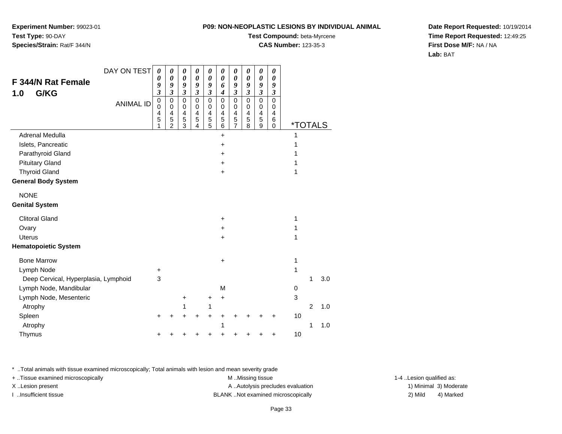**Experiment Number:** 99023-01**Test Type:** 90-DAY**Species/Strain:** Rat/F 344/N

### **Test Compound:** beta-Myrcene

**CAS Number:** 123-35-3

**Date Report Requested:** 10/19/2014**Time Report Requested:** 12:49:25**First Dose M/F:** NA / NA**Lab:** BAT

|                                      | DAY ON TEST      | 0                                         | 0                                  | 0                          | 0                               | 0                               | $\boldsymbol{\theta}$                        | 0                               | 0                               | 0                             | 0                               |                       |                |     |
|--------------------------------------|------------------|-------------------------------------------|------------------------------------|----------------------------|---------------------------------|---------------------------------|----------------------------------------------|---------------------------------|---------------------------------|-------------------------------|---------------------------------|-----------------------|----------------|-----|
| F 344/N Rat Female                   |                  | 0<br>9                                    | 0<br>9                             | $\boldsymbol{\theta}$<br>9 | 0<br>9                          | $\boldsymbol{\theta}$<br>9      | $\boldsymbol{\theta}$<br>6                   | 0<br>9                          | 0<br>9                          | 0<br>9                        | $\boldsymbol{\theta}$<br>9      |                       |                |     |
| G/KG<br>1.0                          |                  | 3                                         | $\overline{\mathbf{3}}$            | $\overline{\mathbf{3}}$    | $\overline{\mathbf{3}}$         | $\mathfrak{z}$                  | 4                                            | $\overline{\mathbf{3}}$         | $\overline{\mathbf{3}}$         | $\mathfrak{z}$                | 3                               |                       |                |     |
|                                      | <b>ANIMAL ID</b> | $\mathbf 0$<br>$\mathbf 0$<br>4<br>5<br>1 | 0<br>0<br>4<br>5<br>$\overline{2}$ | 0<br>0<br>4<br>5<br>3      | $\mathbf 0$<br>0<br>4<br>5<br>4 | $\mathsf 0$<br>0<br>4<br>5<br>5 | $\mathbf 0$<br>0<br>$\overline{4}$<br>5<br>6 | $\mathbf 0$<br>0<br>4<br>5<br>7 | $\mathbf 0$<br>0<br>4<br>5<br>8 | $\pmb{0}$<br>0<br>4<br>5<br>9 | $\mathbf 0$<br>0<br>4<br>6<br>0 | <i><b>*TOTALS</b></i> |                |     |
| Adrenal Medulla                      |                  |                                           |                                    |                            |                                 |                                 | $\ddot{}$                                    |                                 |                                 |                               |                                 |                       |                |     |
| Islets, Pancreatic                   |                  |                                           |                                    |                            |                                 |                                 | +                                            |                                 |                                 |                               |                                 |                       |                |     |
| Parathyroid Gland                    |                  |                                           |                                    |                            |                                 |                                 | $\ddot{}$                                    |                                 |                                 |                               |                                 |                       |                |     |
| <b>Pituitary Gland</b>               |                  |                                           |                                    |                            |                                 |                                 | +                                            |                                 |                                 |                               |                                 |                       |                |     |
| <b>Thyroid Gland</b>                 |                  |                                           |                                    |                            |                                 |                                 | $\ddot{}$                                    |                                 |                                 |                               |                                 | 1                     |                |     |
| <b>General Body System</b>           |                  |                                           |                                    |                            |                                 |                                 |                                              |                                 |                                 |                               |                                 |                       |                |     |
| <b>NONE</b>                          |                  |                                           |                                    |                            |                                 |                                 |                                              |                                 |                                 |                               |                                 |                       |                |     |
| <b>Genital System</b>                |                  |                                           |                                    |                            |                                 |                                 |                                              |                                 |                                 |                               |                                 |                       |                |     |
| <b>Clitoral Gland</b>                |                  |                                           |                                    |                            |                                 |                                 | +                                            |                                 |                                 |                               |                                 | 1                     |                |     |
| Ovary                                |                  |                                           |                                    |                            |                                 |                                 | +                                            |                                 |                                 |                               |                                 | 1                     |                |     |
| <b>Uterus</b>                        |                  |                                           |                                    |                            |                                 |                                 | $\ddot{}$                                    |                                 |                                 |                               |                                 | 1                     |                |     |
| <b>Hematopoietic System</b>          |                  |                                           |                                    |                            |                                 |                                 |                                              |                                 |                                 |                               |                                 |                       |                |     |
| <b>Bone Marrow</b>                   |                  |                                           |                                    |                            |                                 |                                 | $\ddot{}$                                    |                                 |                                 |                               |                                 | 1                     |                |     |
| Lymph Node                           |                  | $\ddot{}$                                 |                                    |                            |                                 |                                 |                                              |                                 |                                 |                               |                                 | 1                     |                |     |
| Deep Cervical, Hyperplasia, Lymphoid |                  | 3                                         |                                    |                            |                                 |                                 |                                              |                                 |                                 |                               |                                 |                       | 1              | 3.0 |
| Lymph Node, Mandibular               |                  |                                           |                                    |                            |                                 |                                 | M                                            |                                 |                                 |                               |                                 | 0                     |                |     |
| Lymph Node, Mesenteric               |                  |                                           |                                    | +                          |                                 | +                               | +                                            |                                 |                                 |                               |                                 | 3                     |                |     |
| Atrophy                              |                  |                                           |                                    | 1                          |                                 | 1                               |                                              |                                 |                                 |                               |                                 |                       | $\overline{2}$ | 1.0 |
| Spleen                               |                  | ٠                                         |                                    |                            |                                 | +                               |                                              |                                 |                                 |                               | +                               | 10                    |                |     |
| Atrophy                              |                  |                                           |                                    |                            |                                 |                                 |                                              |                                 |                                 |                               |                                 |                       | 1              | 1.0 |
| Thymus                               |                  | +                                         |                                    |                            |                                 |                                 |                                              |                                 |                                 |                               | +                               | 10                    |                |     |

\* ..Total animals with tissue examined microscopically; Total animals with lesion and mean severity grade

+ ..Tissue examined microscopically M ...Missing tissue 1-4 ... M ...Missing tissue

X..Lesion present **A ..Autolysis precludes evaluation** A ..Autolysis precludes evaluation 1) Minimal 3) Moderate

1-4 ..Lesion qualified as: I ..Insufficient tissue BLANK ..Not examined microscopically 2) Mild 4) Marked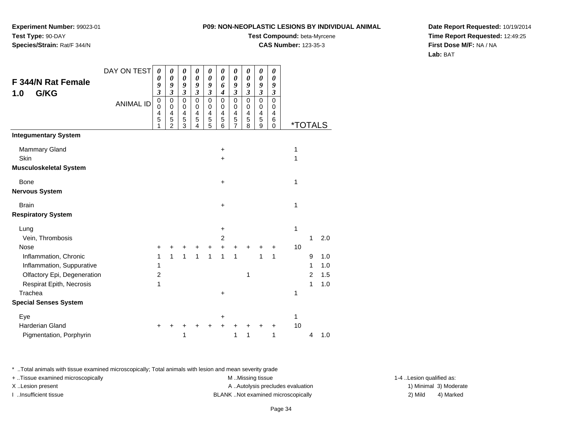**Experiment Number:** 99023-01**Test Type:** 90-DAY**Species/Strain:** Rat/F 344/N

## **Test Compound:** beta-Myrcene

**CAS Number:** 123-35-3

**Date Report Requested:** 10/19/2014**Time Report Requested:** 12:49:25**First Dose M/F:** NA / NA**Lab:** BAT

|                               | DAY ON TEST      | 0                          | 0                          | 0                          | 0                          | 0                           | 0                          | 0                       | 0                          | 0                          | 0                          |                       |   |     |
|-------------------------------|------------------|----------------------------|----------------------------|----------------------------|----------------------------|-----------------------------|----------------------------|-------------------------|----------------------------|----------------------------|----------------------------|-----------------------|---|-----|
| <b>F 344/N Rat Female</b>     |                  | 0<br>9                     | 0<br>9                     | $\boldsymbol{\theta}$<br>9 | 0<br>9                     | $\boldsymbol{\theta}$<br>9  | 0<br>6                     | 0<br>9                  | $\boldsymbol{\theta}$<br>9 | $\boldsymbol{\theta}$<br>9 | 0<br>9                     |                       |   |     |
| G/KG<br>1.0                   |                  | $\overline{\mathbf{3}}$    | $\mathfrak{z}$             | $\boldsymbol{\beta}$       | $\mathfrak{z}$             | $\boldsymbol{\mathfrak{z}}$ | 4                          | $\overline{\mathbf{3}}$ | $\mathfrak{z}$             | $\mathfrak{z}$             | $\boldsymbol{\beta}$       |                       |   |     |
|                               | <b>ANIMAL ID</b> | $\mathbf 0$<br>$\mathbf 0$ | $\mathbf 0$<br>$\mathbf 0$ | $\mathsf 0$<br>$\mathbf 0$ | $\mathbf 0$<br>$\mathbf 0$ | $\mathbf 0$<br>0            | $\mathbf 0$<br>$\mathbf 0$ | 0<br>0                  | $\Omega$<br>$\Omega$       | $\mathbf 0$<br>$\mathbf 0$ | $\mathbf 0$<br>$\mathbf 0$ |                       |   |     |
|                               |                  | $\overline{4}$             | $\overline{4}$             | $\overline{4}$             | $\overline{4}$             | $\overline{\mathbf{4}}$     | 4                          | 4                       | 4                          | $\overline{4}$             | 4                          |                       |   |     |
|                               |                  | 5<br>1                     | 5<br>$\overline{2}$        | 5<br>3                     | 5<br>4                     | $\frac{5}{5}$               | 5<br>6                     | $\frac{5}{7}$           | 5<br>8                     | 5<br>$\mathsf g$           | 6<br>0                     | <i><b>*TOTALS</b></i> |   |     |
| <b>Integumentary System</b>   |                  |                            |                            |                            |                            |                             |                            |                         |                            |                            |                            |                       |   |     |
| Mammary Gland                 |                  |                            |                            |                            |                            |                             | $\ddot{}$                  |                         |                            |                            |                            | 1                     |   |     |
| Skin                          |                  |                            |                            |                            |                            |                             | +                          |                         |                            |                            |                            | 1                     |   |     |
| <b>Musculoskeletal System</b> |                  |                            |                            |                            |                            |                             |                            |                         |                            |                            |                            |                       |   |     |
| <b>Bone</b>                   |                  |                            |                            |                            |                            |                             | +                          |                         |                            |                            |                            | 1                     |   |     |
| <b>Nervous System</b>         |                  |                            |                            |                            |                            |                             |                            |                         |                            |                            |                            |                       |   |     |
| <b>Brain</b>                  |                  |                            |                            |                            |                            |                             | +                          |                         |                            |                            |                            | 1                     |   |     |
| <b>Respiratory System</b>     |                  |                            |                            |                            |                            |                             |                            |                         |                            |                            |                            |                       |   |     |
| Lung                          |                  |                            |                            |                            |                            |                             | +                          |                         |                            |                            |                            | 1                     |   |     |
| Vein, Thrombosis              |                  |                            |                            |                            |                            |                             | $\overline{2}$             |                         |                            |                            |                            |                       | 1 | 2.0 |
| Nose                          |                  | +                          | +                          | +                          | +                          | +                           | +                          | +                       |                            |                            | +                          | 10                    |   |     |
| Inflammation, Chronic         |                  | 1                          | $\mathbf{1}$               | 1                          | $\mathbf{1}$               | 1                           | 1                          | $\mathbf{1}$            |                            | 1                          | 1                          |                       | 9 | 1.0 |
| Inflammation, Suppurative     |                  | 1                          |                            |                            |                            |                             |                            |                         |                            |                            |                            |                       | 1 | 1.0 |
| Olfactory Epi, Degeneration   |                  | $\overline{c}$             |                            |                            |                            |                             |                            |                         | 1                          |                            |                            |                       | 2 | 1.5 |
| Respirat Epith, Necrosis      |                  | 1                          |                            |                            |                            |                             |                            |                         |                            |                            |                            |                       | 1 | 1.0 |
| Trachea                       |                  |                            |                            |                            |                            |                             | +                          |                         |                            |                            |                            | 1                     |   |     |
| <b>Special Senses System</b>  |                  |                            |                            |                            |                            |                             |                            |                         |                            |                            |                            |                       |   |     |
| Eye                           |                  |                            |                            |                            |                            |                             | +                          |                         |                            |                            |                            | 1                     |   |     |
| Harderian Gland               |                  |                            |                            |                            |                            |                             |                            |                         |                            |                            | +                          | 10                    |   |     |
| Pigmentation, Porphyrin       |                  |                            |                            | 1                          |                            |                             |                            | 1                       | 1                          |                            | 1                          |                       | 4 | 1.0 |

\* ..Total animals with tissue examined microscopically; Total animals with lesion and mean severity grade

+ ..Tissue examined microscopically examined microscopically examined as:  $M$  ..Missing tissue 1-4 ..Lesion qualified as: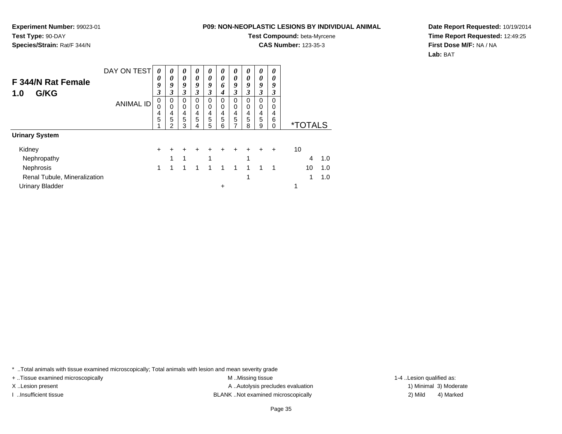**Experiment Number:** 99023-01**Test Type:** 90-DAY**Species/Strain:** Rat/F 344/N

## **Test Compound:** beta-Myrcene

**CAS Number:** 123-35-3

**Date Report Requested:** 10/19/2014**Time Report Requested:** 12:49:25**First Dose M/F:** NA / NA**Lab:** BAT

| F 344/N Rat Female<br>G/KG<br>1.0 | DAY ON TEST<br><b>ANIMAL ID</b> | $\boldsymbol{\theta}$<br>0<br>9<br>3<br>0<br>0 | 0<br>0<br>9<br>3<br>0<br>$\mathbf 0$ | 0<br>$\boldsymbol{\theta}$<br>9<br>3<br>0<br>$\mathbf 0$ | 0<br>0<br>9<br>3<br>0<br>0 | $\boldsymbol{\theta}$<br>$\boldsymbol{\theta}$<br>9<br>3<br>$\mathbf 0$<br>0 | 0<br>$\theta$<br>6<br>4<br>0<br>0 | 0<br>$\boldsymbol{\theta}$<br>9<br>$\boldsymbol{\beta}$<br>0<br>0 | 0<br>0<br>9<br>3<br>0<br>0 | 0<br>0<br>9<br>3<br>0<br>0 | 0<br>0<br>9<br>3<br>0<br>0 |    |                       |     |
|-----------------------------------|---------------------------------|------------------------------------------------|--------------------------------------|----------------------------------------------------------|----------------------------|------------------------------------------------------------------------------|-----------------------------------|-------------------------------------------------------------------|----------------------------|----------------------------|----------------------------|----|-----------------------|-----|
|                                   |                                 | 4<br>5                                         | 4<br>5<br>っ                          | 4<br>5<br>3                                              | 4<br>5<br>4                | 4<br>5<br>5                                                                  | 4<br>5<br>6                       | 4<br>5<br>7                                                       | 4<br>5<br>8                | 4<br>5<br>9                | 4<br>6<br>0                |    | <i><b>*TOTALS</b></i> |     |
| <b>Urinary System</b>             |                                 |                                                |                                      |                                                          |                            |                                                                              |                                   |                                                                   |                            |                            |                            |    |                       |     |
| Kidney                            |                                 | $\ddot{}$                                      |                                      | ÷                                                        | $\ddot{}$                  | ٠                                                                            | $\div$                            | +                                                                 |                            |                            | ÷                          | 10 |                       |     |
| Nephropathy                       |                                 |                                                | 1                                    | 1                                                        |                            | 1                                                                            |                                   |                                                                   | 1                          |                            |                            |    | 4                     | 1.0 |
| Nephrosis                         |                                 | 1                                              | 1                                    | 1                                                        | $\mathbf{1}$               | 1                                                                            | $\mathbf{1}$                      | $\mathbf{1}$                                                      | $\mathbf{1}$               |                            | 1                          |    | 10                    | 1.0 |
| Renal Tubule, Mineralization      |                                 |                                                |                                      |                                                          |                            |                                                                              |                                   |                                                                   | 1                          |                            |                            |    | 1                     | 1.0 |
| <b>Urinary Bladder</b>            |                                 |                                                |                                      |                                                          |                            |                                                                              | +                                 |                                                                   |                            |                            |                            |    |                       |     |

\* ..Total animals with tissue examined microscopically; Total animals with lesion and mean severity grade

+ ..Tissue examined microscopically examined microscopically examined as:  $M$  ..Missing tissue 1-4 ..Lesion qualified as: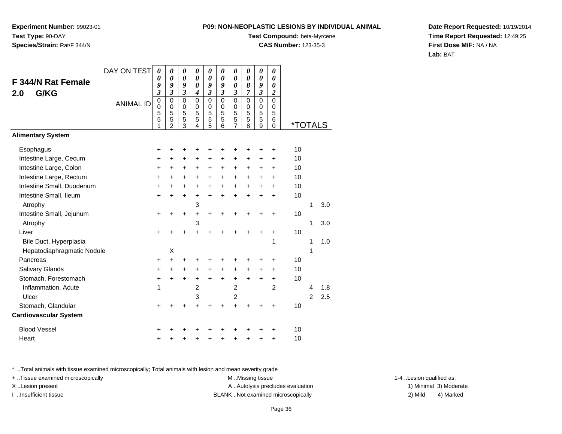**Experiment Number:** 99023-01**Test Type:** 90-DAY**Species/Strain:** Rat/F 344/N

## **Test Compound:** beta-Myrcene

**CAS Number:** 123-35-3

**Date Report Requested:** 10/19/2014**Time Report Requested:** 12:49:25**First Dose M/F:** NA / NA**Lab:** BAT

| F 344/N Rat Female<br>G/KG<br>2.0 | DAY ON TEST      | $\boldsymbol{\theta}$<br>0<br>9<br>$\overline{\mathbf{3}}$ | $\boldsymbol{\theta}$<br>$\boldsymbol{\theta}$<br>9<br>$\mathfrak{z}$ | 0<br>$\boldsymbol{\theta}$<br>9<br>$\mathfrak{z}$ | 0<br>$\boldsymbol{\theta}$<br>0<br>$\boldsymbol{4}$   | 0<br>$\boldsymbol{\theta}$<br>9<br>$\mathfrak{z}$     | 0<br>$\boldsymbol{\theta}$<br>9<br>$\mathfrak{z}$ | $\theta$<br>$\boldsymbol{\theta}$<br>$\boldsymbol{\theta}$<br>$\boldsymbol{\beta}$ | 0<br>0<br>8<br>$\overline{7}$   | 0<br>$\boldsymbol{\theta}$<br>9<br>$\mathfrak{z}$                        | 0<br>$\boldsymbol{\theta}$<br>0<br>$\overline{c}$ |                       |                |     |
|-----------------------------------|------------------|------------------------------------------------------------|-----------------------------------------------------------------------|---------------------------------------------------|-------------------------------------------------------|-------------------------------------------------------|---------------------------------------------------|------------------------------------------------------------------------------------|---------------------------------|--------------------------------------------------------------------------|---------------------------------------------------|-----------------------|----------------|-----|
|                                   | <b>ANIMAL ID</b> | $\mathbf 0$<br>$\boldsymbol{0}$<br>5<br>5<br>1             | $\mathbf 0$<br>$\mathbf 0$<br>$\frac{5}{2}$                           | $\mathbf 0$<br>$\pmb{0}$<br>$\frac{5}{3}$         | $\mathbf 0$<br>0<br>5<br>5<br>$\overline{\mathbf{A}}$ | $\mathbf 0$<br>$\,0\,$<br>$\sqrt{5}$<br>$\frac{5}{5}$ | $\mathbf 0$<br>$\mathbf 0$<br>5<br>5<br>6         | $\mathbf 0$<br>$\pmb{0}$<br>$\frac{5}{5}$<br>$\overline{7}$                        | $\mathbf 0$<br>0<br>5<br>5<br>8 | $\mathbf 0$<br>$\mathbf 0$<br>$\begin{array}{c} 5 \\ 5 \\ 9 \end{array}$ | 0<br>0<br>5<br>6<br>$\Omega$                      | <i><b>*TOTALS</b></i> |                |     |
| <b>Alimentary System</b>          |                  |                                                            |                                                                       |                                                   |                                                       |                                                       |                                                   |                                                                                    |                                 |                                                                          |                                                   |                       |                |     |
| Esophagus                         |                  | +                                                          | +                                                                     | +                                                 | +                                                     | +                                                     | +                                                 | +                                                                                  | +                               | +                                                                        | ٠                                                 | 10                    |                |     |
| Intestine Large, Cecum            |                  | +                                                          | $\ddot{}$                                                             | $\ddot{}$                                         | +                                                     | $\ddot{}$                                             | $\ddot{}$                                         | $\ddot{}$                                                                          | $\ddot{}$                       | $\ddot{}$                                                                | $\ddot{}$                                         | 10                    |                |     |
| Intestine Large, Colon            |                  | +                                                          | $\ddot{}$                                                             | $\ddot{}$                                         | +                                                     | +                                                     | +                                                 | $\ddot{}$                                                                          | $\ddot{}$                       | +                                                                        | +                                                 | 10                    |                |     |
| Intestine Large, Rectum           |                  | +                                                          | $\ddot{}$                                                             | +                                                 | $\ddot{}$                                             | $\ddot{}$                                             | $\ddot{}$                                         | $\ddot{}$                                                                          | $\ddot{}$                       | $\ddot{}$                                                                | $\ddot{}$                                         | 10                    |                |     |
| Intestine Small, Duodenum         |                  | +                                                          | $\ddot{}$                                                             | $\ddot{}$                                         | $\ddot{}$                                             | $\ddot{}$                                             | $\ddot{}$                                         | $\ddot{}$                                                                          | $+$                             | $\ddot{}$                                                                | $\ddot{}$                                         | 10                    |                |     |
| Intestine Small, Ileum            |                  | $\ddot{}$                                                  |                                                                       | $\ddot{}$                                         | +                                                     | $\ddot{}$                                             | $\ddot{}$                                         | $\ddot{}$                                                                          | $\ddot{}$                       | $\ddot{}$                                                                | $\ddot{}$                                         | 10                    |                |     |
| Atrophy                           |                  |                                                            |                                                                       |                                                   | 3                                                     |                                                       |                                                   |                                                                                    |                                 |                                                                          |                                                   |                       | 1              | 3.0 |
| Intestine Small, Jejunum          |                  | $\ddot{}$                                                  |                                                                       | +                                                 | $\ddot{}$                                             | $\ddot{}$                                             | $\ddot{}$                                         | +                                                                                  | +                               | +                                                                        | +                                                 | 10                    |                |     |
| Atrophy                           |                  |                                                            |                                                                       |                                                   | 3                                                     |                                                       |                                                   |                                                                                    |                                 |                                                                          |                                                   |                       | 1              | 3.0 |
| Liver                             |                  | $\ddot{}$                                                  |                                                                       |                                                   | +                                                     | +                                                     | +                                                 | +                                                                                  | +                               | +                                                                        | +                                                 | 10                    |                |     |
| Bile Duct, Hyperplasia            |                  |                                                            |                                                                       |                                                   |                                                       |                                                       |                                                   |                                                                                    |                                 |                                                                          | 1                                                 |                       | 1              | 1.0 |
| Hepatodiaphragmatic Nodule        |                  |                                                            | X                                                                     |                                                   |                                                       |                                                       |                                                   |                                                                                    |                                 |                                                                          |                                                   |                       | 1              |     |
| Pancreas                          |                  | +                                                          | $\ddot{}$                                                             | +                                                 |                                                       | +                                                     | +                                                 | +                                                                                  | +                               | ٠                                                                        | +                                                 | 10                    |                |     |
| Salivary Glands                   |                  | +                                                          | $\ddot{}$                                                             | $\ddot{}$                                         | +                                                     | +                                                     | $\ddot{}$                                         | +                                                                                  | $\ddot{}$                       | $\ddot{}$                                                                | +                                                 | 10                    |                |     |
| Stomach, Forestomach              |                  | +                                                          | $\ddot{}$                                                             | $\ddot{}$                                         | +                                                     | $\ddot{}$                                             | $\ddot{}$                                         | $\ddot{}$                                                                          | $\ddot{}$                       | $\ddot{}$                                                                | +                                                 | 10                    |                |     |
| Inflammation, Acute               |                  | 1                                                          |                                                                       |                                                   | $\overline{2}$                                        |                                                       |                                                   | $\overline{2}$                                                                     |                                 |                                                                          | $\overline{2}$                                    |                       | 4              | 1.8 |
| Ulcer                             |                  |                                                            |                                                                       |                                                   | 3                                                     |                                                       |                                                   | 2                                                                                  |                                 |                                                                          |                                                   |                       | $\overline{2}$ | 2.5 |
| Stomach, Glandular                |                  | $\ddot{}$                                                  |                                                                       | $\ddot{}$                                         | $\ddot{}$                                             | $\ddot{}$                                             | $\ddot{}$                                         | $\ddot{}$                                                                          |                                 | +                                                                        | $\ddot{}$                                         | 10                    |                |     |
| <b>Cardiovascular System</b>      |                  |                                                            |                                                                       |                                                   |                                                       |                                                       |                                                   |                                                                                    |                                 |                                                                          |                                                   |                       |                |     |
| <b>Blood Vessel</b>               |                  | +                                                          |                                                                       |                                                   |                                                       |                                                       |                                                   |                                                                                    |                                 |                                                                          | +                                                 | 10                    |                |     |
| Heart                             |                  | +                                                          |                                                                       |                                                   |                                                       | +                                                     | +                                                 | +                                                                                  |                                 | +                                                                        | +                                                 | 10                    |                |     |

\* ..Total animals with tissue examined microscopically; Total animals with lesion and mean severity grade

+ ..Tissue examined microscopically examined microscopically examined as:  $M$  ..Missing tissue 1-4 ..Lesion qualified as: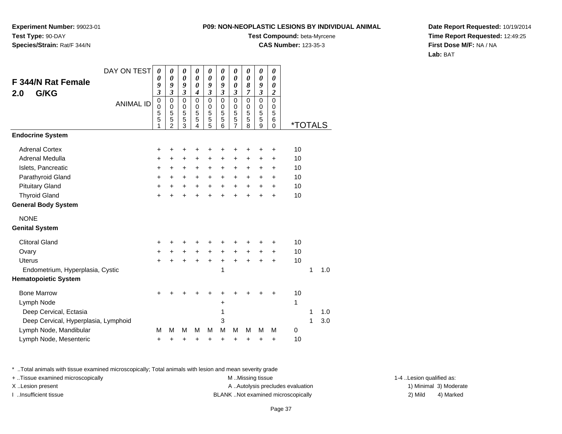**Experiment Number:** 99023-01**Test Type:** 90-DAY**Species/Strain:** Rat/F 344/N

### **Test Compound:** beta-Myrcene

**CAS Number:** 123-35-3

**Date Report Requested:** 10/19/2014**Time Report Requested:** 12:49:25**First Dose M/F:** NA / NA**Lab:** BAT

| DAY ON TEST                          | $\boldsymbol{\theta}$<br>$\boldsymbol{\theta}$ | 0<br>$\boldsymbol{\theta}$ | 0<br>$\pmb{\theta}$              | 0<br>0                          | 0<br>$\boldsymbol{\theta}$   | 0<br>0                        | 0<br>$\boldsymbol{\theta}$          | 0<br>$\pmb{\theta}$ | 0<br>$\pmb{\theta}$          | 0<br>0              |                       |   |     |
|--------------------------------------|------------------------------------------------|----------------------------|----------------------------------|---------------------------------|------------------------------|-------------------------------|-------------------------------------|---------------------|------------------------------|---------------------|-----------------------|---|-----|
| <b>F 344/N Rat Female</b>            | 9                                              | 9                          | 9                                | 0                               | 9                            | 9                             | $\boldsymbol{\theta}$               | 8                   | 9                            | 0                   |                       |   |     |
| G/KG<br>2.0                          | $\mathfrak{z}$<br>$\mathbf 0$                  | $\mathfrak{z}$<br>0        | $\boldsymbol{\mathfrak{z}}$<br>0 | $\boldsymbol{4}$<br>$\mathbf 0$ | $\overline{\mathbf{3}}$<br>0 | $\mathfrak{z}$<br>$\mathbf 0$ | $\boldsymbol{\beta}$<br>$\mathbf 0$ | 7<br>0              | $\overline{\mathbf{3}}$<br>0 | 2<br>$\overline{0}$ |                       |   |     |
| <b>ANIMAL ID</b>                     | $\mathbf 0$                                    | 0                          | 0                                | 0                               | $\mathbf 0$                  | $\mathbf 0$                   | $\mathbf 0$                         | $\mathbf 0$         | 0                            | 0                   |                       |   |     |
|                                      | 5<br>5<br>1                                    | 5<br>5<br>$\mathfrak{p}$   | 5<br>5<br>3                      | 5<br>5<br>$\Delta$              | 5<br>5<br>$\overline{5}$     | 5<br>5<br>6                   | 5<br>5<br>$\overline{7}$            | 5<br>5<br>8         | 5<br>5<br>$\overline{9}$     | 5<br>6<br>$\Omega$  | <i><b>*TOTALS</b></i> |   |     |
| <b>Endocrine System</b>              |                                                |                            |                                  |                                 |                              |                               |                                     |                     |                              |                     |                       |   |     |
| <b>Adrenal Cortex</b>                | +                                              | ٠                          | +                                | ٠                               | +                            | +                             | +                                   | +                   | +                            | ٠                   | 10                    |   |     |
| Adrenal Medulla                      | $\ddot{}$                                      | +                          | $\ddot{}$                        | $\ddot{}$                       | $\ddot{}$                    | $\ddot{}$                     | $\ddot{}$                           | $\ddot{}$           | $\ddot{}$                    | $\ddot{}$           | 10                    |   |     |
| Islets, Pancreatic                   | $\ddot{}$                                      | $\ddot{}$                  | +                                | $\ddot{}$                       | $\ddot{}$                    | $\ddot{}$                     | $\ddot{}$                           | $\ddot{}$           | $\ddot{}$                    | +                   | 10                    |   |     |
| Parathyroid Gland                    | $\ddot{}$                                      | +                          | +                                | $\ddot{}$                       | $\ddot{}$                    | $\ddot{}$                     | $\ddot{}$                           | $\ddot{}$           | $\ddot{}$                    | $\ddot{}$           | 10                    |   |     |
| <b>Pituitary Gland</b>               | $\ddot{}$                                      | +                          | $\ddot{}$                        | $\ddot{}$                       | $\ddot{}$                    | $+$                           | $\ddot{}$                           | $+$                 | $\ddot{}$                    | $\ddot{}$           | 10                    |   |     |
| <b>Thyroid Gland</b>                 | $\ddot{}$                                      | $\ddot{}$                  | $\ddot{}$                        | $\ddot{}$                       | $\ddot{}$                    | $\ddot{}$                     | $\ddot{}$                           | $\ddot{}$           | $\ddot{}$                    | $\ddot{}$           | 10                    |   |     |
| <b>General Body System</b>           |                                                |                            |                                  |                                 |                              |                               |                                     |                     |                              |                     |                       |   |     |
| <b>NONE</b>                          |                                                |                            |                                  |                                 |                              |                               |                                     |                     |                              |                     |                       |   |     |
| <b>Genital System</b>                |                                                |                            |                                  |                                 |                              |                               |                                     |                     |                              |                     |                       |   |     |
| <b>Clitoral Gland</b>                | +                                              | +                          | +                                | +                               | +                            | +                             | ٠                                   | +                   | +                            | +                   | 10                    |   |     |
| Ovary                                | $\ddot{}$                                      |                            | +                                | $\ddot{}$                       | $\ddot{}$                    | $\ddot{}$                     | $\ddot{}$                           | +                   | +                            | $\ddot{}$           | 10                    |   |     |
| <b>Uterus</b>                        | $\ddot{}$                                      |                            | $\ddot{}$                        | $\ddot{}$                       | $\ddot{}$                    | $\ddot{}$                     | $\ddot{}$                           | $\ddot{}$           | $\ddot{}$                    | $\ddot{}$           | 10                    |   |     |
| Endometrium, Hyperplasia, Cystic     |                                                |                            |                                  |                                 |                              | 1                             |                                     |                     |                              |                     |                       | 1 | 1.0 |
| <b>Hematopoietic System</b>          |                                                |                            |                                  |                                 |                              |                               |                                     |                     |                              |                     |                       |   |     |
| <b>Bone Marrow</b>                   |                                                |                            |                                  |                                 |                              |                               |                                     |                     |                              |                     | 10                    |   |     |
| Lymph Node                           |                                                |                            |                                  |                                 |                              | +                             |                                     |                     |                              |                     | 1                     |   |     |
| Deep Cervical, Ectasia               |                                                |                            |                                  |                                 |                              | 1                             |                                     |                     |                              |                     |                       | 1 | 1.0 |
| Deep Cervical, Hyperplasia, Lymphoid |                                                |                            |                                  |                                 |                              | 3                             |                                     |                     |                              |                     |                       | 1 | 3.0 |
| Lymph Node, Mandibular               | M                                              | М                          | M                                | М                               | М                            | М                             | М                                   | м                   | м                            | м                   | 0                     |   |     |
| Lymph Node, Mesenteric               | +                                              | +                          | +                                | +                               | +                            | +                             | +                                   | +                   | +                            | +                   | 10                    |   |     |

\* ..Total animals with tissue examined microscopically; Total animals with lesion and mean severity grade

+ ..Tissue examined microscopically M ...Missing tissue 1-4 ... M ...Missing tissue

X..Lesion present **A ..Autolysis precludes evaluation** A ..Autolysis precludes evaluation 1) Minimal 3) Moderate I ..Insufficient tissue BLANK ..Not examined microscopically 2) Mild 4) Marked

1-4 ..Lesion qualified as: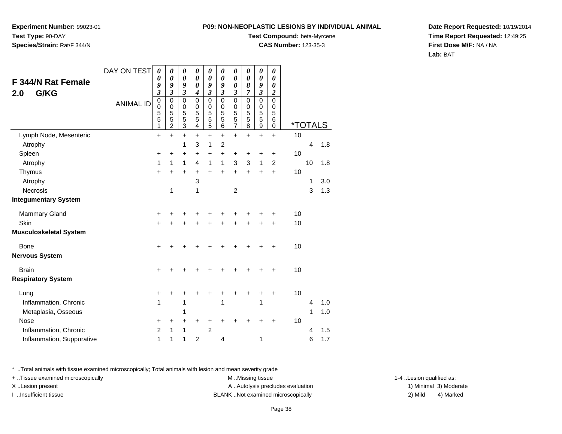**Experiment Number:** 99023-01**Test Type:** 90-DAY**Species/Strain:** Rat/F 344/N

### **Test Compound:** beta-Myrcene

**CAS Number:** 123-35-3

**Date Report Requested:** 10/19/2014**Time Report Requested:** 12:49:25**First Dose M/F:** NA / NA**Lab:** BAT

| <b>F 344/N Rat Female</b><br>G/KG<br>2.0 | DAY ON TEST<br><b>ANIMAL ID</b> | 0<br>0<br>9<br>$\boldsymbol{\mathfrak{z}}$<br>$\pmb{0}$<br>$\pmb{0}$<br>$\frac{5}{5}$ | 0<br>$\boldsymbol{\theta}$<br>9<br>$\mathfrak{z}$<br>$\mathbf 0$<br>$\mathbf 0$<br>$\frac{5}{5}$ | $\boldsymbol{\theta}$<br>$\boldsymbol{\theta}$<br>9<br>$\mathfrak{z}$<br>$\mathbf 0$<br>$\pmb{0}$<br>$\frac{5}{3}$ | 0<br>0<br>0<br>4<br>$\mathbf 0$<br>0<br>5<br>$\overline{5}$ | 0<br>$\boldsymbol{\theta}$<br>9<br>$\mathfrak{z}$<br>$\mathbf 0$<br>$\mathbf 0$<br>$\begin{array}{c} 5 \\ 5 \end{array}$ | 0<br>$\boldsymbol{\theta}$<br>9<br>$\overline{\mathbf{3}}$<br>$\mathbf 0$<br>$\mathbf 0$<br>5<br>5 | 0<br>$\boldsymbol{\theta}$<br>0<br>$\boldsymbol{\mathfrak{z}}$<br>$\mathbf 0$<br>0<br>$\frac{5}{5}$ | 0<br>$\boldsymbol{\theta}$<br>8<br>7<br>$\mathbf 0$<br>$\mathbf 0$<br>5<br>$\overline{5}$ | $\boldsymbol{\theta}$<br>$\boldsymbol{\theta}$<br>9<br>$\mathfrak{z}$<br>$\overline{0}$<br>$\begin{array}{c} 0 \\ 5 \\ 5 \end{array}$ | 0<br>0<br>$\boldsymbol{\theta}$<br>$\boldsymbol{2}$<br>$\mathbf 0$<br>0<br>5<br>6 |    |         |     |
|------------------------------------------|---------------------------------|---------------------------------------------------------------------------------------|--------------------------------------------------------------------------------------------------|--------------------------------------------------------------------------------------------------------------------|-------------------------------------------------------------|--------------------------------------------------------------------------------------------------------------------------|----------------------------------------------------------------------------------------------------|-----------------------------------------------------------------------------------------------------|-------------------------------------------------------------------------------------------|---------------------------------------------------------------------------------------------------------------------------------------|-----------------------------------------------------------------------------------|----|---------|-----|
|                                          |                                 | 1                                                                                     | $\overline{2}$                                                                                   |                                                                                                                    | 4                                                           | $\overline{5}$                                                                                                           | 6                                                                                                  | $\overline{7}$                                                                                      | 8                                                                                         | 9                                                                                                                                     | 0                                                                                 |    | *TOTALS |     |
| Lymph Node, Mesenteric                   |                                 | $\ddot{}$                                                                             | $+$                                                                                              | $\ddot{}$                                                                                                          | +                                                           | $\ddot{}$                                                                                                                | $\ddot{}$                                                                                          | $\ddot{}$                                                                                           | $\ddot{}$                                                                                 | $\ddot{}$                                                                                                                             | $+$                                                                               | 10 |         |     |
| Atrophy                                  |                                 |                                                                                       |                                                                                                  | 1                                                                                                                  | 3                                                           | 1                                                                                                                        | $\overline{2}$                                                                                     |                                                                                                     |                                                                                           |                                                                                                                                       |                                                                                   |    | 4       | 1.8 |
| Spleen                                   |                                 | +<br>1                                                                                | +<br>1                                                                                           | +<br>1                                                                                                             | +<br>4                                                      | $\ddot{}$<br>$\mathbf{1}$                                                                                                | +<br>1                                                                                             | +<br>3                                                                                              | +<br>3                                                                                    | +<br>$\mathbf{1}$                                                                                                                     | +<br>$\overline{2}$                                                               | 10 | 10      | 1.8 |
| Atrophy<br>Thymus                        |                                 |                                                                                       |                                                                                                  |                                                                                                                    |                                                             | $\ddot{}$                                                                                                                |                                                                                                    |                                                                                                     |                                                                                           |                                                                                                                                       | $+$                                                                               | 10 |         |     |
| Atrophy                                  |                                 | $\ddot{}$                                                                             |                                                                                                  | +                                                                                                                  | $\ddot{}$<br>3                                              |                                                                                                                          | $\ddot{}$                                                                                          | $\ddot{}$                                                                                           | $\ddot{}$                                                                                 | +                                                                                                                                     |                                                                                   |    | 1       | 3.0 |
| Necrosis                                 |                                 |                                                                                       | 1                                                                                                |                                                                                                                    | 1                                                           |                                                                                                                          |                                                                                                    | $\overline{2}$                                                                                      |                                                                                           |                                                                                                                                       |                                                                                   |    | 3       | 1.3 |
| <b>Integumentary System</b>              |                                 |                                                                                       |                                                                                                  |                                                                                                                    |                                                             |                                                                                                                          |                                                                                                    |                                                                                                     |                                                                                           |                                                                                                                                       |                                                                                   |    |         |     |
| <b>Mammary Gland</b>                     |                                 | +                                                                                     |                                                                                                  | +                                                                                                                  |                                                             | +                                                                                                                        | +                                                                                                  | +                                                                                                   |                                                                                           |                                                                                                                                       | +                                                                                 | 10 |         |     |
| <b>Skin</b>                              |                                 |                                                                                       |                                                                                                  |                                                                                                                    |                                                             |                                                                                                                          |                                                                                                    |                                                                                                     |                                                                                           |                                                                                                                                       | $\ddot{}$                                                                         | 10 |         |     |
| <b>Musculoskeletal System</b>            |                                 |                                                                                       |                                                                                                  |                                                                                                                    |                                                             |                                                                                                                          |                                                                                                    |                                                                                                     |                                                                                           |                                                                                                                                       |                                                                                   |    |         |     |
| <b>Bone</b>                              |                                 | $\ddot{}$                                                                             |                                                                                                  |                                                                                                                    |                                                             |                                                                                                                          | +                                                                                                  | +                                                                                                   |                                                                                           | +                                                                                                                                     | $\ddot{}$                                                                         | 10 |         |     |
| <b>Nervous System</b>                    |                                 |                                                                                       |                                                                                                  |                                                                                                                    |                                                             |                                                                                                                          |                                                                                                    |                                                                                                     |                                                                                           |                                                                                                                                       |                                                                                   |    |         |     |
| <b>Brain</b>                             |                                 | +                                                                                     |                                                                                                  |                                                                                                                    |                                                             | +                                                                                                                        | +                                                                                                  | +                                                                                                   |                                                                                           | +                                                                                                                                     | $\ddot{}$                                                                         | 10 |         |     |
| <b>Respiratory System</b>                |                                 |                                                                                       |                                                                                                  |                                                                                                                    |                                                             |                                                                                                                          |                                                                                                    |                                                                                                     |                                                                                           |                                                                                                                                       |                                                                                   |    |         |     |
| Lung                                     |                                 | +                                                                                     |                                                                                                  |                                                                                                                    |                                                             |                                                                                                                          |                                                                                                    |                                                                                                     |                                                                                           |                                                                                                                                       | +                                                                                 | 10 |         |     |
| Inflammation, Chronic                    |                                 | 1                                                                                     |                                                                                                  | 1                                                                                                                  |                                                             |                                                                                                                          | 1                                                                                                  |                                                                                                     |                                                                                           | 1                                                                                                                                     |                                                                                   |    | 4       | 1.0 |
| Metaplasia, Osseous                      |                                 |                                                                                       |                                                                                                  | 1                                                                                                                  |                                                             |                                                                                                                          |                                                                                                    |                                                                                                     |                                                                                           |                                                                                                                                       |                                                                                   |    | 1       | 1.0 |
| <b>Nose</b>                              |                                 | +                                                                                     | +                                                                                                | +                                                                                                                  | +                                                           | +                                                                                                                        | +                                                                                                  | +                                                                                                   |                                                                                           |                                                                                                                                       | +                                                                                 | 10 |         |     |
| Inflammation, Chronic                    |                                 | $\overline{2}$                                                                        | 1                                                                                                | 1                                                                                                                  |                                                             | $\overline{2}$                                                                                                           |                                                                                                    |                                                                                                     |                                                                                           |                                                                                                                                       |                                                                                   |    | 4       | 1.5 |
| Inflammation, Suppurative                |                                 | 1                                                                                     | 1                                                                                                | 1                                                                                                                  | $\overline{2}$                                              |                                                                                                                          | 4                                                                                                  |                                                                                                     |                                                                                           | 1                                                                                                                                     |                                                                                   |    | 6       | 1.7 |

\* ..Total animals with tissue examined microscopically; Total animals with lesion and mean severity grade

+ ..Tissue examined microscopically examined microscopically examined as:  $M$  ..Missing tissue 1-4 ..Lesion qualified as:

X..Lesion present **A ..Autolysis precludes evaluation** A ..Autolysis precludes evaluation 1) Minimal 3) Moderate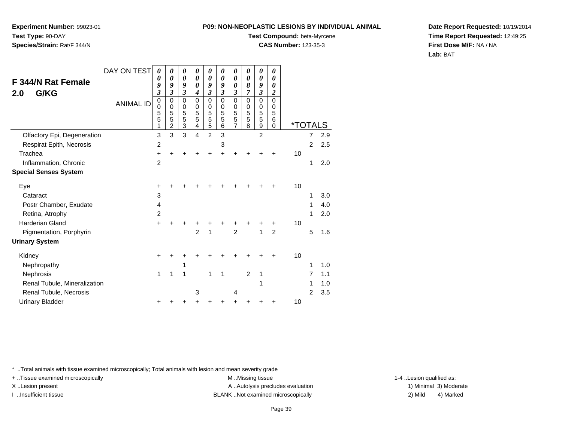**Experiment Number:** 99023-01**Test Type:** 90-DAY**Species/Strain:** Rat/F 344/N

### **Test Compound:** beta-Myrcene

**CAS Number:** 123-35-3

**Date Report Requested:** 10/19/2014**Time Report Requested:** 12:49:25**First Dose M/F:** NA / NA**Lab:** BAT

|                                          | DAY ON TEST      | 0                                         | 0                                  | 0                                  | 0                     | 0                               | 0                               | 0                               | 0                               | $\boldsymbol{\theta}$           | 0                                   |                       |                |     |
|------------------------------------------|------------------|-------------------------------------------|------------------------------------|------------------------------------|-----------------------|---------------------------------|---------------------------------|---------------------------------|---------------------------------|---------------------------------|-------------------------------------|-----------------------|----------------|-----|
| <b>F 344/N Rat Female</b><br>G/KG<br>2.0 |                  | 0<br>9<br>$\boldsymbol{\beta}$            | 0<br>9<br>3                        | $\boldsymbol{\theta}$<br>9<br>3    | 0<br>0<br>4           | $\boldsymbol{\theta}$<br>9<br>3 | $\boldsymbol{\theta}$<br>9<br>3 | 0<br>0<br>3                     | $\boldsymbol{\theta}$<br>8<br>7 | $\boldsymbol{\theta}$<br>9<br>3 | 0<br>$\theta$<br>2                  |                       |                |     |
|                                          | <b>ANIMAL ID</b> | $\mathbf 0$<br>$\mathbf 0$<br>5<br>5<br>1 | 0<br>0<br>5<br>5<br>$\overline{2}$ | 0<br>0<br>5<br>5<br>$\overline{3}$ | 0<br>0<br>5<br>5<br>4 | $\mathbf 0$<br>0<br>5<br>5<br>5 | $\mathbf 0$<br>0<br>5<br>5<br>6 | $\mathbf 0$<br>0<br>5<br>5<br>7 | $\mathbf 0$<br>0<br>5<br>5<br>8 | $\mathbf 0$<br>0<br>5<br>5<br>9 | $\Omega$<br>0<br>5<br>6<br>$\Omega$ | <i><b>*TOTALS</b></i> |                |     |
| Olfactory Epi, Degeneration              |                  | 3                                         | 3                                  | 3                                  | 4                     | $\overline{2}$                  | 3                               |                                 |                                 | $\overline{2}$                  |                                     |                       | 7              | 2.9 |
| Respirat Epith, Necrosis                 |                  | $\overline{c}$                            |                                    |                                    |                       |                                 | 3                               |                                 |                                 |                                 |                                     |                       | $\overline{2}$ | 2.5 |
| Trachea                                  |                  | $\ddot{}$                                 |                                    |                                    |                       |                                 |                                 |                                 |                                 |                                 |                                     | 10                    |                |     |
| Inflammation, Chronic                    |                  | $\overline{2}$                            |                                    |                                    |                       |                                 |                                 |                                 |                                 |                                 |                                     |                       | 1              | 2.0 |
| <b>Special Senses System</b>             |                  |                                           |                                    |                                    |                       |                                 |                                 |                                 |                                 |                                 |                                     |                       |                |     |
| Eye                                      |                  | +                                         |                                    |                                    |                       |                                 |                                 |                                 |                                 |                                 |                                     | 10                    |                |     |
| Cataract                                 |                  | 3                                         |                                    |                                    |                       |                                 |                                 |                                 |                                 |                                 |                                     |                       | 1              | 3.0 |
| Postr Chamber, Exudate                   |                  | $\overline{4}$                            |                                    |                                    |                       |                                 |                                 |                                 |                                 |                                 |                                     |                       | 1              | 4.0 |
| Retina, Atrophy                          |                  | $\overline{c}$                            |                                    |                                    |                       |                                 |                                 |                                 |                                 |                                 |                                     |                       | 1              | 2.0 |
| <b>Harderian Gland</b>                   |                  | $\ddot{}$                                 |                                    |                                    |                       |                                 |                                 |                                 |                                 |                                 | +                                   | 10                    |                |     |
| Pigmentation, Porphyrin                  |                  |                                           |                                    |                                    | $\overline{2}$        | 1                               |                                 | $\overline{c}$                  |                                 | 1                               | $\overline{2}$                      |                       | 5              | 1.6 |
| <b>Urinary System</b>                    |                  |                                           |                                    |                                    |                       |                                 |                                 |                                 |                                 |                                 |                                     |                       |                |     |
| Kidney                                   |                  | +                                         |                                    |                                    |                       |                                 |                                 |                                 |                                 |                                 |                                     | 10                    |                |     |
| Nephropathy                              |                  |                                           |                                    | 1                                  |                       |                                 |                                 |                                 |                                 |                                 |                                     |                       | 1              | 1.0 |
| Nephrosis                                |                  | 1                                         | 1                                  | 1                                  |                       | 1                               | 1                               |                                 | 2                               | 1                               |                                     |                       | 7              | 1.1 |
| Renal Tubule, Mineralization             |                  |                                           |                                    |                                    |                       |                                 |                                 |                                 |                                 | 1                               |                                     |                       | 1              | 1.0 |
| Renal Tubule, Necrosis                   |                  |                                           |                                    |                                    | 3                     |                                 |                                 | 4                               |                                 |                                 |                                     |                       | $\overline{2}$ | 3.5 |
| <b>Urinary Bladder</b>                   |                  |                                           |                                    |                                    |                       |                                 |                                 |                                 |                                 |                                 |                                     | 10                    |                |     |

\* ..Total animals with tissue examined microscopically; Total animals with lesion and mean severity grade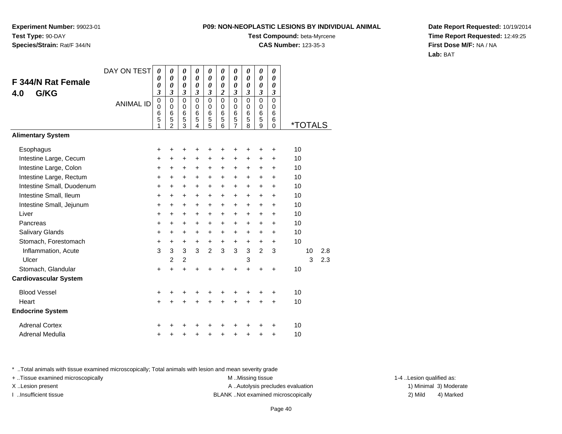**Experiment Number:** 99023-01**Test Type:** 90-DAY**Species/Strain:** Rat/F 344/N

## **Test Compound:** beta-Myrcene

**CAS Number:** 123-35-3

**Date Report Requested:** 10/19/2014**Time Report Requested:** 12:49:25**First Dose M/F:** NA / NA**Lab:** BAT

|                              | DAY ON TEST      | 0<br>0                                                      | 0<br>0                                                                   | 0<br>0                               | 0<br>$\boldsymbol{\theta}$                                      | 0<br>0                                                          | 0<br>$\boldsymbol{\theta}$                                        | 0<br>$\boldsymbol{\theta}$                                                   | 0<br>0                                            | $\boldsymbol{\theta}$<br>0                                                | 0<br>0                                                                       |                       |    |     |
|------------------------------|------------------|-------------------------------------------------------------|--------------------------------------------------------------------------|--------------------------------------|-----------------------------------------------------------------|-----------------------------------------------------------------|-------------------------------------------------------------------|------------------------------------------------------------------------------|---------------------------------------------------|---------------------------------------------------------------------------|------------------------------------------------------------------------------|-----------------------|----|-----|
| F 344/N Rat Female           |                  | 0                                                           | 0                                                                        | 0                                    | $\boldsymbol{\theta}$                                           | 0                                                               | $\boldsymbol{\theta}$                                             | $\boldsymbol{\theta}$                                                        | 0                                                 | $\boldsymbol{\theta}$                                                     | 0                                                                            |                       |    |     |
| G/KG<br>4.0                  | <b>ANIMAL ID</b> | $\mathfrak{z}$<br>$\mathbf 0$<br>$\mathbf 0$<br>6<br>5<br>1 | $\mathfrak{z}$<br>$\mathbf 0$<br>$\mathbf 0$<br>6<br>5<br>$\overline{2}$ | 3<br>$\mathbf 0$<br>0<br>6<br>5<br>3 | $\mathfrak{z}$<br>$\mathbf 0$<br>$\mathbf 0$<br>$\,6$<br>5<br>4 | $\mathfrak{z}$<br>$\mathbf 0$<br>$\mathbf 0$<br>$\,6$<br>5<br>5 | $\boldsymbol{2}$<br>$\mathbf 0$<br>$\mathbf 0$<br>$\,6$<br>5<br>6 | $\mathfrak{z}$<br>$\mathbf 0$<br>$\mathbf 0$<br>$\,6$<br>5<br>$\overline{7}$ | $\mathfrak{z}$<br>$\mathbf 0$<br>0<br>6<br>5<br>8 | $\mathfrak{z}$<br>$\mathbf 0$<br>$\mathbf 0$<br>$6\phantom{1}6$<br>5<br>9 | $\boldsymbol{\mathfrak{z}}$<br>$\Omega$<br>$\mathbf 0$<br>6<br>6<br>$\Omega$ | <i><b>*TOTALS</b></i> |    |     |
| <b>Alimentary System</b>     |                  |                                                             |                                                                          |                                      |                                                                 |                                                                 |                                                                   |                                                                              |                                                   |                                                                           |                                                                              |                       |    |     |
| Esophagus                    |                  | $\ddot{}$                                                   | +                                                                        | +                                    |                                                                 | +                                                               | +                                                                 | +                                                                            | +                                                 | ٠                                                                         | +                                                                            | 10                    |    |     |
| Intestine Large, Cecum       |                  | $\ddot{}$                                                   | +                                                                        | +                                    | +                                                               | $\ddot{}$                                                       | $\ddot{}$                                                         | $\ddot{}$                                                                    | $\ddot{}$                                         | +                                                                         | +                                                                            | 10                    |    |     |
| Intestine Large, Colon       |                  | $\ddot{}$                                                   | $\ddot{}$                                                                | $\ddot{}$                            | $\ddot{}$                                                       | +                                                               | $\ddot{}$                                                         | $\ddot{}$                                                                    | +                                                 | $\ddot{}$                                                                 | $\ddot{}$                                                                    | 10                    |    |     |
| Intestine Large, Rectum      |                  | $\ddot{}$                                                   | $+$                                                                      | +                                    | $\ddot{}$                                                       | +                                                               | $\ddot{}$                                                         | $\ddot{}$                                                                    | $\ddot{}$                                         | $\ddot{}$                                                                 | $\ddot{}$                                                                    | 10                    |    |     |
| Intestine Small, Duodenum    |                  | $\ddot{}$                                                   | $\ddot{}$                                                                | $\ddot{}$                            | $\ddot{}$                                                       | +                                                               | $\ddot{}$                                                         | $\ddot{}$                                                                    | $\ddot{}$                                         | $\ddot{}$                                                                 | $\ddot{}$                                                                    | 10                    |    |     |
| Intestine Small, Ileum       |                  | +                                                           | $\ddot{}$                                                                | +                                    | $\ddot{}$                                                       | +                                                               | $\ddot{}$                                                         | $\ddot{}$                                                                    | $\ddot{}$                                         | $\ddot{}$                                                                 | $\ddot{}$                                                                    | 10                    |    |     |
| Intestine Small, Jejunum     |                  | +                                                           | $\ddot{}$                                                                | +                                    | $\ddot{}$                                                       | $\ddot{}$                                                       | +                                                                 | $\ddot{}$                                                                    | +                                                 | $\ddot{}$                                                                 | $\ddot{}$                                                                    | 10                    |    |     |
| Liver                        |                  | $\ddot{}$                                                   | $\ddot{}$                                                                | +                                    | $\ddot{}$                                                       | +                                                               | +                                                                 | $\ddot{}$                                                                    | $\ddot{}$                                         | $\ddot{}$                                                                 | $\ddot{}$                                                                    | 10                    |    |     |
| Pancreas                     |                  | $\ddot{}$                                                   | $\ddot{}$                                                                | $\ddot{}$                            | $\ddot{}$                                                       | +                                                               | $\ddot{}$                                                         | $\ddot{}$                                                                    | $\ddot{}$                                         | $\ddot{}$                                                                 | $\ddot{}$                                                                    | 10                    |    |     |
| Salivary Glands              |                  | +                                                           | $\pm$                                                                    | +                                    | +                                                               | +                                                               | +                                                                 | +                                                                            | +                                                 | +                                                                         | +                                                                            | 10                    |    |     |
| Stomach, Forestomach         |                  | $\ddot{}$                                                   | $\ddot{}$                                                                | +                                    | $\ddot{}$                                                       | $\ddot{}$                                                       | +                                                                 | $\ddot{}$                                                                    | $\ddot{}$                                         | $\ddot{}$                                                                 | $\ddot{}$                                                                    | 10                    |    |     |
| Inflammation, Acute          |                  | 3                                                           | 3                                                                        | 3                                    | $\overline{3}$                                                  | $\overline{2}$                                                  | 3                                                                 | 3                                                                            | 3                                                 | $\overline{2}$                                                            | 3                                                                            |                       | 10 | 2.8 |
| Ulcer                        |                  |                                                             | $\overline{2}$                                                           | $\overline{2}$                       |                                                                 |                                                                 |                                                                   |                                                                              | 3                                                 |                                                                           |                                                                              |                       | 3  | 2.3 |
| Stomach, Glandular           |                  | +                                                           | $\ddot{}$                                                                | $\ddot{}$                            | $\div$                                                          | +                                                               | +                                                                 | $\ddot{}$                                                                    | $\ddot{}$                                         | $\ddot{}$                                                                 | $\ddot{}$                                                                    | 10                    |    |     |
| <b>Cardiovascular System</b> |                  |                                                             |                                                                          |                                      |                                                                 |                                                                 |                                                                   |                                                                              |                                                   |                                                                           |                                                                              |                       |    |     |
| <b>Blood Vessel</b>          |                  | +                                                           |                                                                          | +                                    |                                                                 |                                                                 | +                                                                 | +                                                                            | +                                                 |                                                                           | +                                                                            | 10                    |    |     |
| Heart                        |                  | +                                                           | +                                                                        | +                                    | $\ddot{}$                                                       | $\ddot{}$                                                       | +                                                                 | $\ddot{}$                                                                    | $\ddot{}$                                         | $\ddot{}$                                                                 | $\ddot{}$                                                                    | 10                    |    |     |
| <b>Endocrine System</b>      |                  |                                                             |                                                                          |                                      |                                                                 |                                                                 |                                                                   |                                                                              |                                                   |                                                                           |                                                                              |                       |    |     |
| <b>Adrenal Cortex</b>        |                  | +                                                           |                                                                          |                                      |                                                                 |                                                                 | +                                                                 |                                                                              | +                                                 |                                                                           | ٠                                                                            | 10                    |    |     |
| Adrenal Medulla              |                  | $\pmb{+}$                                                   |                                                                          | +                                    |                                                                 | +                                                               | +                                                                 | +                                                                            | +                                                 | +                                                                         | +                                                                            | 10                    |    |     |

\* ..Total animals with tissue examined microscopically; Total animals with lesion and mean severity grade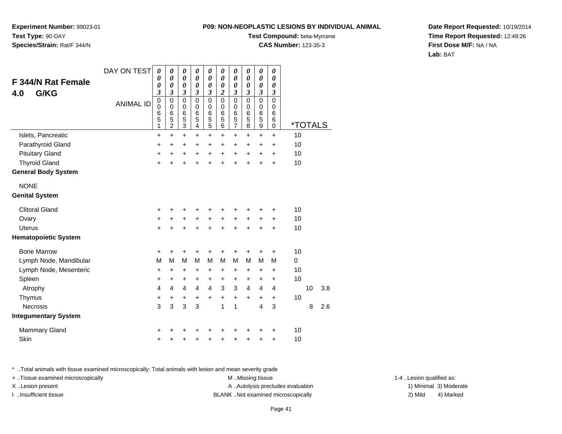**Experiment Number:** 99023-01**Test Type:** 90-DAY**Species/Strain:** Rat/F 344/N

### **Test Compound:** beta-Myrcene

**CAS Number:** 123-35-3

**Date Report Requested:** 10/19/2014**Time Report Requested:** 12:49:26**First Dose M/F:** NA / NA**Lab:** BAT

| F 344/N Rat Female<br>G/KG<br>4.0 | DAY ON TEST<br><b>ANIMAL ID</b> | 0<br>0<br>0<br>3<br>$\mathbf 0$<br>0<br>6<br>5 | $\boldsymbol{\theta}$<br>$\boldsymbol{\theta}$<br>$\boldsymbol{\theta}$<br>$\boldsymbol{\beta}$<br>$\pmb{0}$<br>$\mathbf 0$<br>$\,6$<br>$\overline{5}$ | $\boldsymbol{\theta}$<br>$\boldsymbol{\theta}$<br>$\boldsymbol{\theta}$<br>$\mathfrak{z}$<br>$\mathbf 0$<br>$\mathbf 0$<br>$\,6$<br>5 | $\boldsymbol{\theta}$<br>$\pmb{\theta}$<br>$\boldsymbol{\theta}$<br>$\boldsymbol{\mathfrak{z}}$<br>0<br>$\mathbf 0$<br>6<br>5 | 0<br>$\boldsymbol{\theta}$<br>$\boldsymbol{\theta}$<br>$\boldsymbol{\beta}$<br>$\pmb{0}$<br>$\pmb{0}$<br>$\,6$<br>5 | 0<br>$\boldsymbol{\theta}$<br>$\boldsymbol{\theta}$<br>$\overline{2}$<br>$\pmb{0}$<br>$\Omega$<br>6<br>5 | $\boldsymbol{\theta}$<br>$\boldsymbol{\theta}$<br>$\boldsymbol{\theta}$<br>$\mathfrak{z}$<br>$\pmb{0}$<br>0<br>$\,6$<br>5 | $\boldsymbol{\theta}$<br>$\pmb{\theta}$<br>$\boldsymbol{\theta}$<br>$\mathfrak{z}$<br>0<br>0<br>6<br>5 | $\pmb{\theta}$<br>$\pmb{\theta}$<br>$\pmb{\theta}$<br>$\mathfrak{z}$<br>$\mathsf 0$<br>$\mathbf 0$<br>$\,6$<br>5 | 0<br>$\boldsymbol{\theta}$<br>0<br>$\mathfrak{z}$<br>$\mathsf 0$<br>$\mathbf 0$<br>6<br>6 |    |                       |     |
|-----------------------------------|---------------------------------|------------------------------------------------|--------------------------------------------------------------------------------------------------------------------------------------------------------|---------------------------------------------------------------------------------------------------------------------------------------|-------------------------------------------------------------------------------------------------------------------------------|---------------------------------------------------------------------------------------------------------------------|----------------------------------------------------------------------------------------------------------|---------------------------------------------------------------------------------------------------------------------------|--------------------------------------------------------------------------------------------------------|------------------------------------------------------------------------------------------------------------------|-------------------------------------------------------------------------------------------|----|-----------------------|-----|
| Islets, Pancreatic                |                                 | 1<br>$\ddot{}$                                 | $\overline{2}$<br>$\ddot{}$                                                                                                                            | $\overline{3}$<br>$\ddot{}$                                                                                                           | $\overline{\mathbf{4}}$<br>$\ddot{}$                                                                                          | $\overline{5}$<br>$\ddot{}$                                                                                         | 6                                                                                                        | $\overline{7}$<br>$\ddot{}$                                                                                               | 8<br>$\ddot{}$                                                                                         | $\mathsf g$<br>$\ddot{}$                                                                                         | 0<br>$\ddot{}$                                                                            | 10 | <i><b>*TOTALS</b></i> |     |
| Parathyroid Gland                 |                                 | +                                              | $\ddot{}$                                                                                                                                              | $\ddot{}$                                                                                                                             | +                                                                                                                             | $\ddot{}$                                                                                                           | +<br>+                                                                                                   | +                                                                                                                         | $\ddot{}$                                                                                              | +                                                                                                                | $\ddot{}$                                                                                 | 10 |                       |     |
| <b>Pituitary Gland</b>            |                                 | +                                              | +                                                                                                                                                      | +                                                                                                                                     | +                                                                                                                             | +                                                                                                                   | +                                                                                                        | +                                                                                                                         | +                                                                                                      | $\ddot{}$                                                                                                        | +                                                                                         | 10 |                       |     |
| <b>Thyroid Gland</b>              |                                 | $\ddot{}$                                      | ÷                                                                                                                                                      | $\ddot{}$                                                                                                                             | $\ddot{}$                                                                                                                     | $\ddot{}$                                                                                                           | $\ddot{}$                                                                                                | $\ddot{}$                                                                                                                 | $\ddot{}$                                                                                              | $\ddot{}$                                                                                                        | $\ddot{}$                                                                                 | 10 |                       |     |
| <b>General Body System</b>        |                                 |                                                |                                                                                                                                                        |                                                                                                                                       |                                                                                                                               |                                                                                                                     |                                                                                                          |                                                                                                                           |                                                                                                        |                                                                                                                  |                                                                                           |    |                       |     |
| <b>NONE</b>                       |                                 |                                                |                                                                                                                                                        |                                                                                                                                       |                                                                                                                               |                                                                                                                     |                                                                                                          |                                                                                                                           |                                                                                                        |                                                                                                                  |                                                                                           |    |                       |     |
| <b>Genital System</b>             |                                 |                                                |                                                                                                                                                        |                                                                                                                                       |                                                                                                                               |                                                                                                                     |                                                                                                          |                                                                                                                           |                                                                                                        |                                                                                                                  |                                                                                           |    |                       |     |
| <b>Clitoral Gland</b>             |                                 | +                                              | +                                                                                                                                                      | +                                                                                                                                     | +                                                                                                                             | +                                                                                                                   | +                                                                                                        | +                                                                                                                         | +                                                                                                      | +                                                                                                                | +                                                                                         | 10 |                       |     |
| Ovary                             |                                 | $\ddot{}$                                      | $\ddot{}$                                                                                                                                              | $\ddot{}$                                                                                                                             | $\ddot{}$                                                                                                                     | +                                                                                                                   | $\ddot{}$                                                                                                | $\ddot{}$                                                                                                                 | $\ddot{}$                                                                                              | $\ddot{}$                                                                                                        | $\ddot{}$                                                                                 | 10 |                       |     |
| <b>Uterus</b>                     |                                 | $\ddot{}$                                      |                                                                                                                                                        | $\ddot{}$                                                                                                                             | $\ddot{}$                                                                                                                     | $\ddot{}$                                                                                                           | $\ddot{}$                                                                                                | $\ddot{}$                                                                                                                 | $\ddot{}$                                                                                              | $\ddot{}$                                                                                                        | $\ddot{}$                                                                                 | 10 |                       |     |
| <b>Hematopoietic System</b>       |                                 |                                                |                                                                                                                                                        |                                                                                                                                       |                                                                                                                               |                                                                                                                     |                                                                                                          |                                                                                                                           |                                                                                                        |                                                                                                                  |                                                                                           |    |                       |     |
| <b>Bone Marrow</b>                |                                 | +                                              | $\ddot{}$                                                                                                                                              | +                                                                                                                                     | +                                                                                                                             | $\ddot{}$                                                                                                           | +                                                                                                        | $\ddot{}$                                                                                                                 | +                                                                                                      | $\pm$                                                                                                            | $\ddot{}$                                                                                 | 10 |                       |     |
| Lymph Node, Mandibular            |                                 | M                                              | M                                                                                                                                                      | M                                                                                                                                     | M                                                                                                                             | M                                                                                                                   | M                                                                                                        | M                                                                                                                         | M                                                                                                      | M                                                                                                                | M                                                                                         | 0  |                       |     |
| Lymph Node, Mesenteric            |                                 | $\ddot{}$                                      | +                                                                                                                                                      | $\ddot{}$                                                                                                                             | $\ddot{}$                                                                                                                     | $\ddot{}$                                                                                                           | $\ddot{}$                                                                                                | $\ddot{}$                                                                                                                 | $\ddot{}$                                                                                              | $\pm$                                                                                                            | $\ddot{}$                                                                                 | 10 |                       |     |
| Spleen                            |                                 | $\pmb{+}$                                      | $\ddot{}$                                                                                                                                              | $\ddot{}$                                                                                                                             | +                                                                                                                             | +                                                                                                                   | +                                                                                                        | $\ddot{}$                                                                                                                 | +                                                                                                      | $\ddot{}$                                                                                                        | $\ddot{}$                                                                                 | 10 |                       |     |
| Atrophy                           |                                 | 4                                              | $\overline{4}$                                                                                                                                         | $\overline{4}$                                                                                                                        | 4                                                                                                                             | $\overline{4}$                                                                                                      | 3                                                                                                        | 3                                                                                                                         | $\overline{4}$                                                                                         | 4                                                                                                                | 4                                                                                         |    | 10                    | 3.8 |
| Thymus                            |                                 | +                                              | +                                                                                                                                                      | $\ddot{}$                                                                                                                             | +                                                                                                                             | $\ddot{}$                                                                                                           | $\ddot{}$                                                                                                | $\ddot{}$                                                                                                                 | $\ddot{}$                                                                                              | $\ddot{}$                                                                                                        | $\ddot{}$                                                                                 | 10 |                       |     |
| <b>Necrosis</b>                   |                                 | 3                                              | 3                                                                                                                                                      | 3                                                                                                                                     | 3                                                                                                                             |                                                                                                                     | 1                                                                                                        | 1                                                                                                                         |                                                                                                        | $\overline{4}$                                                                                                   | 3                                                                                         |    | 8                     | 2.6 |
| <b>Integumentary System</b>       |                                 |                                                |                                                                                                                                                        |                                                                                                                                       |                                                                                                                               |                                                                                                                     |                                                                                                          |                                                                                                                           |                                                                                                        |                                                                                                                  |                                                                                           |    |                       |     |
| <b>Mammary Gland</b>              |                                 | +                                              |                                                                                                                                                        |                                                                                                                                       |                                                                                                                               | +                                                                                                                   | +                                                                                                        | +                                                                                                                         |                                                                                                        | +                                                                                                                | +                                                                                         | 10 |                       |     |
| Skin                              |                                 | $\ddot{}$                                      |                                                                                                                                                        | +                                                                                                                                     | +                                                                                                                             | +                                                                                                                   | +                                                                                                        | +                                                                                                                         | +                                                                                                      | +                                                                                                                | +                                                                                         | 10 |                       |     |

\* ..Total animals with tissue examined microscopically; Total animals with lesion and mean severity grade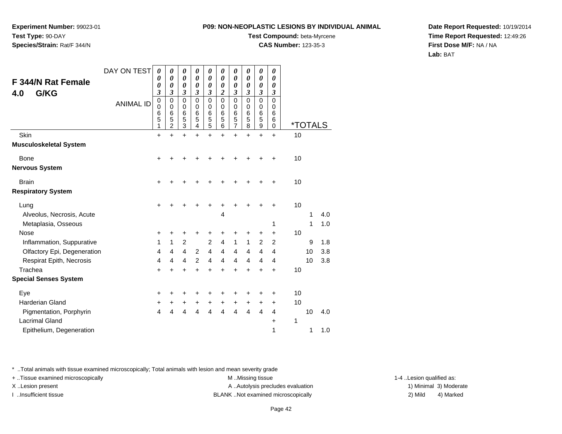**Experiment Number:** 99023-01**Test Type:** 90-DAY**Species/Strain:** Rat/F 344/N

### **Test Compound:** beta-Myrcene

**CAS Number:** 123-35-3

**Date Report Requested:** 10/19/2014**Time Report Requested:** 12:49:26**First Dose M/F:** NA / NA**Lab:** BAT

| F 344/N Rat Female<br>G/KG<br>4.0 | DAY ON TEST      | $\boldsymbol{\theta}$<br>0<br>0<br>$\mathfrak{z}$ | 0<br>0<br>0<br>3                                       | $\boldsymbol{\theta}$<br>$\boldsymbol{\theta}$<br>0<br>3       | 0<br>$\boldsymbol{\theta}$<br>$\boldsymbol{\theta}$<br>3 | $\boldsymbol{\theta}$<br>$\boldsymbol{\theta}$<br>$\boldsymbol{\theta}$<br>$\mathfrak{z}$ | 0<br>0<br>0<br>$\overline{\mathbf{c}}$    | $\pmb{\theta}$<br>0<br>0<br>$\overline{\mathbf{3}}$ | 0<br>0<br>0<br>3      | 0<br>0<br>0<br>$\overline{\mathbf{3}}$ | 0<br>0<br>0<br>3                       |    |         |     |
|-----------------------------------|------------------|---------------------------------------------------|--------------------------------------------------------|----------------------------------------------------------------|----------------------------------------------------------|-------------------------------------------------------------------------------------------|-------------------------------------------|-----------------------------------------------------|-----------------------|----------------------------------------|----------------------------------------|----|---------|-----|
|                                   | <b>ANIMAL ID</b> | $\mathbf 0$<br>$\mathbf 0$<br>6<br>5<br>1         | $\mathbf 0$<br>$\mathbf 0$<br>6<br>5<br>$\overline{2}$ | $\mathbf 0$<br>$\mathbf 0$<br>$6\phantom{1}6$<br>$\frac{5}{3}$ | $\mathbf 0$<br>$\mathbf 0$<br>6<br>5<br>4                | $\pmb{0}$<br>$\pmb{0}$<br>6<br>5<br>5                                                     | $\mathbf 0$<br>$\mathbf 0$<br>6<br>5<br>6 | 0<br>$\mathbf 0$<br>6<br>5<br>7                     | 0<br>0<br>6<br>5<br>8 | $\mathbf 0$<br>0<br>6<br>5<br>9        | $\Omega$<br>0<br>6<br>6<br>$\mathbf 0$ |    | *TOTALS |     |
| Skin                              |                  | $\ddot{}$                                         | $\ddot{}$                                              | $\ddot{}$                                                      | $\ddot{}$                                                | $\ddot{}$                                                                                 | $\ddot{}$                                 | $\ddot{}$                                           | $\ddot{}$             | $\ddot{}$                              | $\ddot{}$                              | 10 |         |     |
| <b>Musculoskeletal System</b>     |                  |                                                   |                                                        |                                                                |                                                          |                                                                                           |                                           |                                                     |                       |                                        |                                        |    |         |     |
| Bone<br><b>Nervous System</b>     |                  | +                                                 |                                                        |                                                                |                                                          |                                                                                           |                                           |                                                     |                       |                                        |                                        | 10 |         |     |
| <b>Brain</b>                      |                  | $\ddot{}$                                         | +                                                      | +                                                              |                                                          | +                                                                                         |                                           | +                                                   | +                     | ٠                                      | $\ddot{}$                              | 10 |         |     |
| <b>Respiratory System</b>         |                  |                                                   |                                                        |                                                                |                                                          |                                                                                           |                                           |                                                     |                       |                                        |                                        |    |         |     |
| Lung                              |                  | +                                                 |                                                        |                                                                |                                                          |                                                                                           |                                           |                                                     |                       |                                        |                                        | 10 |         |     |
| Alveolus, Necrosis, Acute         |                  |                                                   |                                                        |                                                                |                                                          |                                                                                           | 4                                         |                                                     |                       |                                        |                                        |    | 1       | 4.0 |
| Metaplasia, Osseous               |                  |                                                   |                                                        |                                                                |                                                          |                                                                                           |                                           |                                                     |                       |                                        | 1                                      |    | 1       | 1.0 |
| <b>Nose</b>                       |                  | +                                                 | +                                                      | +                                                              | +                                                        | +                                                                                         | +                                         | +                                                   | +                     | +                                      | +                                      | 10 |         |     |
| Inflammation, Suppurative         |                  | 1                                                 | 1                                                      | $\overline{2}$                                                 |                                                          | 2                                                                                         | $\overline{4}$                            | $\mathbf{1}$                                        | 1                     | 2                                      | 2                                      |    | 9       | 1.8 |
| Olfactory Epi, Degeneration       |                  | 4                                                 | 4                                                      | 4                                                              | 2                                                        | $\overline{4}$                                                                            | 4                                         | 4                                                   | 4                     | 4                                      | 4                                      |    | 10      | 3.8 |
| Respirat Epith, Necrosis          |                  | 4                                                 | 4                                                      | $\overline{4}$                                                 | $\overline{2}$                                           | $\overline{4}$                                                                            | $\overline{4}$                            | $\overline{4}$                                      | 4                     | $\overline{4}$                         | $\overline{4}$                         |    | 10      | 3.8 |
| Trachea                           |                  | $\ddot{}$                                         | $\ddot{}$                                              | $\ddot{}$                                                      | $\ddot{}$                                                | $\ddot{}$                                                                                 | $\ddot{}$                                 | $\ddot{}$                                           | +                     | $\ddot{}$                              | $\ddot{}$                              | 10 |         |     |
| <b>Special Senses System</b>      |                  |                                                   |                                                        |                                                                |                                                          |                                                                                           |                                           |                                                     |                       |                                        |                                        |    |         |     |
| Eye                               |                  | +                                                 | +                                                      | +                                                              | +                                                        | +                                                                                         | +                                         | +                                                   |                       | +                                      | +                                      | 10 |         |     |
| <b>Harderian Gland</b>            |                  | +                                                 | +                                                      | +                                                              | +                                                        | +                                                                                         | +                                         | $\ddot{}$                                           | +                     | +                                      | +                                      | 10 |         |     |
| Pigmentation, Porphyrin           |                  | $\overline{4}$                                    | 4                                                      | $\overline{4}$                                                 | $\overline{4}$                                           | $\overline{4}$                                                                            | $\overline{4}$                            | $\overline{4}$                                      | $\overline{4}$        | $\overline{4}$                         | $\overline{4}$                         |    | 10      | 4.0 |
| <b>Lacrimal Gland</b>             |                  |                                                   |                                                        |                                                                |                                                          |                                                                                           |                                           |                                                     |                       |                                        | $\ddot{}$                              | 1  |         |     |
| Epithelium, Degeneration          |                  |                                                   |                                                        |                                                                |                                                          |                                                                                           |                                           |                                                     |                       |                                        | 1                                      |    | 1       | 1.0 |

\* ..Total animals with tissue examined microscopically; Total animals with lesion and mean severity grade

+ ..Tissue examined microscopically examined microscopically examined as:  $M$  ..Missing tissue 1-4 ..Lesion qualified as: X..Lesion present **A ..Autolysis precludes evaluation** A ..Autolysis precludes evaluation 1) Minimal 3) Moderate